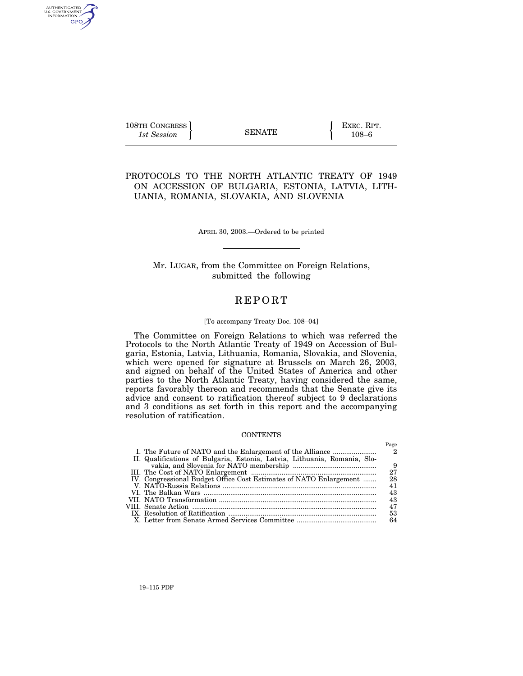$\left\{\n \begin{array}{c}\n 108 \text{TH} \text{ CONGRESS} \\
1 \text{st} \text{Session}\n \end{array}\n \right\}$   $\left\{\n \begin{array}{c}\n \text{EXEC. RPT.} \\
108-6\n \end{array}\n \right\}$ 1st Session **108–6 SENATE** 108–6

AUTHENTICATED<br>U.S. GOVERNMENT<br>INFORMATION GPO

 $\mathbf{r}$ 

PROTOCOLS TO THE NORTH ATLANTIC TREATY OF 1949 ON ACCESSION OF BULGARIA, ESTONIA, LATVIA, LITH-UANIA, ROMANIA, SLOVAKIA, AND SLOVENIA

APRIL 30, 2003.—Ordered to be printed

Mr. LUGAR, from the Committee on Foreign Relations, submitted the following

# **REPORT**

## [To accompany Treaty Doc. 108–04]

The Committee on Foreign Relations to which was referred the Protocols to the North Atlantic Treaty of 1949 on Accession of Bulgaria, Estonia, Latvia, Lithuania, Romania, Slovakia, and Slovenia, which were opened for signature at Brussels on March 26, 2003, and signed on behalf of the United States of America and other parties to the North Atlantic Treaty, having considered the same, reports favorably thereon and recommends that the Senate give its advice and consent to ratification thereof subject to 9 declarations and 3 conditions as set forth in this report and the accompanying resolution of ratification.

## **CONTENTS**

|                                                                           | гаде |
|---------------------------------------------------------------------------|------|
| I. The Future of NATO and the Enlargement of the Alliance                 | 2    |
| II. Qualifications of Bulgaria, Estonia, Latvia, Lithuania, Romania, Slo- |      |
|                                                                           | - 9  |
|                                                                           | 27   |
| IV. Congressional Budget Office Cost Estimates of NATO Enlargement        | 28   |
|                                                                           | 41   |
|                                                                           | 43   |
|                                                                           | 43   |
|                                                                           | 47   |
|                                                                           | 53   |
|                                                                           | 64   |
|                                                                           |      |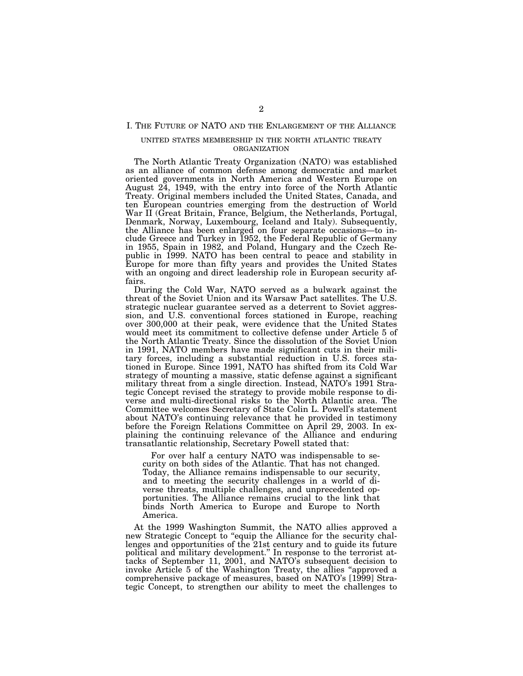# I. THE FUTURE OF NATO AND THE ENLARGEMENT OF THE ALLIANCE

# UNITED STATES MEMBERSHIP IN THE NORTH ATLANTIC TREATY ORGANIZATION

The North Atlantic Treaty Organization (NATO) was established as an alliance of common defense among democratic and market oriented governments in North America and Western Europe on August 24, 1949, with the entry into force of the North Atlantic Treaty. Original members included the United States, Canada, and ten European countries emerging from the destruction of World War II (Great Britain, France, Belgium, the Netherlands, Portugal, Denmark, Norway, Luxembourg, Iceland and Italy). Subsequently, the Alliance has been enlarged on four separate occasions—to include Greece and Turkey in 1952, the Federal Republic of Germany in 1955, Spain in 1982, and Poland, Hungary and the Czech Republic in 1999. NATO has been central to peace and stability in Europe for more than fifty years and provides the United States with an ongoing and direct leadership role in European security affairs.

During the Cold War, NATO served as a bulwark against the threat of the Soviet Union and its Warsaw Pact satellites. The U.S. strategic nuclear guarantee served as a deterrent to Soviet aggression, and U.S. conventional forces stationed in Europe, reaching over 300,000 at their peak, were evidence that the United States would meet its commitment to collective defense under Article 5 of the North Atlantic Treaty. Since the dissolution of the Soviet Union in 1991, NATO members have made significant cuts in their military forces, including a substantial reduction in U.S. forces stationed in Europe. Since 1991, NATO has shifted from its Cold War strategy of mounting a massive, static defense against a significant military threat from a single direction. Instead, NATO's 1991 Strategic Concept revised the strategy to provide mobile response to diverse and multi-directional risks to the North Atlantic area. The Committee welcomes Secretary of State Colin L. Powell's statement about NATO's continuing relevance that he provided in testimony before the Foreign Relations Committee on April 29, 2003. In explaining the continuing relevance of the Alliance and enduring transatlantic relationship, Secretary Powell stated that:

For over half a century NATO was indispensable to security on both sides of the Atlantic. That has not changed. Today, the Alliance remains indispensable to our security, and to meeting the security challenges in a world of diverse threats, multiple challenges, and unprecedented opportunities. The Alliance remains crucial to the link that binds North America to Europe and Europe to North America.

At the 1999 Washington Summit, the NATO allies approved a new Strategic Concept to "equip the Alliance for the security challenges and opportunities of the 21st century and to guide its future political and military development.'' In response to the terrorist attacks of September 11, 2001, and NATO's subsequent decision to invoke Article 5 of the Washington Treaty, the allies ''approved a comprehensive package of measures, based on NATO's [1999] Strategic Concept, to strengthen our ability to meet the challenges to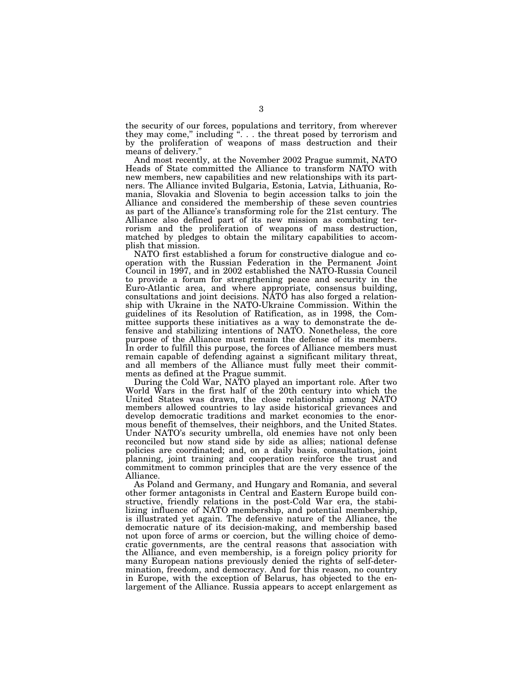the security of our forces, populations and territory, from wherever they may come," including ". . . the threat posed by terrorism and by the proliferation of weapons of mass destruction and their means of delivery.''

And most recently, at the November 2002 Prague summit, NATO Heads of State committed the Alliance to transform NATO with new members, new capabilities and new relationships with its partners. The Alliance invited Bulgaria, Estonia, Latvia, Lithuania, Romania, Slovakia and Slovenia to begin accession talks to join the Alliance and considered the membership of these seven countries as part of the Alliance's transforming role for the 21st century. The Alliance also defined part of its new mission as combating terrorism and the proliferation of weapons of mass destruction, matched by pledges to obtain the military capabilities to accomplish that mission.

NATO first established a forum for constructive dialogue and cooperation with the Russian Federation in the Permanent Joint Council in 1997, and in 2002 established the NATO-Russia Council to provide a forum for strengthening peace and security in the Euro-Atlantic area, and where appropriate, consensus building, consultations and joint decisions. NATO has also forged a relationship with Ukraine in the NATO-Ukraine Commission. Within the guidelines of its Resolution of Ratification, as in 1998, the Committee supports these initiatives as a way to demonstrate the defensive and stabilizing intentions of NATO. Nonetheless, the core purpose of the Alliance must remain the defense of its members. In order to fulfill this purpose, the forces of Alliance members must remain capable of defending against a significant military threat, and all members of the Alliance must fully meet their commitments as defined at the Prague summit.

During the Cold War, NATO played an important role. After two World Wars in the first half of the 20th century into which the United States was drawn, the close relationship among NATO members allowed countries to lay aside historical grievances and develop democratic traditions and market economies to the enormous benefit of themselves, their neighbors, and the United States. Under NATO's security umbrella, old enemies have not only been reconciled but now stand side by side as allies; national defense policies are coordinated; and, on a daily basis, consultation, joint planning, joint training and cooperation reinforce the trust and commitment to common principles that are the very essence of the Alliance.

As Poland and Germany, and Hungary and Romania, and several other former antagonists in Central and Eastern Europe build constructive, friendly relations in the post-Cold War era, the stabilizing influence of NATO membership, and potential membership, is illustrated yet again. The defensive nature of the Alliance, the democratic nature of its decision-making, and membership based not upon force of arms or coercion, but the willing choice of democratic governments, are the central reasons that association with the Alliance, and even membership, is a foreign policy priority for many European nations previously denied the rights of self-determination, freedom, and democracy. And for this reason, no country in Europe, with the exception of Belarus, has objected to the enlargement of the Alliance. Russia appears to accept enlargement as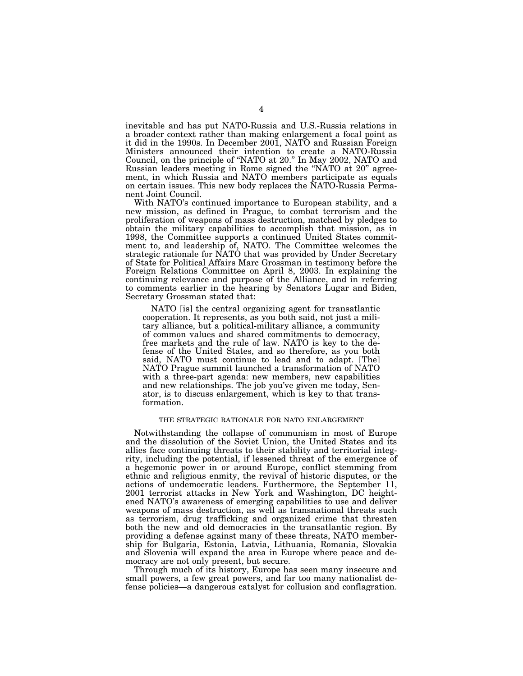inevitable and has put NATO-Russia and U.S.-Russia relations in a broader context rather than making enlargement a focal point as it did in the 1990s. In December 2001, NATO and Russian Foreign Ministers announced their intention to create a NATO-Russia Council, on the principle of ''NATO at 20.'' In May 2002, NATO and Russian leaders meeting in Rome signed the ''NATO at 20'' agreement, in which Russia and NATO members participate as equals on certain issues. This new body replaces the NATO-Russia Permanent Joint Council.

With NATO's continued importance to European stability, and a new mission, as defined in Prague, to combat terrorism and the proliferation of weapons of mass destruction, matched by pledges to obtain the military capabilities to accomplish that mission, as in 1998, the Committee supports a continued United States commitment to, and leadership of, NATO. The Committee welcomes the strategic rationale for NATO that was provided by Under Secretary of State for Political Affairs Marc Grossman in testimony before the Foreign Relations Committee on April 8, 2003. In explaining the continuing relevance and purpose of the Alliance, and in referring to comments earlier in the hearing by Senators Lugar and Biden, Secretary Grossman stated that:

NATO [is] the central organizing agent for transatlantic cooperation. It represents, as you both said, not just a military alliance, but a political-military alliance, a community of common values and shared commitments to democracy, free markets and the rule of law. NATO is key to the defense of the United States, and so therefore, as you both said, NATO must continue to lead and to adapt. [The] NATO Prague summit launched a transformation of NATO with a three-part agenda: new members, new capabilities and new relationships. The job you've given me today, Senator, is to discuss enlargement, which is key to that transformation.

# THE STRATEGIC RATIONALE FOR NATO ENLARGEMENT

Notwithstanding the collapse of communism in most of Europe and the dissolution of the Soviet Union, the United States and its allies face continuing threats to their stability and territorial integrity, including the potential, if lessened threat of the emergence of a hegemonic power in or around Europe, conflict stemming from ethnic and religious enmity, the revival of historic disputes, or the actions of undemocratic leaders. Furthermore, the September 11, 2001 terrorist attacks in New York and Washington, DC heightened NATO's awareness of emerging capabilities to use and deliver weapons of mass destruction, as well as transnational threats such as terrorism, drug trafficking and organized crime that threaten both the new and old democracies in the transatlantic region. By providing a defense against many of these threats, NATO membership for Bulgaria, Estonia, Latvia, Lithuania, Romania, Slovakia and Slovenia will expand the area in Europe where peace and democracy are not only present, but secure.

Through much of its history, Europe has seen many insecure and small powers, a few great powers, and far too many nationalist defense policies—a dangerous catalyst for collusion and conflagration.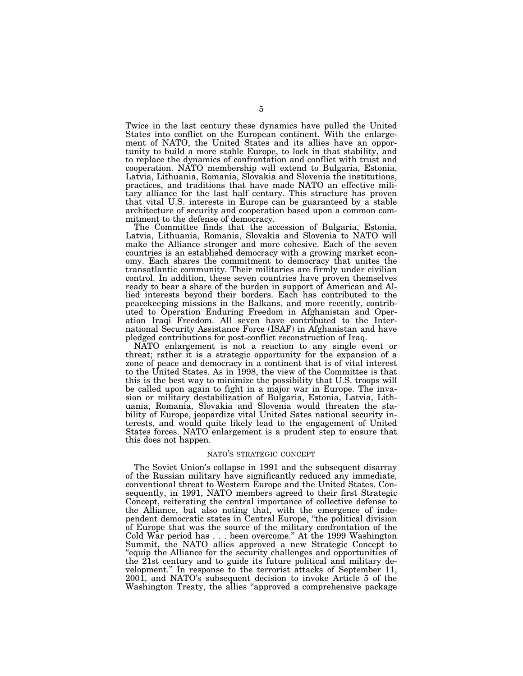Twice in the last century these dynamics have pulled the United States into conflict on the European continent. With the enlargement of NATO, the United States and its allies have an opportunity to build a more stable Europe, to lock in that stability, and to replace the dynamics of confrontation and conflict with trust and cooperation. NATO membership will extend to Bulgaria, Estonia, Latvia, Lithuania, Romania, Slovakia and Slovenia the institutions, practices, and traditions that have made NATO an effective military alliance for the last half century. This structure has proven that vital U.S. interests in Europe can be guaranteed by a stable architecture of security and cooperation based upon a common commitment to the defense of democracy.

The Committee finds that the accession of Bulgaria, Estonia, Latvia, Lithuania, Romania, Slovakia and Slovenia to NATO will make the Alliance stronger and more cohesive. Each of the seven countries is an established democracy with a growing market economy. Each shares the commitment to democracy that unites the transatlantic community. Their militaries are firmly under civilian control. In addition, these seven countries have proven themselves ready to bear a share of the burden in support of American and Allied interests beyond their borders. Each has contributed to the peacekeeping missions in the Balkans, and more recently, contributed to Operation Enduring Freedom in Afghanistan and Operation Iraqi Freedom. All seven have contributed to the International Security Assistance Force (ISAF) in Afghanistan and have pledged contributions for post-conflict reconstruction of Iraq.

NATO enlargement is not a reaction to any single event or threat; rather it is a strategic opportunity for the expansion of a zone of peace and democracy in a continent that is of vital interest to the United States. As in 1998, the view of the Committee is that this is the best way to minimize the possibility that U.S. troops will be called upon again to fight in a major war in Europe. The invasion or military destabilization of Bulgaria, Estonia, Latvia, Lithuania, Romania, Slovakia and Slovenia would threaten the stability of Europe, jeopardize vital United Sates national security interests, and would quite likely lead to the engagement of United States forces. NATO enlargement is a prudent step to ensure that this does not happen.

# NATO'S STRATEGIC CONCEPT

The Soviet Union's collapse in 1991 and the subsequent disarray of the Russian military have significantly reduced any immediate, conventional threat to Western Europe and the United States. Consequently, in 1991, NATO members agreed to their first Strategic Concept, reiterating the central importance of collective defense to the Alliance, but also noting that, with the emergence of independent democratic states in Central Europe, ''the political division of Europe that was the source of the military confrontation of the Cold War period has . . . been overcome.'' At the 1999 Washington Summit, the NATO allies approved a new Strategic Concept to "equip the Alliance for the security challenges and opportunities of the 21st century and to guide its future political and military development.'' In response to the terrorist attacks of September 11, 2001, and NATO's subsequent decision to invoke Article 5 of the Washington Treaty, the allies "approved a comprehensive package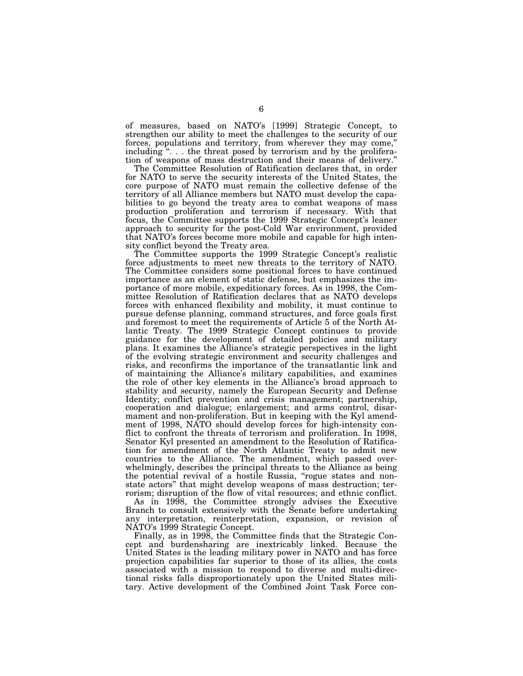of measures, based on NATO's [1999] Strategic Concept, to strengthen our ability to meet the challenges to the security of our forces, populations and territory, from wherever they may come,'' including "... the threat posed by terrorism and by the proliferation of weapons of mass destruction and their means of delivery.''

The Committee Resolution of Ratification declares that, in order for NATO to serve the security interests of the United States, the core purpose of NATO must remain the collective defense of the territory of all Alliance members but NATO must develop the capabilities to go beyond the treaty area to combat weapons of mass production proliferation and terrorism if necessary. With that focus, the Committee supports the 1999 Strategic Concept's leaner approach to security for the post-Cold War environment, provided that NATO's forces become more mobile and capable for high intensity conflict beyond the Treaty area.

The Committee supports the 1999 Strategic Concept's realistic force adjustments to meet new threats to the territory of NATO. The Committee considers some positional forces to have continued importance as an element of static defense, but emphasizes the importance of more mobile, expeditionary forces. As in 1998, the Committee Resolution of Ratification declares that as NATO develops forces with enhanced flexibility and mobility, it must continue to pursue defense planning, command structures, and force goals first and foremost to meet the requirements of Article 5 of the North Atlantic Treaty. The 1999 Strategic Concept continues to provide guidance for the development of detailed policies and military plans. It examines the Alliance's strategic perspectives in the light of the evolving strategic environment and security challenges and risks, and reconfirms the importance of the transatlantic link and of maintaining the Alliance's military capabilities, and examines the role of other key elements in the Alliance's broad approach to stability and security, namely the European Security and Defense Identity; conflict prevention and crisis management; partnership, cooperation and dialogue; enlargement; and arms control, disarmament and non-proliferation. But in keeping with the Kyl amendment of 1998, NATO should develop forces for high-intensity conflict to confront the threats of terrorism and proliferation. In 1998, Senator Kyl presented an amendment to the Resolution of Ratification for amendment of the North Atlantic Treaty to admit new countries to the Alliance. The amendment, which passed overwhelmingly, describes the principal threats to the Alliance as being the potential revival of a hostile Russia, "rogue states and nonstate actors'' that might develop weapons of mass destruction; terrorism; disruption of the flow of vital resources; and ethnic conflict.

As in 1998, the Committee strongly advises the Executive Branch to consult extensively with the Senate before undertaking any interpretation, reinterpretation, expansion, or revision of NATO's 1999 Strategic Concept.

Finally, as in 1998, the Committee finds that the Strategic Concept and burdensharing are inextricably linked. Because the United States is the leading military power in NATO and has force projection capabilities far superior to those of its allies, the costs associated with a mission to respond to diverse and multi-directional risks falls disproportionately upon the United States military. Active development of the Combined Joint Task Force con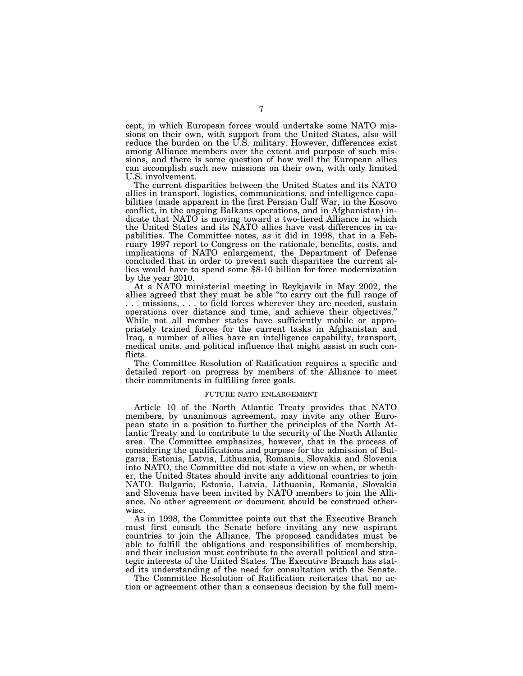cept, in which European forces would undertake some NATO missions on their own, with support from the United States, also will reduce the burden on the U.S. military. However, differences exist among Alliance members over the extent and purpose of such missions, and there is some question of how well the European allies can accomplish such new missions on their own, with only limited U.S. involvement.

The current disparities between the United States and its NATO allies in transport, logistics, communications, and intelligence capabilities (made apparent in the first Persian Gulf War, in the Kosovo conflict, in the ongoing Balkans operations, and in Afghanistan) indicate that NATO is moving toward a two-tiered Alliance in which the United States and its NATO allies have vast differences in capabilities. The Committee notes, as it did in 1998, that in a February 1997 report to Congress on the rationale, benefits, costs, and implications of NATO enlargement, the Department of Defense concluded that in order to prevent such disparities the current allies would have to spend some \$8-10 billion for force modernization by the year 2010.

At a NATO ministerial meeting in Reykjavik in May 2002, the allies agreed that they must be able ''to carry out the full range of . . . missions, . . . to field forces wherever they are needed, sustain operations over distance and time, and achieve their objectives.'' While not all member states have sufficiently mobile or appropriately trained forces for the current tasks in Afghanistan and Iraq, a number of allies have an intelligence capability, transport, medical units, and political influence that might assist in such conflicts.

The Committee Resolution of Ratification requires a specific and detailed report on progress by members of the Alliance to meet their commitments in fulfilling force goals.

# FUTURE NATO ENLARGEMENT

Article 10 of the North Atlantic Treaty provides that NATO members, by unanimous agreement, may invite any other European state in a position to further the principles of the North Atlantic Treaty and to contribute to the security of the North Atlantic area. The Committee emphasizes, however, that in the process of considering the qualifications and purpose for the admission of Bulgaria, Estonia, Latvia, Lithuania, Romania, Slovakia and Slovenia into NATO, the Committee did not state a view on when, or whether, the United States should invite any additional countries to join NATO. Bulgaria, Estonia, Latvia, Lithuania, Romania, Slovakia and Slovenia have been invited by NATO members to join the Alliance. No other agreement or document should be construed otherwise.

As in 1998, the Committee points out that the Executive Branch must first consult the Senate before inviting any new aspirant countries to join the Alliance. The proposed candidates must be able to fulfill the obligations and responsibilities of membership, and their inclusion must contribute to the overall political and strategic interests of the United States. The Executive Branch has stated its understanding of the need for consultation with the Senate.

The Committee Resolution of Ratification reiterates that no action or agreement other than a consensus decision by the full mem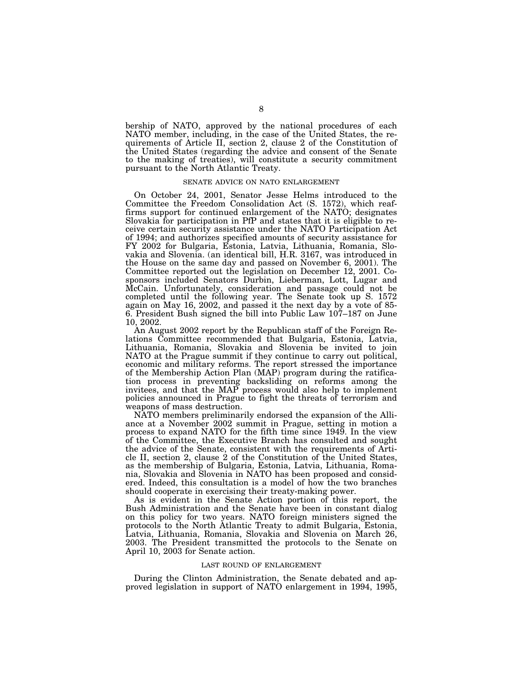bership of NATO, approved by the national procedures of each NATO member, including, in the case of the United States, the requirements of Article II, section 2, clause 2 of the Constitution of the United States (regarding the advice and consent of the Senate to the making of treaties), will constitute a security commitment pursuant to the North Atlantic Treaty.

# SENATE ADVICE ON NATO ENLARGEMENT

On October 24, 2001, Senator Jesse Helms introduced to the Committee the Freedom Consolidation Act (S. 1572), which reaffirms support for continued enlargement of the NATO; designates Slovakia for participation in PfP and states that it is eligible to receive certain security assistance under the NATO Participation Act of 1994; and authorizes specified amounts of security assistance for FY 2002 for Bulgaria, Estonia, Latvia, Lithuania, Romania, Slovakia and Slovenia. (an identical bill, H.R. 3167, was introduced in the House on the same day and passed on November 6, 2001). The Committee reported out the legislation on December 12, 2001. Cosponsors included Senators Durbin, Lieberman, Lott, Lugar and McCain. Unfortunately, consideration and passage could not be completed until the following year. The Senate took up S. 1572 again on May 16, 2002, and passed it the next day by a vote of 85- 6. President Bush signed the bill into Public Law 107–187 on June 10, 2002.

An August 2002 report by the Republican staff of the Foreign Relations Committee recommended that Bulgaria, Estonia, Latvia, Lithuania, Romania, Slovakia and Slovenia be invited to join NATO at the Prague summit if they continue to carry out political, economic and military reforms. The report stressed the importance of the Membership Action Plan (MAP) program during the ratification process in preventing backsliding on reforms among the invitees, and that the MAP process would also help to implement policies announced in Prague to fight the threats of terrorism and weapons of mass destruction.

NATO members preliminarily endorsed the expansion of the Alliance at a November 2002 summit in Prague, setting in motion a process to expand NATO for the fifth time since 1949. In the view of the Committee, the Executive Branch has consulted and sought the advice of the Senate, consistent with the requirements of Article II, section 2, clause 2 of the Constitution of the United States, as the membership of Bulgaria, Estonia, Latvia, Lithuania, Romania, Slovakia and Slovenia in NATO has been proposed and considered. Indeed, this consultation is a model of how the two branches should cooperate in exercising their treaty-making power.

As is evident in the Senate Action portion of this report, the Bush Administration and the Senate have been in constant dialog on this policy for two years. NATO foreign ministers signed the protocols to the North Atlantic Treaty to admit Bulgaria, Estonia, Latvia, Lithuania, Romania, Slovakia and Slovenia on March 26, 2003. The President transmitted the protocols to the Senate on April 10, 2003 for Senate action.

#### LAST ROUND OF ENLARGEMENT

During the Clinton Administration, the Senate debated and approved legislation in support of NATO enlargement in 1994, 1995,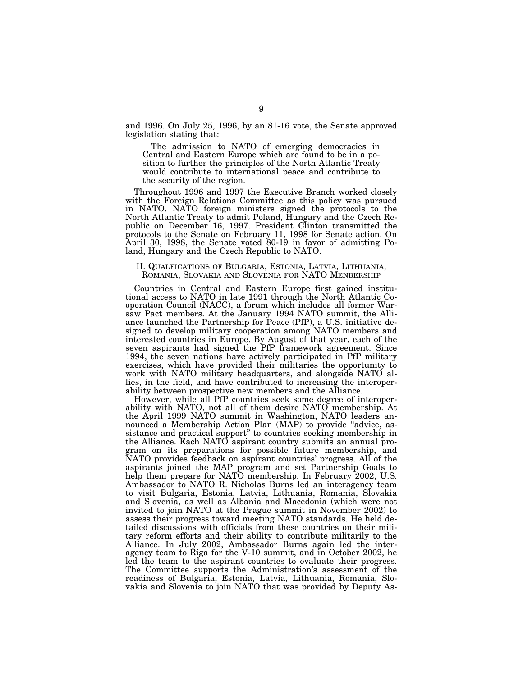and 1996. On July 25, 1996, by an 81-16 vote, the Senate approved legislation stating that:

The admission to NATO of emerging democracies in Central and Eastern Europe which are found to be in a position to further the principles of the North Atlantic Treaty would contribute to international peace and contribute to the security of the region.

Throughout 1996 and 1997 the Executive Branch worked closely with the Foreign Relations Committee as this policy was pursued in NATO. NATO foreign ministers signed the protocols to the North Atlantic Treaty to admit Poland, Hungary and the Czech Republic on December 16, 1997. President Clinton transmitted the protocols to the Senate on February 11, 1998 for Senate action. On April 30, 1998, the Senate voted 80-19 in favor of admitting Poland, Hungary and the Czech Republic to NATO.

# II. QUALFICATIONS OF BULGARIA, ESTONIA, LATVIA, LITHUANIA, ROMANIA, SLOVAKIA AND SLOVENIA FOR NATO MENBERSHIP

Countries in Central and Eastern Europe first gained institutional access to NATO in late 1991 through the North Atlantic Cooperation Council (NACC), a forum which includes all former Warsaw Pact members. At the January 1994 NATO summit, the Alliance launched the Partnership for Peace (PfP), a U.S. initiative designed to develop military cooperation among NATO members and interested countries in Europe. By August of that year, each of the seven aspirants had signed the PfP framework agreement. Since 1994, the seven nations have actively participated in PfP military exercises, which have provided their militaries the opportunity to work with NATO military headquarters, and alongside NATO allies, in the field, and have contributed to increasing the interoperability between prospective new members and the Alliance.

However, while all PfP countries seek some degree of interoperability with NATO, not all of them desire NATO membership. At the April 1999 NATO summit in Washington, NATO leaders announced a Membership Action Plan (MAP) to provide "advice, assistance and practical support'' to countries seeking membership in the Alliance. Each NATO aspirant country submits an annual program on its preparations for possible future membership, and NATO provides feedback on aspirant countries' progress. All of the aspirants joined the MAP program and set Partnership Goals to help them prepare for NATO membership. In February 2002, U.S. Ambassador to NATO R. Nicholas Burns led an interagency team to visit Bulgaria, Estonia, Latvia, Lithuania, Romania, Slovakia and Slovenia, as well as Albania and Macedonia (which were not invited to join NATO at the Prague summit in November 2002) to assess their progress toward meeting NATO standards. He held detailed discussions with officials from these countries on their military reform efforts and their ability to contribute militarily to the Alliance. In July 2002, Ambassador Burns again led the interagency team to Riga for the V-10 summit, and in October 2002, he led the team to the aspirant countries to evaluate their progress. The Committee supports the Administration's assessment of the readiness of Bulgaria, Estonia, Latvia, Lithuania, Romania, Slovakia and Slovenia to join NATO that was provided by Deputy As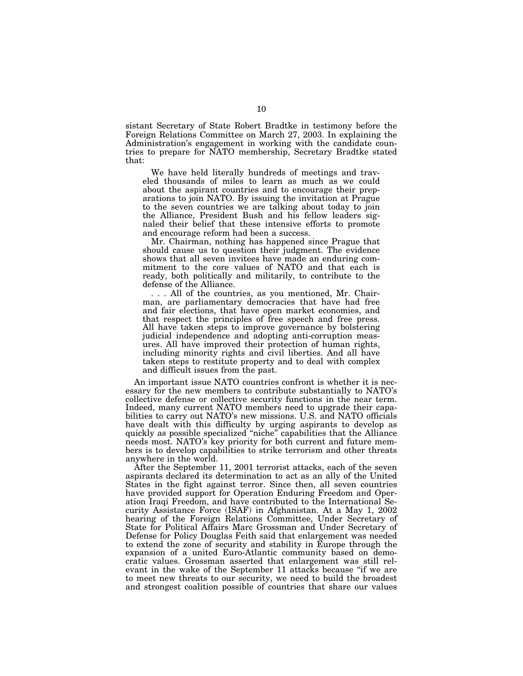sistant Secretary of State Robert Bradtke in testimony before the Foreign Relations Committee on March 27, 2003. In explaining the Administration's engagement in working with the candidate countries to prepare for NATO membership, Secretary Bradtke stated that:

We have held literally hundreds of meetings and traveled thousands of miles to learn as much as we could about the aspirant countries and to encourage their preparations to join NATO. By issuing the invitation at Prague to the seven countries we are talking about today to join the Alliance, President Bush and his fellow leaders signaled their belief that these intensive efforts to promote and encourage reform had been a success.

Mr. Chairman, nothing has happened since Prague that should cause us to question their judgment. The evidence shows that all seven invitees have made an enduring commitment to the core values of NATO and that each is ready, both politically and militarily, to contribute to the defense of the Alliance.

. . . All of the countries, as you mentioned, Mr. Chairman, are parliamentary democracies that have had free and fair elections, that have open market economies, and that respect the principles of free speech and free press. All have taken steps to improve governance by bolstering judicial independence and adopting anti-corruption measures. All have improved their protection of human rights, including minority rights and civil liberties. And all have taken steps to restitute property and to deal with complex and difficult issues from the past.

An important issue NATO countries confront is whether it is necessary for the new members to contribute substantially to NATO's collective defense or collective security functions in the near term. Indeed, many current NATO members need to upgrade their capabilities to carry out NATO's new missions. U.S. and NATO officials have dealt with this difficulty by urging aspirants to develop as quickly as possible specialized ''niche'' capabilities that the Alliance needs most. NATO's key priority for both current and future members is to develop capabilities to strike terrorism and other threats anywhere in the world.

After the September 11, 2001 terrorist attacks, each of the seven aspirants declared its determination to act as an ally of the United States in the fight against terror. Since then, all seven countries have provided support for Operation Enduring Freedom and Operation Iraqi Freedom, and have contributed to the International Security Assistance Force (ISAF) in Afghanistan. At a May 1, 2002 hearing of the Foreign Relations Committee, Under Secretary of State for Political Affairs Marc Grossman and Under Secretary of Defense for Policy Douglas Feith said that enlargement was needed to extend the zone of security and stability in Europe through the expansion of a united Euro-Atlantic community based on democratic values. Grossman asserted that enlargement was still relevant in the wake of the September 11 attacks because ''if we are to meet new threats to our security, we need to build the broadest and strongest coalition possible of countries that share our values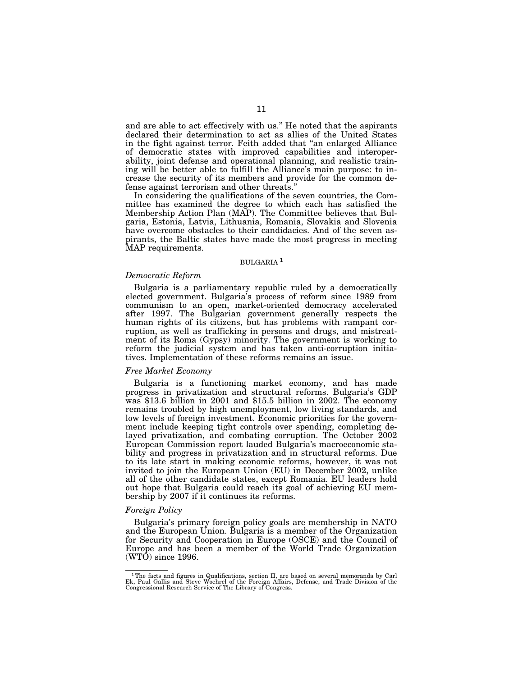and are able to act effectively with us.'' He noted that the aspirants declared their determination to act as allies of the United States in the fight against terror. Feith added that ''an enlarged Alliance of democratic states with improved capabilities and interoperability, joint defense and operational planning, and realistic training will be better able to fulfill the Alliance's main purpose: to increase the security of its members and provide for the common defense against terrorism and other threats.''

In considering the qualifications of the seven countries, the Committee has examined the degree to which each has satisfied the Membership Action Plan (MAP). The Committee believes that Bulgaria, Estonia, Latvia, Lithuania, Romania, Slovakia and Slovenia have overcome obstacles to their candidacies. And of the seven aspirants, the Baltic states have made the most progress in meeting MAP requirements.

# BULGARIA 1

## *Democratic Reform*

Bulgaria is a parliamentary republic ruled by a democratically elected government. Bulgaria's process of reform since 1989 from communism to an open, market-oriented democracy accelerated after 1997. The Bulgarian government generally respects the human rights of its citizens, but has problems with rampant corruption, as well as trafficking in persons and drugs, and mistreatment of its Roma (Gypsy) minority. The government is working to reform the judicial system and has taken anti-corruption initiatives. Implementation of these reforms remains an issue.

## *Free Market Economy*

Bulgaria is a functioning market economy, and has made progress in privatization and structural reforms. Bulgaria's GDP was \$13.6 billion in 2001 and \$15.5 billion in 2002. The economy remains troubled by high unemployment, low living standards, and low levels of foreign investment. Economic priorities for the government include keeping tight controls over spending, completing delayed privatization, and combating corruption. The October 2002 European Commission report lauded Bulgaria's macroeconomic stability and progress in privatization and in structural reforms. Due to its late start in making economic reforms, however, it was not invited to join the European Union (EU) in December 2002, unlike all of the other candidate states, except Romania. EU leaders hold out hope that Bulgaria could reach its goal of achieving EU membership by 2007 if it continues its reforms.

# *Foreign Policy*

Bulgaria's primary foreign policy goals are membership in NATO and the European Union. Bulgaria is a member of the Organization for Security and Cooperation in Europe (OSCE) and the Council of Europe and has been a member of the World Trade Organization (WTO) since 1996.

 $1$ The facts and figures in Qualifications, section II, are based on several memoranda by Carl Ek, Paul Gallis and Steve Woehrel of the Foreign Affairs, Defense, and Trade Division of the Congressional Research Service of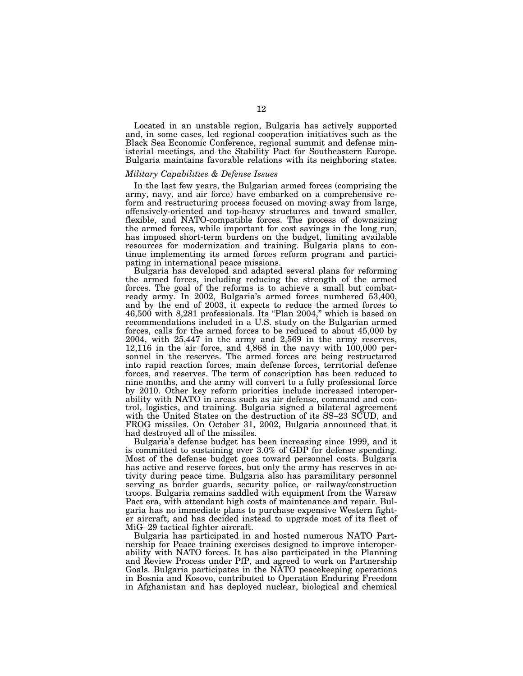Located in an unstable region, Bulgaria has actively supported and, in some cases, led regional cooperation initiatives such as the Black Sea Economic Conference, regional summit and defense ministerial meetings, and the Stability Pact for Southeastern Europe. Bulgaria maintains favorable relations with its neighboring states.

# *Military Capabilities & Defense Issues*

In the last few years, the Bulgarian armed forces (comprising the army, navy, and air force) have embarked on a comprehensive reform and restructuring process focused on moving away from large, offensively-oriented and top-heavy structures and toward smaller, flexible, and NATO-compatible forces. The process of downsizing the armed forces, while important for cost savings in the long run, has imposed short-term burdens on the budget, limiting available resources for modernization and training. Bulgaria plans to continue implementing its armed forces reform program and participating in international peace missions.

Bulgaria has developed and adapted several plans for reforming the armed forces, including reducing the strength of the armed forces. The goal of the reforms is to achieve a small but combatready army. In 2002, Bulgaria's armed forces numbered 53,400, and by the end of 2003, it expects to reduce the armed forces to 46,500 with 8,281 professionals. Its ''Plan 2004,'' which is based on recommendations included in a U.S. study on the Bulgarian armed forces, calls for the armed forces to be reduced to about 45,000 by 2004, with 25,447 in the army and 2,569 in the army reserves, 12,116 in the air force, and 4,868 in the navy with 100,000 personnel in the reserves. The armed forces are being restructured into rapid reaction forces, main defense forces, territorial defense forces, and reserves. The term of conscription has been reduced to nine months, and the army will convert to a fully professional force by 2010. Other key reform priorities include increased interoperability with NATO in areas such as air defense, command and control, logistics, and training. Bulgaria signed a bilateral agreement with the United States on the destruction of its SS–23 SCUD, and FROG missiles. On October 31, 2002, Bulgaria announced that it had destroyed all of the missiles.

Bulgaria's defense budget has been increasing since 1999, and it is committed to sustaining over 3.0% of GDP for defense spending. Most of the defense budget goes toward personnel costs. Bulgaria has active and reserve forces, but only the army has reserves in activity during peace time. Bulgaria also has paramilitary personnel serving as border guards, security police, or railway/construction troops. Bulgaria remains saddled with equipment from the Warsaw Pact era, with attendant high costs of maintenance and repair. Bulgaria has no immediate plans to purchase expensive Western fighter aircraft, and has decided instead to upgrade most of its fleet of MiG–29 tactical fighter aircraft.

Bulgaria has participated in and hosted numerous NATO Partnership for Peace training exercises designed to improve interoperability with NATO forces. It has also participated in the Planning and Review Process under PfP, and agreed to work on Partnership Goals. Bulgaria participates in the NATO peacekeeping operations in Bosnia and Kosovo, contributed to Operation Enduring Freedom in Afghanistan and has deployed nuclear, biological and chemical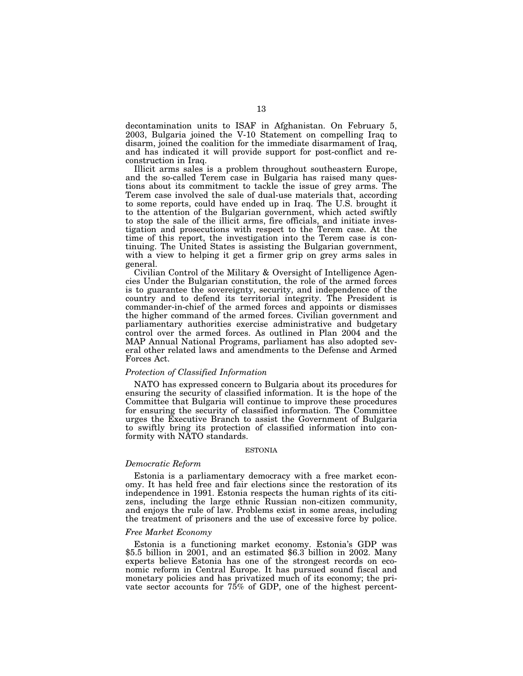decontamination units to ISAF in Afghanistan. On February 5, 2003, Bulgaria joined the V-10 Statement on compelling Iraq to disarm, joined the coalition for the immediate disarmament of Iraq, and has indicated it will provide support for post-conflict and reconstruction in Iraq.

Illicit arms sales is a problem throughout southeastern Europe, and the so-called Terem case in Bulgaria has raised many questions about its commitment to tackle the issue of grey arms. The Terem case involved the sale of dual-use materials that, according to some reports, could have ended up in Iraq. The U.S. brought it to the attention of the Bulgarian government, which acted swiftly to stop the sale of the illicit arms, fire officials, and initiate investigation and prosecutions with respect to the Terem case. At the time of this report, the investigation into the Terem case is continuing. The United States is assisting the Bulgarian government, with a view to helping it get a firmer grip on grey arms sales in general.

Civilian Control of the Military & Oversight of Intelligence Agencies Under the Bulgarian constitution, the role of the armed forces is to guarantee the sovereignty, security, and independence of the country and to defend its territorial integrity. The President is commander-in-chief of the armed forces and appoints or dismisses the higher command of the armed forces. Civilian government and parliamentary authorities exercise administrative and budgetary control over the armed forces. As outlined in Plan 2004 and the MAP Annual National Programs, parliament has also adopted several other related laws and amendments to the Defense and Armed Forces Act.

# *Protection of Classified Information*

NATO has expressed concern to Bulgaria about its procedures for ensuring the security of classified information. It is the hope of the Committee that Bulgaria will continue to improve these procedures for ensuring the security of classified information. The Committee urges the Executive Branch to assist the Government of Bulgaria to swiftly bring its protection of classified information into conformity with NATO standards.

#### ESTONIA

# *Democratic Reform*

Estonia is a parliamentary democracy with a free market economy. It has held free and fair elections since the restoration of its independence in 1991. Estonia respects the human rights of its citizens, including the large ethnic Russian non-citizen community, and enjoys the rule of law. Problems exist in some areas, including the treatment of prisoners and the use of excessive force by police.

## *Free Market Economy*

Estonia is a functioning market economy. Estonia's GDP was \$5.5 billion in 2001, and an estimated \$6.3 billion in 2002. Many experts believe Estonia has one of the strongest records on economic reform in Central Europe. It has pursued sound fiscal and monetary policies and has privatized much of its economy; the private sector accounts for 75% of GDP, one of the highest percent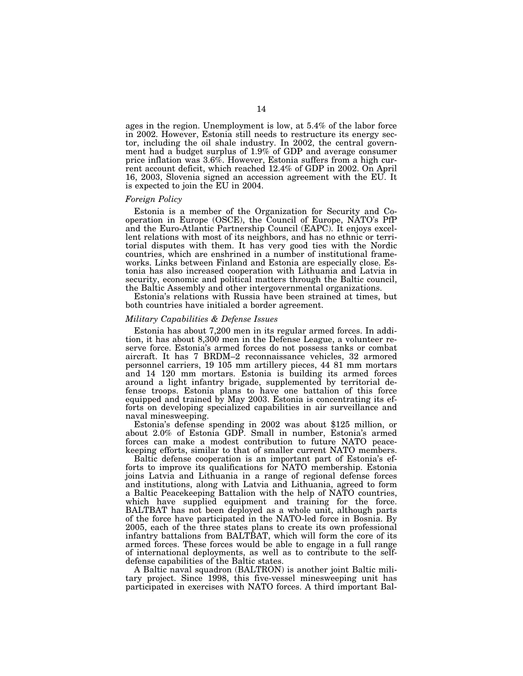ages in the region. Unemployment is low, at 5.4% of the labor force in 2002. However, Estonia still needs to restructure its energy sector, including the oil shale industry. In 2002, the central government had a budget surplus of 1.9% of GDP and average consumer price inflation was 3.6%. However, Estonia suffers from a high current account deficit, which reached 12.4% of GDP in 2002. On April 16, 2003, Slovenia signed an accession agreement with the EU. It is expected to join the EU in 2004.

## *Foreign Policy*

Estonia is a member of the Organization for Security and Cooperation in Europe (OSCE), the Council of Europe, NATO's PfP and the Euro-Atlantic Partnership Council (EAPC). It enjoys excellent relations with most of its neighbors, and has no ethnic or territorial disputes with them. It has very good ties with the Nordic countries, which are enshrined in a number of institutional frameworks. Links between Finland and Estonia are especially close. Estonia has also increased cooperation with Lithuania and Latvia in security, economic and political matters through the Baltic council, the Baltic Assembly and other intergovernmental organizations.

Estonia's relations with Russia have been strained at times, but both countries have initialed a border agreement.

# *Military Capabilities & Defense Issues*

Estonia has about 7,200 men in its regular armed forces. In addition, it has about 8,300 men in the Defense League, a volunteer reserve force. Estonia's armed forces do not possess tanks or combat aircraft. It has 7 BRDM–2 reconnaissance vehicles, 32 armored personnel carriers, 19 105 mm artillery pieces, 44 81 mm mortars and 14 120 mm mortars. Estonia is building its armed forces around a light infantry brigade, supplemented by territorial defense troops. Estonia plans to have one battalion of this force equipped and trained by May 2003. Estonia is concentrating its efforts on developing specialized capabilities in air surveillance and naval minesweeping.

Estonia's defense spending in 2002 was about \$125 million, or about 2.0% of Estonia GDP. Small in number, Estonia's armed forces can make a modest contribution to future NATO peacekeeping efforts, similar to that of smaller current NATO members.

Baltic defense cooperation is an important part of Estonia's efforts to improve its qualifications for NATO membership. Estonia joins Latvia and Lithuania in a range of regional defense forces and institutions, along with Latvia and Lithuania, agreed to form a Baltic Peacekeeping Battalion with the help of NATO countries, which have supplied equipment and training for the force. BALTBAT has not been deployed as a whole unit, although parts of the force have participated in the NATO-led force in Bosnia. By 2005, each of the three states plans to create its own professional infantry battalions from BALTBAT, which will form the core of its armed forces. These forces would be able to engage in a full range of international deployments, as well as to contribute to the selfdefense capabilities of the Baltic states.

A Baltic naval squadron (BALTRON) is another joint Baltic military project. Since 1998, this five-vessel minesweeping unit has participated in exercises with NATO forces. A third important Bal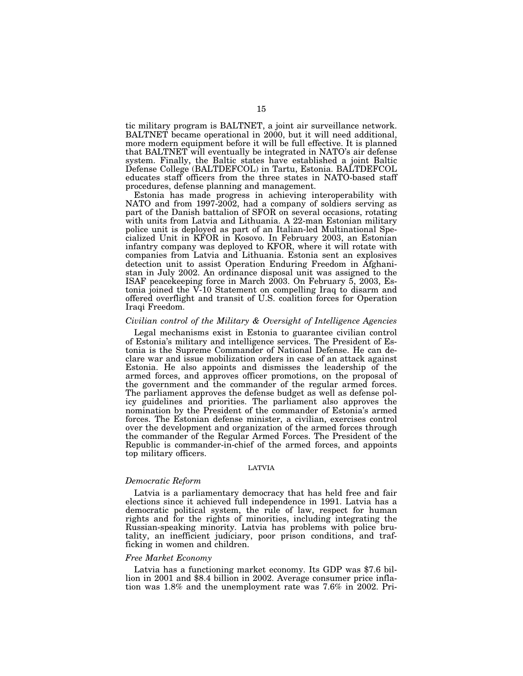tic military program is BALTNET, a joint air surveillance network. BALTNET became operational in 2000, but it will need additional, more modern equipment before it will be full effective. It is planned that BALTNET will eventually be integrated in NATO's air defense system. Finally, the Baltic states have established a joint Baltic Defense College (BALTDEFCOL) in Tartu, Estonia. BALTDEFCOL educates staff officers from the three states in NATO-based staff procedures, defense planning and management.

Estonia has made progress in achieving interoperability with NATO and from 1997-2002, had a company of soldiers serving as part of the Danish battalion of SFOR on several occasions, rotating with units from Latvia and Lithuania. A 22-man Estonian military police unit is deployed as part of an Italian-led Multinational Specialized Unit in KFOR in Kosovo. In February 2003, an Estonian infantry company was deployed to KFOR, where it will rotate with companies from Latvia and Lithuania. Estonia sent an explosives detection unit to assist Operation Enduring Freedom in Afghanistan in July 2002. An ordinance disposal unit was assigned to the ISAF peacekeeping force in March 2003. On February 5, 2003, Estonia joined the V-10 Statement on compelling Iraq to disarm and offered overflight and transit of U.S. coalition forces for Operation Iraqi Freedom.

# *Civilian control of the Military & Oversight of Intelligence Agencies*

Legal mechanisms exist in Estonia to guarantee civilian control of Estonia's military and intelligence services. The President of Estonia is the Supreme Commander of National Defense. He can declare war and issue mobilization orders in case of an attack against Estonia. He also appoints and dismisses the leadership of the armed forces, and approves officer promotions, on the proposal of the government and the commander of the regular armed forces. The parliament approves the defense budget as well as defense policy guidelines and priorities. The parliament also approves the nomination by the President of the commander of Estonia's armed forces. The Estonian defense minister, a civilian, exercises control over the development and organization of the armed forces through the commander of the Regular Armed Forces. The President of the Republic is commander-in-chief of the armed forces, and appoints top military officers.

## LATVIA

# *Democratic Reform*

Latvia is a parliamentary democracy that has held free and fair elections since it achieved full independence in 1991. Latvia has a democratic political system, the rule of law, respect for human rights and for the rights of minorities, including integrating the Russian-speaking minority. Latvia has problems with police brutality, an inefficient judiciary, poor prison conditions, and trafficking in women and children.

# *Free Market Economy*

Latvia has a functioning market economy. Its GDP was \$7.6 billion in 2001 and \$8.4 billion in 2002. Average consumer price inflation was 1.8% and the unemployment rate was 7.6% in 2002. Pri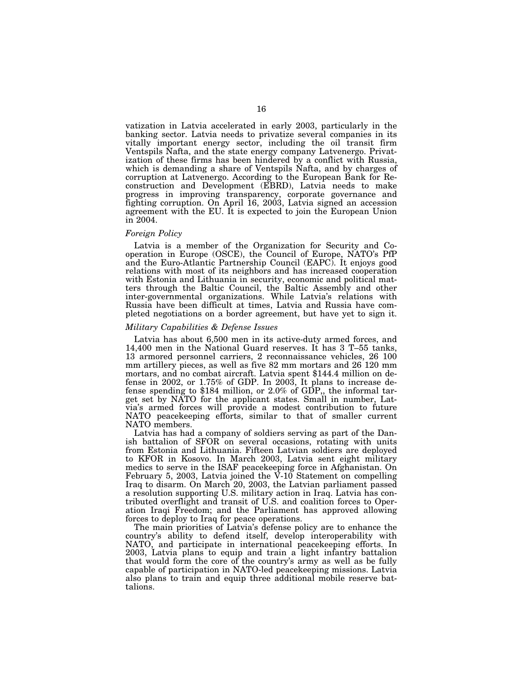vatization in Latvia accelerated in early 2003, particularly in the banking sector. Latvia needs to privatize several companies in its vitally important energy sector, including the oil transit firm Ventspils Nafta, and the state energy company Latvenergo. Privatization of these firms has been hindered by a conflict with Russia, which is demanding a share of Ventspils Nafta, and by charges of corruption at Latvenergo. According to the European Bank for Reconstruction and Development (EBRD), Latvia needs to make progress in improving transparency, corporate governance and fighting corruption. On April 16, 2003, Latvia signed an accession agreement with the EU. It is expected to join the European Union in 2004.

# *Foreign Policy*

Latvia is a member of the Organization for Security and Cooperation in Europe (OSCE), the Council of Europe, NATO's PfP and the Euro-Atlantic Partnership Council (EAPC). It enjoys good relations with most of its neighbors and has increased cooperation with Estonia and Lithuania in security, economic and political matters through the Baltic Council, the Baltic Assembly and other inter-governmental organizations. While Latvia's relations with Russia have been difficult at times, Latvia and Russia have completed negotiations on a border agreement, but have yet to sign it.

# *Military Capabilities & Defense Issues*

Latvia has about 6,500 men in its active-duty armed forces, and 14,400 men in the National Guard reserves. It has 3 T–55 tanks, 13 armored personnel carriers, 2 reconnaissance vehicles, 26 100 mm artillery pieces, as well as five 82 mm mortars and 26 120 mm mortars, and no combat aircraft. Latvia spent \$144.4 million on defense in 2002, or 1.75% of GDP. In 2003, It plans to increase defense spending to \$184 million, or 2.0% of GDP,, the informal target set by NATO for the applicant states. Small in number, Latvia's armed forces will provide a modest contribution to future NATO peacekeeping efforts, similar to that of smaller current NATO members.

Latvia has had a company of soldiers serving as part of the Danish battalion of SFOR on several occasions, rotating with units from Estonia and Lithuania. Fifteen Latvian soldiers are deployed to KFOR in Kosovo. In March 2003, Latvia sent eight military medics to serve in the ISAF peacekeeping force in Afghanistan. On February 5, 2003, Latvia joined the  $\dot{V}\text{-}10$  Statement on compelling Iraq to disarm. On March 20, 2003, the Latvian parliament passed a resolution supporting U.S. military action in Iraq. Latvia has contributed overflight and transit of U.S. and coalition forces to Operation Iraqi Freedom; and the Parliament has approved allowing forces to deploy to Iraq for peace operations.

The main priorities of Latvia's defense policy are to enhance the country's ability to defend itself, develop interoperability with NATO, and participate in international peacekeeping efforts. In 2003, Latvia plans to equip and train a light infantry battalion that would form the core of the country's army as well as be fully capable of participation in NATO-led peacekeeping missions. Latvia also plans to train and equip three additional mobile reserve battalions.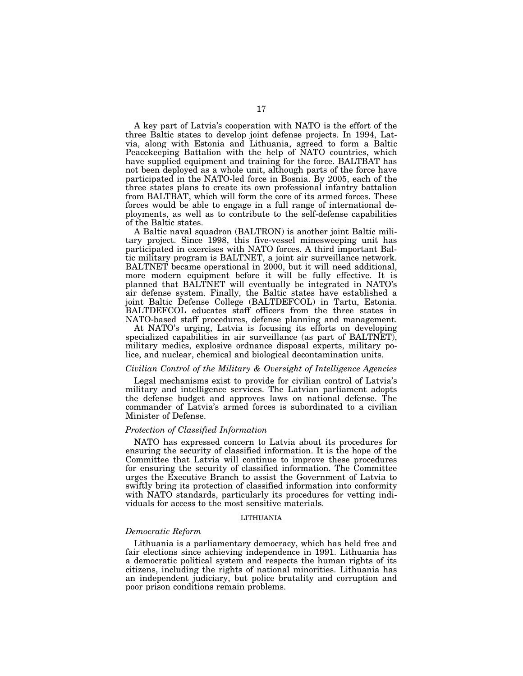A key part of Latvia's cooperation with NATO is the effort of the three Baltic states to develop joint defense projects. In 1994, Latvia, along with Estonia and Lithuania, agreed to form a Baltic Peacekeeping Battalion with the help of NATO countries, which have supplied equipment and training for the force. BALTBAT has not been deployed as a whole unit, although parts of the force have participated in the NATO-led force in Bosnia. By 2005, each of the three states plans to create its own professional infantry battalion from BALTBAT, which will form the core of its armed forces. These forces would be able to engage in a full range of international deployments, as well as to contribute to the self-defense capabilities of the Baltic states.

A Baltic naval squadron (BALTRON) is another joint Baltic military project. Since 1998, this five-vessel minesweeping unit has participated in exercises with NATO forces. A third important Baltic military program is BALTNET, a joint air surveillance network. BALTNET became operational in 2000, but it will need additional, more modern equipment before it will be fully effective. It is planned that BALTNET will eventually be integrated in NATO's air defense system. Finally, the Baltic states have established a joint Baltic Defense College (BALTDEFCOL) in Tartu, Estonia. BALTDEFCOL educates staff officers from the three states in NATO-based staff procedures, defense planning and management.

At NATO's urging, Latvia is focusing its efforts on developing specialized capabilities in air surveillance (as part of BALTNET), military medics, explosive ordnance disposal experts, military police, and nuclear, chemical and biological decontamination units.

# *Civilian Control of the Military & Oversight of Intelligence Agencies*

Legal mechanisms exist to provide for civilian control of Latvia's military and intelligence services. The Latvian parliament adopts the defense budget and approves laws on national defense. The commander of Latvia's armed forces is subordinated to a civilian Minister of Defense.

#### *Protection of Classified Information*

NATO has expressed concern to Latvia about its procedures for ensuring the security of classified information. It is the hope of the Committee that Latvia will continue to improve these procedures for ensuring the security of classified information. The Committee urges the Executive Branch to assist the Government of Latvia to swiftly bring its protection of classified information into conformity with NATO standards, particularly its procedures for vetting individuals for access to the most sensitive materials.

#### LITHUANIA

# *Democratic Reform*

Lithuania is a parliamentary democracy, which has held free and fair elections since achieving independence in 1991. Lithuania has a democratic political system and respects the human rights of its citizens, including the rights of national minorities. Lithuania has an independent judiciary, but police brutality and corruption and poor prison conditions remain problems.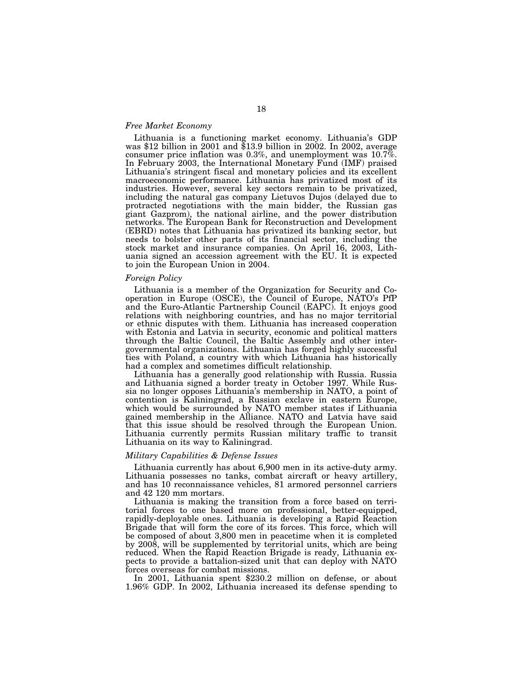# *Free Market Economy*

Lithuania is a functioning market economy. Lithuania's GDP was \$12 billion in 2001 and \$13.9 billion in 2002. In 2002, average consumer price inflation was 0.3%, and unemployment was  $10.7\%$ . In February 2003, the International Monetary Fund (IMF) praised Lithuania's stringent fiscal and monetary policies and its excellent macroeconomic performance. Lithuania has privatized most of its industries. However, several key sectors remain to be privatized, including the natural gas company Lietuvos Dujos (delayed due to protracted negotiations with the main bidder, the Russian gas giant Gazprom), the national airline, and the power distribution networks. The European Bank for Reconstruction and Development (EBRD) notes that Lithuania has privatized its banking sector, but needs to bolster other parts of its financial sector, including the stock market and insurance companies. On April 16, 2003, Lithuania signed an accession agreement with the EU. It is expected to join the European Union in 2004.

# *Foreign Policy*

Lithuania is a member of the Organization for Security and Cooperation in Europe (OSCE), the Council of Europe, NATO's PfP and the Euro-Atlantic Partnership Council (EAPC). It enjoys good relations with neighboring countries, and has no major territorial or ethnic disputes with them. Lithuania has increased cooperation with Estonia and Latvia in security, economic and political matters through the Baltic Council, the Baltic Assembly and other intergovernmental organizations. Lithuania has forged highly successful ties with Poland, a country with which Lithuania has historically had a complex and sometimes difficult relationship.

Lithuania has a generally good relationship with Russia. Russia and Lithuania signed a border treaty in October 1997. While Russia no longer opposes Lithuania's membership in NATO, a point of contention is Kaliningrad, a Russian exclave in eastern Europe, which would be surrounded by NATO member states if Lithuania gained membership in the Alliance. NATO and Latvia have said that this issue should be resolved through the European Union. Lithuania currently permits Russian military traffic to transit Lithuania on its way to Kaliningrad.

# *Military Capabilities & Defense Issues*

Lithuania currently has about 6,900 men in its active-duty army. Lithuania possesses no tanks, combat aircraft or heavy artillery, and has 10 reconnaissance vehicles, 81 armored personnel carriers and 42 120 mm mortars.

Lithuania is making the transition from a force based on territorial forces to one based more on professional, better-equipped, rapidly-deployable ones. Lithuania is developing a Rapid Reaction Brigade that will form the core of its forces. This force, which will be composed of about 3,800 men in peacetime when it is completed by 2008, will be supplemented by territorial units, which are being reduced. When the Rapid Reaction Brigade is ready, Lithuania expects to provide a battalion-sized unit that can deploy with NATO forces overseas for combat missions.

In 2001, Lithuania spent \$230.2 million on defense, or about 1.96% GDP. In 2002, Lithuania increased its defense spending to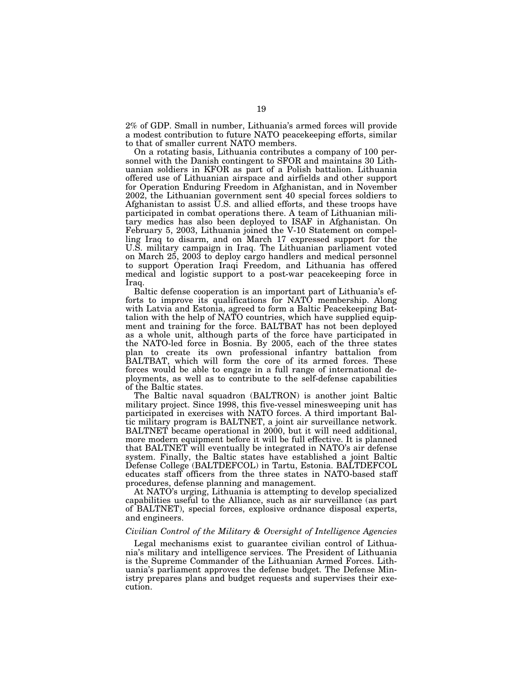2% of GDP. Small in number, Lithuania's armed forces will provide a modest contribution to future NATO peacekeeping efforts, similar to that of smaller current NATO members.

On a rotating basis, Lithuania contributes a company of 100 personnel with the Danish contingent to SFOR and maintains 30 Lithuanian soldiers in KFOR as part of a Polish battalion. Lithuania offered use of Lithuanian airspace and airfields and other support for Operation Enduring Freedom in Afghanistan, and in November 2002, the Lithuanian government sent 40 special forces soldiers to Afghanistan to assist U.S. and allied efforts, and these troops have participated in combat operations there. A team of Lithuanian military medics has also been deployed to ISAF in Afghanistan. On February 5, 2003, Lithuania joined the V-10 Statement on compelling Iraq to disarm, and on March 17 expressed support for the U.S. military campaign in Iraq. The Lithuanian parliament voted on March 25, 2003 to deploy cargo handlers and medical personnel to support Operation Iraqi Freedom, and Lithuania has offered medical and logistic support to a post-war peacekeeping force in Iraq.

Baltic defense cooperation is an important part of Lithuania's efforts to improve its qualifications for NATO membership. Along with Latvia and Estonia, agreed to form a Baltic Peacekeeping Battalion with the help of NATO countries, which have supplied equipment and training for the force. BALTBAT has not been deployed as a whole unit, although parts of the force have participated in the NATO-led force in Bosnia. By 2005, each of the three states plan to create its own professional infantry battalion from BALTBAT, which will form the core of its armed forces. These forces would be able to engage in a full range of international deployments, as well as to contribute to the self-defense capabilities of the Baltic states.

The Baltic naval squadron (BALTRON) is another joint Baltic military project. Since 1998, this five-vessel minesweeping unit has participated in exercises with NATO forces. A third important Baltic military program is BALTNET, a joint air surveillance network. BALTNET became operational in 2000, but it will need additional, more modern equipment before it will be full effective. It is planned that BALTNET will eventually be integrated in NATO's air defense system. Finally, the Baltic states have established a joint Baltic Defense College (BALTDEFCOL) in Tartu, Estonia. BALTDEFCOL educates staff officers from the three states in NATO-based staff procedures, defense planning and management.

At NATO's urging, Lithuania is attempting to develop specialized capabilities useful to the Alliance, such as air surveillance (as part of BALTNET), special forces, explosive ordnance disposal experts, and engineers.

# *Civilian Control of the Military & Oversight of Intelligence Agencies*

Legal mechanisms exist to guarantee civilian control of Lithuania's military and intelligence services. The President of Lithuania is the Supreme Commander of the Lithuanian Armed Forces. Lithuania's parliament approves the defense budget. The Defense Ministry prepares plans and budget requests and supervises their execution.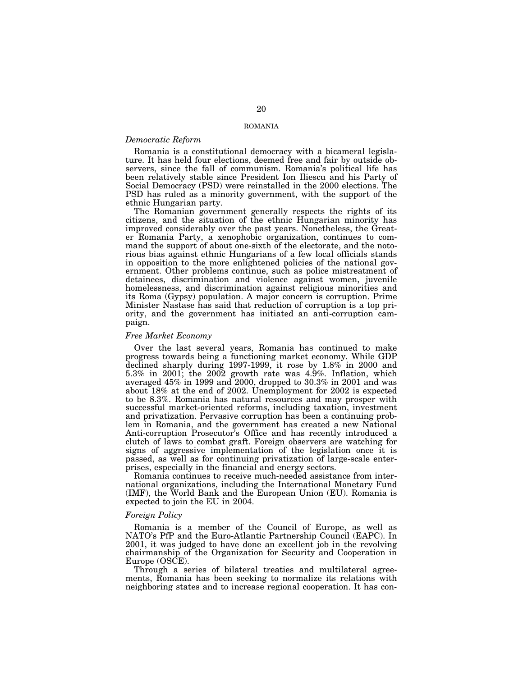# ROMANIA

# *Democratic Reform*

Romania is a constitutional democracy with a bicameral legislature. It has held four elections, deemed free and fair by outside observers, since the fall of communism. Romania's political life has been relatively stable since President Ion Iliescu and his Party of Social Democracy (PSD) were reinstalled in the 2000 elections. The PSD has ruled as a minority government, with the support of the ethnic Hungarian party.

The Romanian government generally respects the rights of its citizens, and the situation of the ethnic Hungarian minority has improved considerably over the past years. Nonetheless, the Greater Romania Party, a xenophobic organization, continues to command the support of about one-sixth of the electorate, and the notorious bias against ethnic Hungarians of a few local officials stands in opposition to the more enlightened policies of the national government. Other problems continue, such as police mistreatment of detainees, discrimination and violence against women, juvenile homelessness, and discrimination against religious minorities and its Roma (Gypsy) population. A major concern is corruption. Prime Minister Nastase has said that reduction of corruption is a top priority, and the government has initiated an anti-corruption campaign.

## *Free Market Economy*

Over the last several years, Romania has continued to make progress towards being a functioning market economy. While GDP declined sharply during 1997-1999, it rose by 1.8% in 2000 and 5.3% in 2001; the 2002 growth rate was 4.9%. Inflation, which averaged 45% in 1999 and 2000, dropped to 30.3% in 2001 and was about 18% at the end of 2002. Unemployment for 2002 is expected to be 8.3%. Romania has natural resources and may prosper with successful market-oriented reforms, including taxation, investment and privatization. Pervasive corruption has been a continuing problem in Romania, and the government has created a new National Anti-corruption Prosecutor's Office and has recently introduced a clutch of laws to combat graft. Foreign observers are watching for signs of aggressive implementation of the legislation once it is passed, as well as for continuing privatization of large-scale enterprises, especially in the financial and energy sectors.

Romania continues to receive much-needed assistance from international organizations, including the International Monetary Fund (IMF), the World Bank and the European Union (EU). Romania is expected to join the EU in 2004.

# *Foreign Policy*

Romania is a member of the Council of Europe, as well as NATO's PfP and the Euro-Atlantic Partnership Council (EAPC). In 2001, it was judged to have done an excellent job in the revolving chairmanship of the Organization for Security and Cooperation in Europe (OSCE).

Through a series of bilateral treaties and multilateral agreements, Romania has been seeking to normalize its relations with neighboring states and to increase regional cooperation. It has con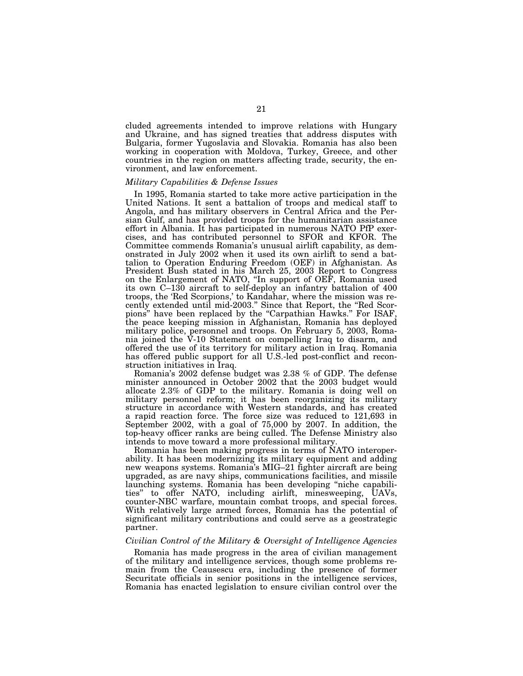cluded agreements intended to improve relations with Hungary and Ukraine, and has signed treaties that address disputes with Bulgaria, former Yugoslavia and Slovakia. Romania has also been working in cooperation with Moldova, Turkey, Greece, and other countries in the region on matters affecting trade, security, the environment, and law enforcement.

# *Military Capabilities & Defense Issues*

In 1995, Romania started to take more active participation in the United Nations. It sent a battalion of troops and medical staff to Angola, and has military observers in Central Africa and the Persian Gulf, and has provided troops for the humanitarian assistance effort in Albania. It has participated in numerous NATO PfP exercises, and has contributed personnel to SFOR and KFOR. The Committee commends Romania's unusual airlift capability, as demonstrated in July 2002 when it used its own airlift to send a battalion to Operation Enduring Freedom (OEF) in Afghanistan. As President Bush stated in his March 25, 2003 Report to Congress on the Enlargement of NATO, ''In support of OEF, Romania used its own C–130 aircraft to self-deploy an infantry battalion of 400 troops, the 'Red Scorpions,' to Kandahar, where the mission was recently extended until mid-2003.'' Since that Report, the ''Red Scorpions'' have been replaced by the ''Carpathian Hawks.'' For ISAF, the peace keeping mission in Afghanistan, Romania has deployed military police, personnel and troops. On February 5, 2003, Romania joined the V-10 Statement on compelling Iraq to disarm, and offered the use of its territory for military action in Iraq. Romania has offered public support for all U.S.-led post-conflict and reconstruction initiatives in Iraq.

Romania's 2002 defense budget was 2.38 % of GDP. The defense minister announced in October 2002 that the 2003 budget would allocate 2.3% of GDP to the military. Romania is doing well on military personnel reform; it has been reorganizing its military structure in accordance with Western standards, and has created a rapid reaction force. The force size was reduced to 121,693 in September 2002, with a goal of 75,000 by 2007. In addition, the top-heavy officer ranks are being culled. The Defense Ministry also intends to move toward a more professional military.

Romania has been making progress in terms of NATO interoperability. It has been modernizing its military equipment and adding new weapons systems. Romania's MIG–21 fighter aircraft are being upgraded, as are navy ships, communications facilities, and missile launching systems. Romania has been developing ''niche capabilities'' to offer NATO, including airlift, minesweeping, UAVs, counter-NBC warfare, mountain combat troops, and special forces. With relatively large armed forces, Romania has the potential of significant military contributions and could serve as a geostrategic partner.

# *Civilian Control of the Military & Oversight of Intelligence Agencies*

Romania has made progress in the area of civilian management of the military and intelligence services, though some problems remain from the Ceausescu era, including the presence of former Securitate officials in senior positions in the intelligence services, Romania has enacted legislation to ensure civilian control over the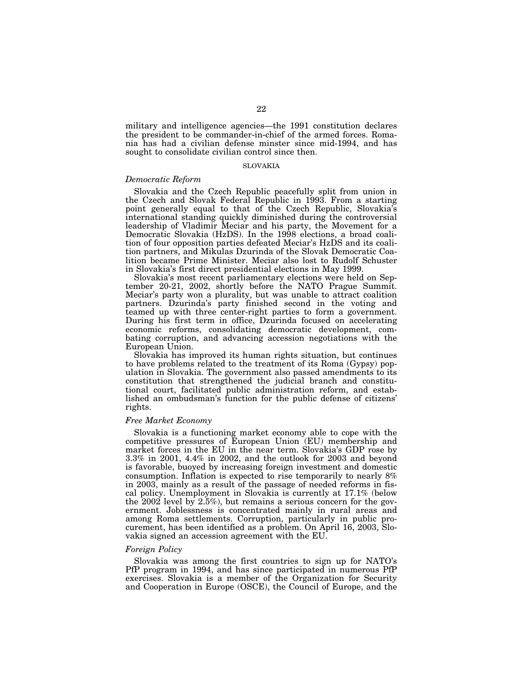military and intelligence agencies—the 1991 constitution declares the president to be commander-in-chief of the armed forces. Romania has had a civilian defense minster since mid-1994, and has sought to consolidate civilian control since then.

# SLOVAKIA

# *Democratic Reform*

Slovakia and the Czech Republic peacefully split from union in the Czech and Slovak Federal Republic in 1993. From a starting point generally equal to that of the Czech Republic, Slovakia's international standing quickly diminished during the controversial leadership of Vladimir Meciar and his party, the Movement for a Democratic Slovakia (HzDS). In the 1998 elections, a broad coalition of four opposition parties defeated Meciar's HzDS and its coalition partners, and Mikulas Dzurinda of the Slovak Democratic Coalition became Prime Minister. Meciar also lost to Rudolf Schuster in Slovakia's first direct presidential elections in May 1999.

Slovakia's most recent parliamentary elections were held on September 20-21, 2002, shortly before the NATO Prague Summit. Meciar's party won a plurality, but was unable to attract coalition partners. Dzurinda's party finished second in the voting and teamed up with three center-right parties to form a government. During his first term in office, Dzurinda focused on accelerating economic reforms, consolidating democratic development, combating corruption, and advancing accession negotiations with the European Union.

Slovakia has improved its human rights situation, but continues to have problems related to the treatment of its Roma (Gypsy) population in Slovakia. The government also passed amendments to its constitution that strengthened the judicial branch and constitutional court, facilitated public administration reform, and established an ombudsman's function for the public defense of citizens' rights.

# *Free Market Economy*

Slovakia is a functioning market economy able to cope with the competitive pressures of European Union (EU) membership and market forces in the EU in the near term. Slovakia's GDP rose by 3.3% in 2001, 4.4% in 2002, and the outlook for 2003 and beyond is favorable, buoyed by increasing foreign investment and domestic consumption. Inflation is expected to rise temporarily to nearly 8% in 2003, mainly as a result of the passage of needed reforms in fiscal policy. Unemployment in Slovakia is currently at 17.1% (below the 2002 level by 2.5%), but remains a serious concern for the government. Joblessness is concentrated mainly in rural areas and among Roma settlements. Corruption, particularly in public procurement, has been identified as a problem. On April 16, 2003, Slovakia signed an accession agreement with the EU.

# *Foreign Policy*

Slovakia was among the first countries to sign up for NATO's PfP program in 1994, and has since participated in numerous PfP exercises. Slovakia is a member of the Organization for Security and Cooperation in Europe (OSCE), the Council of Europe, and the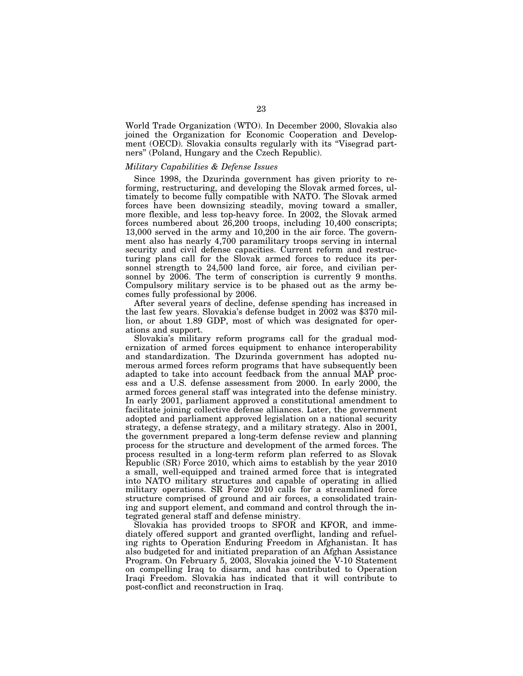World Trade Organization (WTO). In December 2000, Slovakia also joined the Organization for Economic Cooperation and Development (OECD). Slovakia consults regularly with its "Visegrad partners'' (Poland, Hungary and the Czech Republic).

# *Military Capabilities & Defense Issues*

Since 1998, the Dzurinda government has given priority to reforming, restructuring, and developing the Slovak armed forces, ultimately to become fully compatible with NATO. The Slovak armed forces have been downsizing steadily, moving toward a smaller, more flexible, and less top-heavy force. In 2002, the Slovak armed forces numbered about 26,200 troops, including 10,400 conscripts; 13,000 served in the army and 10,200 in the air force. The government also has nearly 4,700 paramilitary troops serving in internal security and civil defense capacities. Current reform and restructuring plans call for the Slovak armed forces to reduce its personnel strength to 24,500 land force, air force, and civilian personnel by 2006. The term of conscription is currently 9 months. Compulsory military service is to be phased out as the army becomes fully professional by 2006.

After several years of decline, defense spending has increased in the last few years. Slovakia's defense budget in 2002 was \$370 million, or about 1.89 GDP, most of which was designated for operations and support.

Slovakia's military reform programs call for the gradual modernization of armed forces equipment to enhance interoperability and standardization. The Dzurinda government has adopted numerous armed forces reform programs that have subsequently been adapted to take into account feedback from the annual MAP process and a U.S. defense assessment from 2000. In early 2000, the armed forces general staff was integrated into the defense ministry. In early 2001, parliament approved a constitutional amendment to facilitate joining collective defense alliances. Later, the government adopted and parliament approved legislation on a national security strategy, a defense strategy, and a military strategy. Also in 2001, the government prepared a long-term defense review and planning process for the structure and development of the armed forces. The process resulted in a long-term reform plan referred to as Slovak Republic (SR) Force 2010, which aims to establish by the year 2010 a small, well-equipped and trained armed force that is integrated into NATO military structures and capable of operating in allied military operations. SR Force 2010 calls for a streamlined force structure comprised of ground and air forces, a consolidated training and support element, and command and control through the integrated general staff and defense ministry.

Slovakia has provided troops to SFOR and KFOR, and immediately offered support and granted overflight, landing and refueling rights to Operation Enduring Freedom in Afghanistan. It has also budgeted for and initiated preparation of an Afghan Assistance Program. On February 5, 2003, Slovakia joined the V-10 Statement on compelling Iraq to disarm, and has contributed to Operation Iraqi Freedom. Slovakia has indicated that it will contribute to post-conflict and reconstruction in Iraq.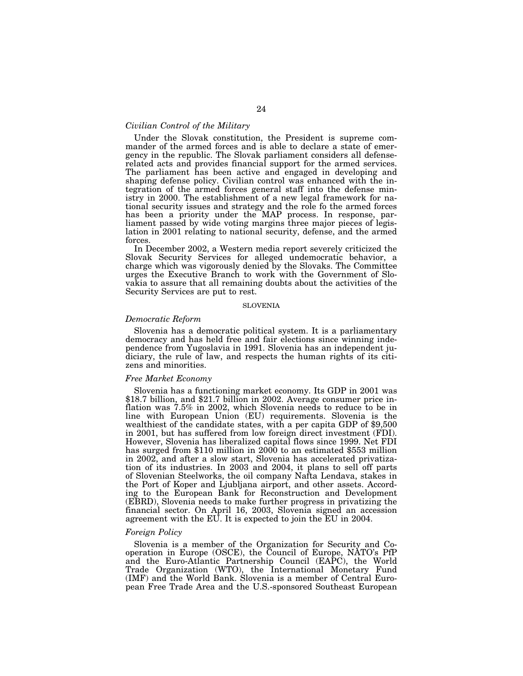# *Civilian Control of the Military*

Under the Slovak constitution, the President is supreme commander of the armed forces and is able to declare a state of emergency in the republic. The Slovak parliament considers all defenserelated acts and provides financial support for the armed services. The parliament has been active and engaged in developing and shaping defense policy. Civilian control was enhanced with the integration of the armed forces general staff into the defense ministry in 2000. The establishment of a new legal framework for national security issues and strategy and the role fo the armed forces has been a priority under the MAP process. In response, parliament passed by wide voting margins three major pieces of legislation in 2001 relating to national security, defense, and the armed forces.

In December 2002, a Western media report severely criticized the Slovak Security Services for alleged undemocratic behavior, a charge which was vigorously denied by the Slovaks. The Committee urges the Executive Branch to work with the Government of Slovakia to assure that all remaining doubts about the activities of the Security Services are put to rest.

# SLOVENIA

# *Democratic Reform*

Slovenia has a democratic political system. It is a parliamentary democracy and has held free and fair elections since winning independence from Yugoslavia in 1991. Slovenia has an independent judiciary, the rule of law, and respects the human rights of its citizens and minorities.

# *Free Market Economy*

Slovenia has a functioning market economy. Its GDP in 2001 was \$18.7 billion, and \$21.7 billion in 2002. Average consumer price inflation was 7.5% in 2002, which Slovenia needs to reduce to be in line with European Union (EU) requirements. Slovenia is the wealthiest of the candidate states, with a per capita GDP of \$9,500 in 2001, but has suffered from low foreign direct investment (FDI). However, Slovenia has liberalized capital flows since 1999. Net FDI has surged from \$110 million in 2000 to an estimated \$553 million in 2002, and after a slow start, Slovenia has accelerated privatization of its industries. In 2003 and 2004, it plans to sell off parts of Slovenian Steelworks, the oil company Nafta Lendava, stakes in the Port of Koper and Ljubljana airport, and other assets. According to the European Bank for Reconstruction and Development (EBRD), Slovenia needs to make further progress in privatizing the financial sector. On April 16, 2003, Slovenia signed an accession agreement with the EU. It is expected to join the EU in 2004.

## *Foreign Policy*

Slovenia is a member of the Organization for Security and Cooperation in Europe (OSCE), the Council of Europe, NATO's PfP and the Euro-Atlantic Partnership Council (EAPC), the World Trade Organization (WTO), the International Monetary Fund (IMF) and the World Bank. Slovenia is a member of Central European Free Trade Area and the U.S.-sponsored Southeast European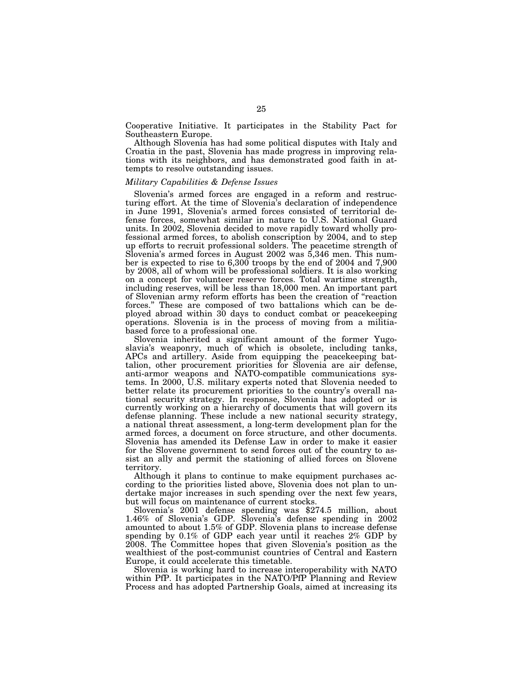Cooperative Initiative. It participates in the Stability Pact for Southeastern Europe.

Although Slovenia has had some political disputes with Italy and Croatia in the past, Slovenia has made progress in improving relations with its neighbors, and has demonstrated good faith in attempts to resolve outstanding issues.

# *Military Capabilities & Defense Issues*

Slovenia's armed forces are engaged in a reform and restructuring effort. At the time of Slovenia's declaration of independence in June 1991, Slovenia's armed forces consisted of territorial defense forces, somewhat similar in nature to U.S. National Guard units. In 2002, Slovenia decided to move rapidly toward wholly professional armed forces, to abolish conscription by 2004, and to step up efforts to recruit professional solders. The peacetime strength of Slovenia's armed forces in August 2002 was 5,346 men. This number is expected to rise to 6,300 troops by the end of 2004 and 7,900 by 2008, all of whom will be professional soldiers. It is also working on a concept for volunteer reserve forces. Total wartime strength, including reserves, will be less than 18,000 men. An important part of Slovenian army reform efforts has been the creation of ''reaction forces.'' These are composed of two battalions which can be deployed abroad within 30 days to conduct combat or peacekeeping operations. Slovenia is in the process of moving from a militiabased force to a professional one.

Slovenia inherited a significant amount of the former Yugoslavia's weaponry, much of which is obsolete, including tanks, APCs and artillery. Aside from equipping the peacekeeping battalion, other procurement priorities for Slovenia are air defense, anti-armor weapons and NATO-compatible communications systems. In 2000, U.S. military experts noted that Slovenia needed to better relate its procurement priorities to the country's overall national security strategy. In response, Slovenia has adopted or is currently working on a hierarchy of documents that will govern its defense planning. These include a new national security strategy, a national threat assessment, a long-term development plan for the armed forces, a document on force structure, and other documents. Slovenia has amended its Defense Law in order to make it easier for the Slovene government to send forces out of the country to assist an ally and permit the stationing of allied forces on Slovene territory.

Although it plans to continue to make equipment purchases according to the priorities listed above, Slovenia does not plan to undertake major increases in such spending over the next few years, but will focus on maintenance of current stocks.

Slovenia's 2001 defense spending was \$274.5 million, about 1.46% of Slovenia's GDP. Slovenia's defense spending in 2002 amounted to about 1.5% of GDP. Slovenia plans to increase defense spending by 0.1% of GDP each year until it reaches 2% GDP by 2008. The Committee hopes that given Slovenia's position as the wealthiest of the post-communist countries of Central and Eastern Europe, it could accelerate this timetable.

Slovenia is working hard to increase interoperability with NATO within PfP. It participates in the NATO/PfP Planning and Review Process and has adopted Partnership Goals, aimed at increasing its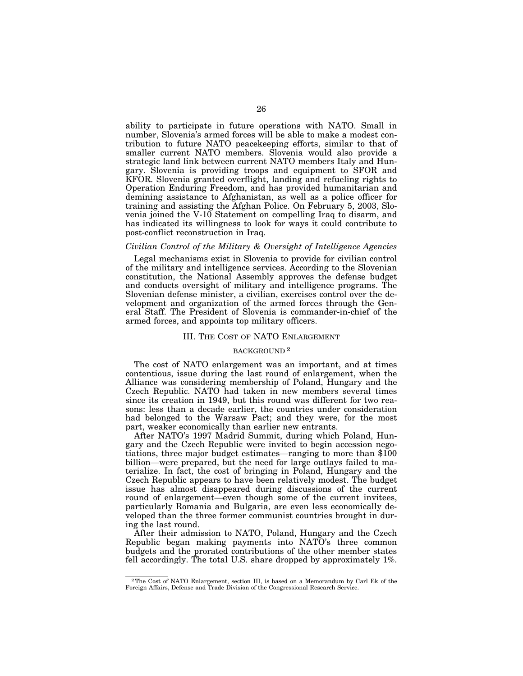ability to participate in future operations with NATO. Small in number, Slovenia's armed forces will be able to make a modest contribution to future NATO peacekeeping efforts, similar to that of smaller current NATO members. Slovenia would also provide a strategic land link between current NATO members Italy and Hungary. Slovenia is providing troops and equipment to SFOR and KFOR. Slovenia granted overflight, landing and refueling rights to Operation Enduring Freedom, and has provided humanitarian and demining assistance to Afghanistan, as well as a police officer for training and assisting the Afghan Police. On February 5, 2003, Slovenia joined the V-10 Statement on compelling Iraq to disarm, and has indicated its willingness to look for ways it could contribute to post-conflict reconstruction in Iraq.

# *Civilian Control of the Military & Oversight of Intelligence Agencies*

Legal mechanisms exist in Slovenia to provide for civilian control of the military and intelligence services. According to the Slovenian constitution, the National Assembly approves the defense budget and conducts oversight of military and intelligence programs. The Slovenian defense minister, a civilian, exercises control over the development and organization of the armed forces through the General Staff. The President of Slovenia is commander-in-chief of the armed forces, and appoints top military officers.

## III. THE COST OF NATO ENLARGEMENT

## BACKGROUND 2

The cost of NATO enlargement was an important, and at times contentious, issue during the last round of enlargement, when the Alliance was considering membership of Poland, Hungary and the Czech Republic. NATO had taken in new members several times since its creation in 1949, but this round was different for two reasons: less than a decade earlier, the countries under consideration had belonged to the Warsaw Pact; and they were, for the most part, weaker economically than earlier new entrants.

After NATO's 1997 Madrid Summit, during which Poland, Hungary and the Czech Republic were invited to begin accession negotiations, three major budget estimates—ranging to more than \$100 billion—were prepared, but the need for large outlays failed to materialize. In fact, the cost of bringing in Poland, Hungary and the Czech Republic appears to have been relatively modest. The budget issue has almost disappeared during discussions of the current round of enlargement—even though some of the current invitees, particularly Romania and Bulgaria, are even less economically developed than the three former communist countries brought in during the last round.

After their admission to NATO, Poland, Hungary and the Czech Republic began making payments into NATO's three common budgets and the prorated contributions of the other member states fell accordingly. The total U.S. share dropped by approximately 1%.

<sup>2</sup>The Cost of NATO Enlargement, section III, is based on a Memorandum by Carl Ek of the Foreign Affairs, Defense and Trade Division of the Congressional Research Service.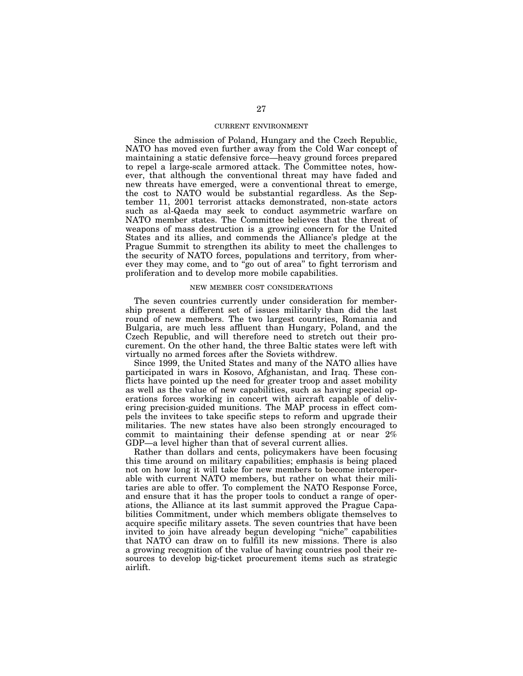# CURRENT ENVIRONMENT

Since the admission of Poland, Hungary and the Czech Republic, NATO has moved even further away from the Cold War concept of maintaining a static defensive force—heavy ground forces prepared to repel a large-scale armored attack. The Committee notes, however, that although the conventional threat may have faded and new threats have emerged, were a conventional threat to emerge, the cost to NATO would be substantial regardless. As the September 11, 2001 terrorist attacks demonstrated, non-state actors such as al-Qaeda may seek to conduct asymmetric warfare on NATO member states. The Committee believes that the threat of weapons of mass destruction is a growing concern for the United States and its allies, and commends the Alliance's pledge at the Prague Summit to strengthen its ability to meet the challenges to the security of NATO forces, populations and territory, from wherever they may come, and to "go out of area" to fight terrorism and proliferation and to develop more mobile capabilities.

# NEW MEMBER COST CONSIDERATIONS

The seven countries currently under consideration for membership present a different set of issues militarily than did the last round of new members. The two largest countries, Romania and Bulgaria, are much less affluent than Hungary, Poland, and the Czech Republic, and will therefore need to stretch out their procurement. On the other hand, the three Baltic states were left with virtually no armed forces after the Soviets withdrew.

Since 1999, the United States and many of the NATO allies have participated in wars in Kosovo, Afghanistan, and Iraq. These conflicts have pointed up the need for greater troop and asset mobility as well as the value of new capabilities, such as having special operations forces working in concert with aircraft capable of delivering precision-guided munitions. The MAP process in effect compels the invitees to take specific steps to reform and upgrade their militaries. The new states have also been strongly encouraged to commit to maintaining their defense spending at or near 2% GDP—a level higher than that of several current allies.

Rather than dollars and cents, policymakers have been focusing this time around on military capabilities; emphasis is being placed not on how long it will take for new members to become interoperable with current NATO members, but rather on what their militaries are able to offer. To complement the NATO Response Force, and ensure that it has the proper tools to conduct a range of operations, the Alliance at its last summit approved the Prague Capabilities Commitment, under which members obligate themselves to acquire specific military assets. The seven countries that have been invited to join have already begun developing ''niche'' capabilities that NATO can draw on to fulfill its new missions. There is also a growing recognition of the value of having countries pool their resources to develop big-ticket procurement items such as strategic airlift.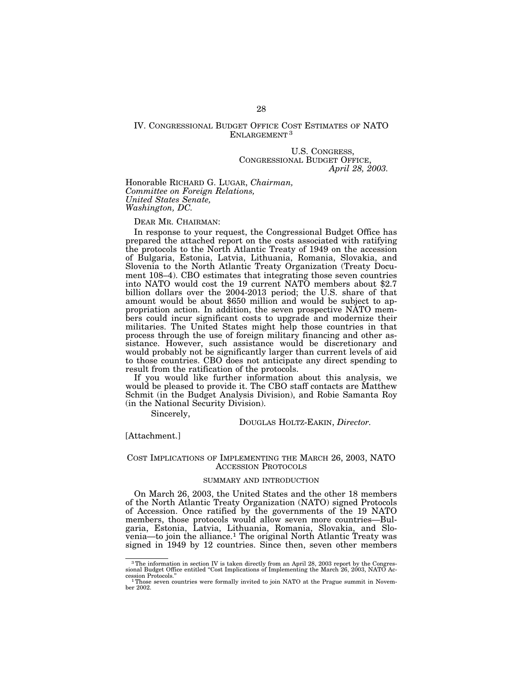# IV. CONGRESSIONAL BUDGET OFFICE COST ESTIMATES OF NATO ENLARGEMENT<sup>3</sup>

U.S. CONGRESS, CONGRESSIONAL BUDGET OFFICE, *April 28, 2003.*

Honorable RICHARD G. LUGAR, *Chairman, Committee on Foreign Relations, United States Senate, Washington, DC.*

DEAR MR. CHAIRMAN:

In response to your request, the Congressional Budget Office has prepared the attached report on the costs associated with ratifying the protocols to the North Atlantic Treaty of 1949 on the accession of Bulgaria, Estonia, Latvia, Lithuania, Romania, Slovakia, and Slovenia to the North Atlantic Treaty Organization (Treaty Document 108–4). CBO estimates that integrating those seven countries into NATO would cost the 19 current NATO members about \$2.7 billion dollars over the 2004-2013 period; the U.S. share of that amount would be about \$650 million and would be subject to appropriation action. In addition, the seven prospective NATO members could incur significant costs to upgrade and modernize their militaries. The United States might help those countries in that process through the use of foreign military financing and other assistance. However, such assistance would be discretionary and would probably not be significantly larger than current levels of aid to those countries. CBO does not anticipate any direct spending to result from the ratification of the protocols.

If you would like further information about this analysis, we would be pleased to provide it. The CBO staff contacts are Matthew Schmit (in the Budget Analysis Division), and Robie Samanta Roy (in the National Security Division).

Sincerely,

DOUGLAS HOLTZ-EAKIN, *Director.*

[Attachment.]

# COST IMPLICATIONS OF IMPLEMENTING THE MARCH 26, 2003, NATO ACCESSION PROTOCOLS

# SUMMARY AND INTRODUCTION

On March 26, 2003, the United States and the other 18 members of the North Atlantic Treaty Organization (NATO) signed Protocols of Accession. Once ratified by the governments of the 19 NATO members, those protocols would allow seven more countries—Bulgaria, Estonia, Latvia, Lithuania, Romania, Slovakia, and Slovenia—to join the alliance.1 The original North Atlantic Treaty was signed in 1949 by 12 countries. Since then, seven other members

<sup>3</sup>The information in section IV is taken directly from an April 28, 2003 report by the Congres-sional Budget Office entitled ''Cost Implications of Implementing the March 26, 2003, NATO Accession Protocols.'' 1Those seven countries were formally invited to join NATO at the Prague summit in Novem-

ber 2002.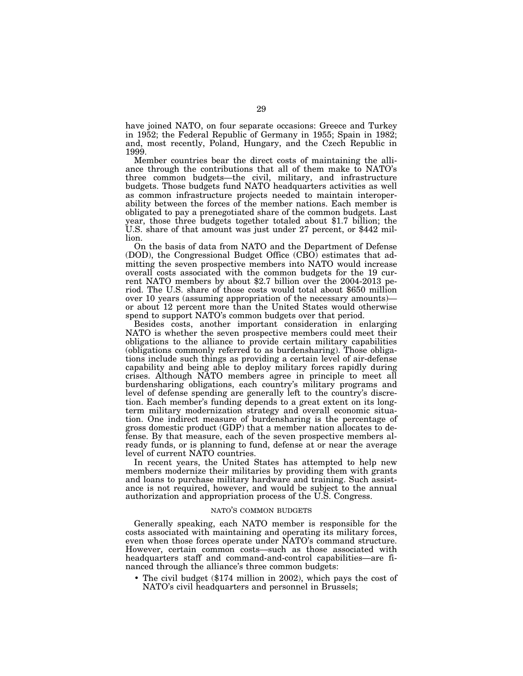have joined NATO, on four separate occasions: Greece and Turkey in 1952; the Federal Republic of Germany in 1955; Spain in 1982; and, most recently, Poland, Hungary, and the Czech Republic in 1999.

Member countries bear the direct costs of maintaining the alliance through the contributions that all of them make to NATO's three common budgets—the civil, military, and infrastructure budgets. Those budgets fund NATO headquarters activities as well as common infrastructure projects needed to maintain interoperability between the forces of the member nations. Each member is obligated to pay a prenegotiated share of the common budgets. Last year, those three budgets together totaled about \$1.7 billion; the U.S. share of that amount was just under 27 percent, or \$442 million.

On the basis of data from NATO and the Department of Defense (DOD), the Congressional Budget Office (CBO) estimates that admitting the seven prospective members into NATO would increase overall costs associated with the common budgets for the 19 current NATO members by about \$2.7 billion over the 2004-2013 period. The U.S. share of those costs would total about \$650 million over 10 years (assuming appropriation of the necessary amounts) or about 12 percent more than the United States would otherwise spend to support NATO's common budgets over that period.

Besides costs, another important consideration in enlarging NATO is whether the seven prospective members could meet their obligations to the alliance to provide certain military capabilities (obligations commonly referred to as burdensharing). Those obligations include such things as providing a certain level of air-defense capability and being able to deploy military forces rapidly during crises. Although NATO members agree in principle to meet all burdensharing obligations, each country's military programs and level of defense spending are generally left to the country's discretion. Each member's funding depends to a great extent on its longterm military modernization strategy and overall economic situation. One indirect measure of burdensharing is the percentage of gross domestic product (GDP) that a member nation allocates to defense. By that measure, each of the seven prospective members already funds, or is planning to fund, defense at or near the average level of current NATO countries.

In recent years, the United States has attempted to help new members modernize their militaries by providing them with grants and loans to purchase military hardware and training. Such assistance is not required, however, and would be subject to the annual authorization and appropriation process of the U.S. Congress.

## NATO'S COMMON BUDGETS

Generally speaking, each NATO member is responsible for the costs associated with maintaining and operating its military forces, even when those forces operate under NATO's command structure. However, certain common costs—such as those associated with headquarters staff and command-and-control capabilities—are financed through the alliance's three common budgets:

• The civil budget (\$174 million in 2002), which pays the cost of NATO's civil headquarters and personnel in Brussels;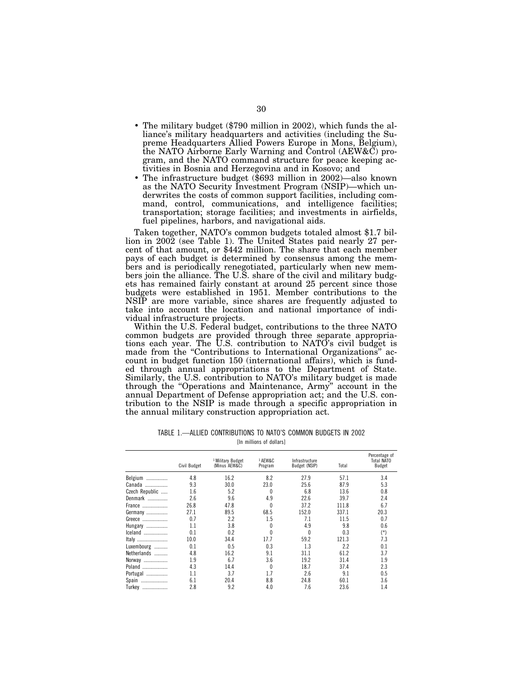- The military budget (\$790 million in 2002), which funds the alliance's military headquarters and activities (including the Supreme Headquarters Allied Powers Europe in Mons, Belgium), the NATO Airborne Early Warning and Control (AEW&C) program, and the NATO command structure for peace keeping activities in Bosnia and Herzegovina and in Kosovo; and
- The infrastructure budget (\$693 million in 2002)—also known as the NATO Security Investment Program (NSIP)—which underwrites the costs of common support facilities, including command, control, communications, and intelligence facilities; transportation; storage facilities; and investments in airfields, fuel pipelines, harbors, and navigational aids.

Taken together, NATO's common budgets totaled almost \$1.7 billion in 2002 (see Table 1). The United States paid nearly 27 percent of that amount, or \$442 million. The share that each member pays of each budget is determined by consensus among the members and is periodically renegotiated, particularly when new members join the alliance. The U.S. share of the civil and military budgets has remained fairly constant at around 25 percent since those budgets were established in 1951. Member contributions to the NSIP are more variable, since shares are frequently adjusted to take into account the location and national importance of individual infrastructure projects.

Within the U.S. Federal budget, contributions to the three NATO common budgets are provided through three separate appropriations each year. The U.S. contribution to NATO's civil budget is made from the "Contributions to International Organizations" account in budget function 150 (international affairs), which is funded through annual appropriations to the Department of State. Similarly, the U.S. contribution to NATO's military budget is made through the ''Operations and Maintenance, Army'' account in the annual Department of Defense appropriation act; and the U.S. contribution to the NSIP is made through a specific appropriation in the annual military construction appropriation act.

TABLE 1.—ALLIED CONTRIBUTIONS TO NATO'S COMMON BUDGETS IN 2002 [In millions of dollars]

|                | Civil Budget | <sup>1</sup> Military Budget<br>(Minus AEW&C) | <sup>1</sup> AEW&C<br>Program | Infrastructure<br>Budget (NSIP) | Total | Percentage of<br>Total NATO<br>Budget |
|----------------|--------------|-----------------------------------------------|-------------------------------|---------------------------------|-------|---------------------------------------|
| Belgium        | 4.8          | 16.2                                          | 8.2                           | 27.9                            | 57.1  | 3.4                                   |
| Canada         | 9.3          | 30.0                                          | 23.0                          | 25.6                            | 87.9  | 5.3                                   |
| Czech Republic | 1.6          | 5.2                                           | $\theta$                      | 6.8                             | 13.6  | 0.8                                   |
| Denmark        | 2.6          | 9.6                                           | 4.9                           | 22.6                            | 39.7  | 2.4                                   |
| France         | 26.8         | 47.8                                          | $\theta$                      | 37.2                            | 111.8 | 6.7                                   |
| Germany        | 27.1         | 89.5                                          | 68.5                          | 152.0                           | 337.1 | 20.3                                  |
| Greece         | 0.7          | 2.2                                           | 1.5                           | 7.1                             | 11.5  | 0.7                                   |
| Hungary        | 1.1          | 3.8                                           | $\theta$                      | 4.9                             | 9.8   | 0.6                                   |
| Iceland        | 0.1          | 0.2                                           | $\theta$                      | 0                               | 0.3   | $(*)$                                 |
| Italy          | 10.0         | 34.4                                          | 17.7                          | 59.2                            | 121.3 | 7.3                                   |
| Luxembourg     | 0.1          | 0.5                                           | 0.3                           | 1.3                             | 2.2   | 0.1                                   |
| Netherlands    | 4.8          | 16.2                                          | 9.1                           | 31.1                            | 61.2  | 3.7                                   |
| Norway         | 1.9          | 6.7                                           | 3.6                           | 19.2                            | 31.4  | 1.9                                   |
| Poland         | 4.3          | 14.4                                          | $\theta$                      | 18.7                            | 37.4  | 2.3                                   |
| Portugal       | 1.1          | 3.7                                           | 1.7                           | 2.6                             | 9.1   | 0.5                                   |
| Spain          | 6.1          | 20.4                                          | 8.8                           | 24.8                            | 60.1  | 3.6                                   |
| Turkey         | 2.8          | 9.2                                           | 4.0                           | 7.6                             | 23.6  | 1.4                                   |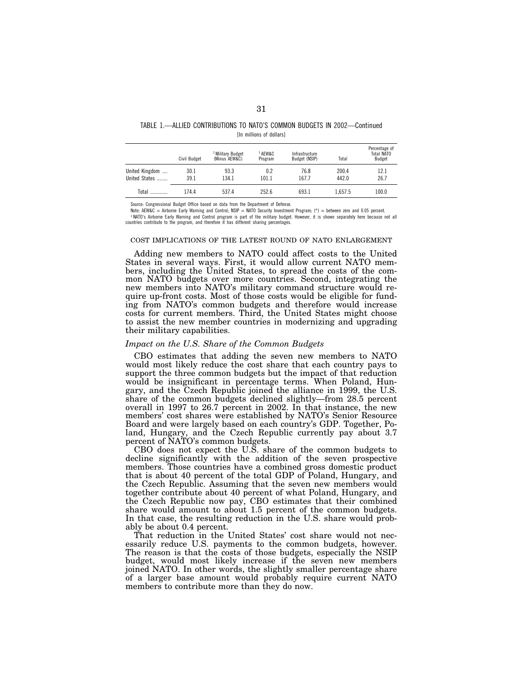| TABLE 1.—ALLIED CONTRIBUTIONS TO NATO'S COMMON BUDGETS IN 2002-Continued |
|--------------------------------------------------------------------------|
| [In millions of dollars]                                                 |

|                | Civil Budget | <sup>1</sup> Military Budget<br>(Minus AEW&C) | <sup>1</sup> AFW&C<br>Program | Infrastructure<br>Budget (NSIP) | Total   | Percentage of<br>Total NATO<br>Budget |
|----------------|--------------|-----------------------------------------------|-------------------------------|---------------------------------|---------|---------------------------------------|
| United Kingdom | 30.1         | 93.3                                          | 0.2                           | 76.8                            | 200.4   | 12.1                                  |
| United States  | 39.1         | 134.1                                         | 101.1                         | 167.7                           | 442.0   | 26.7                                  |
| Total          | 174.4        | 537.4                                         | 252.6                         | 693.1                           | 1.657.5 | 100.0                                 |

Source: Congressional Budget Office based on data from the Department of Defense.

Note: AEW&C = Airborne Early Warning and Control; NSIP = NATO Security Investment Program; (\*) = between zero and 0.05 percent. 1 NATO's Airborne Early Warning and Control program is part of the military budget. However, it is shown separately here because not all countries contribute to the program, and therefore it has different sharing percentages.

## COST IMPLICATIONS OF THE LATEST ROUND OF NATO ENLARGEMENT

Adding new members to NATO could affect costs to the United States in several ways. First, it would allow current NATO members, including the United States, to spread the costs of the common NATO budgets over more countries. Second, integrating the new members into NATO's military command structure would require up-front costs. Most of those costs would be eligible for funding from NATO's common budgets and therefore would increase costs for current members. Third, the United States might choose to assist the new member countries in modernizing and upgrading their military capabilities.

## *Impact on the U.S. Share of the Common Budgets*

CBO estimates that adding the seven new members to NATO would most likely reduce the cost share that each country pays to support the three common budgets but the impact of that reduction would be insignificant in percentage terms. When Poland, Hungary, and the Czech Republic joined the alliance in 1999, the U.S. share of the common budgets declined slightly—from 28.5 percent overall in 1997 to 26.7 percent in 2002. In that instance, the new members' cost shares were established by NATO's Senior Resource Board and were largely based on each country's GDP. Together, Poland, Hungary, and the Czech Republic currently pay about 3.7 percent of NATO's common budgets.

CBO does not expect the U.S. share of the common budgets to decline significantly with the addition of the seven prospective members. Those countries have a combined gross domestic product that is about 40 percent of the total GDP of Poland, Hungary, and the Czech Republic. Assuming that the seven new members would together contribute about 40 percent of what Poland, Hungary, and the Czech Republic now pay, CBO estimates that their combined share would amount to about 1.5 percent of the common budgets. In that case, the resulting reduction in the U.S. share would probably be about 0.4 percent.

That reduction in the United States' cost share would not necessarily reduce U.S. payments to the common budgets, however. The reason is that the costs of those budgets, especially the NSIP budget, would most likely increase if the seven new members joined NATO. In other words, the slightly smaller percentage share of a larger base amount would probably require current NATO members to contribute more than they do now.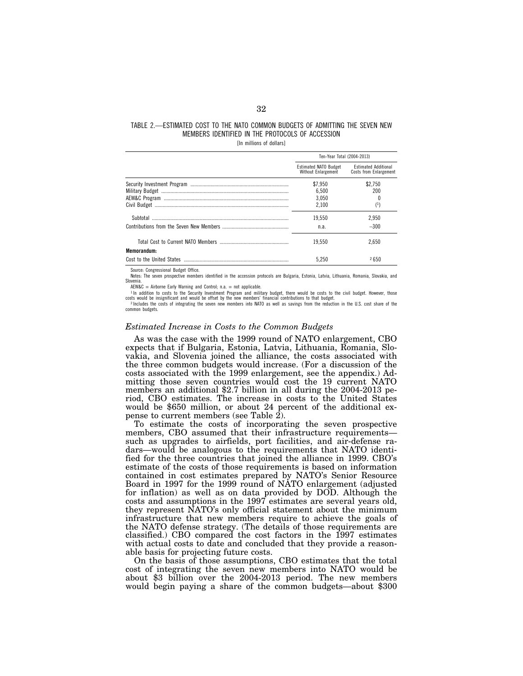# TABLE 2.—ESTIMATED COST TO THE NATO COMMON BUDGETS OF ADMITTING THE SEVEN NEW MEMBERS IDENTIFIED IN THE PROTOCOLS OF ACCESSION

[In millions of dollars]

|             | Ten-Year Total (2004-2013)                          |                                                       |
|-------------|-----------------------------------------------------|-------------------------------------------------------|
|             | <b>Estimated NATO Budget</b><br>Without Enlargement | <b>Estimated Additional</b><br>Costs from Enlargement |
|             | \$7.950                                             | \$2.750                                               |
|             | 6.500                                               | 200                                                   |
|             | 3.050                                               |                                                       |
|             | 2.100                                               | $^{(1)}$                                              |
|             | 19.550                                              | 2.950                                                 |
|             | n.a.                                                | $-300$                                                |
|             | 19.550                                              | 2.650                                                 |
| Memorandum: |                                                     |                                                       |
|             | 5.250                                               | <b>2650</b>                                           |

urce: Congressional Budget Office.

Notes: The seven prospective members identified in the accession protocols are Bulgaria, Estonia, Latvia, Lithuania, Romania, Slovakia, and Slovenia.

AEW&C = Airborne Early Warning and Control; n.a. = not applicable.

1In addition to costs to the Security Investment Program and military budget, there would be costs to the civil budget. However, those costs would be insignificant and would be offset by the new members' financial contributions to that budget. <sup>2</sup> Includes the costs of integrating the seven new members into NATO as well as savings from the reduction in the U.S. cost share of the common budgets.

# *Estimated Increase in Costs to the Common Budgets*

As was the case with the 1999 round of NATO enlargement, CBO expects that if Bulgaria, Estonia, Latvia, Lithuania, Romania, Slovakia, and Slovenia joined the alliance, the costs associated with the three common budgets would increase. (For a discussion of the costs associated with the 1999 enlargement, see the appendix.) Admitting those seven countries would cost the 19 current NATO members an additional \$2.7 billion in all during the 2004-2013 period, CBO estimates. The increase in costs to the United States would be \$650 million, or about 24 percent of the additional expense to current members (see Table 2).

To estimate the costs of incorporating the seven prospective members, CBO assumed that their infrastructure requirements such as upgrades to airfields, port facilities, and air-defense radars—would be analogous to the requirements that NATO identified for the three countries that joined the alliance in 1999. CBO's estimate of the costs of those requirements is based on information contained in cost estimates prepared by NATO's Senior Resource Board in 1997 for the 1999 round of NATO enlargement (adjusted for inflation) as well as on data provided by DOD. Although the costs and assumptions in the 1997 estimates are several years old, they represent NATO's only official statement about the minimum infrastructure that new members require to achieve the goals of the NATO defense strategy. (The details of those requirements are classified.) CBO compared the cost factors in the 1997 estimates with actual costs to date and concluded that they provide a reasonable basis for projecting future costs.

On the basis of those assumptions, CBO estimates that the total cost of integrating the seven new members into NATO would be about \$3 billion over the 2004-2013 period. The new members would begin paying a share of the common budgets—about \$300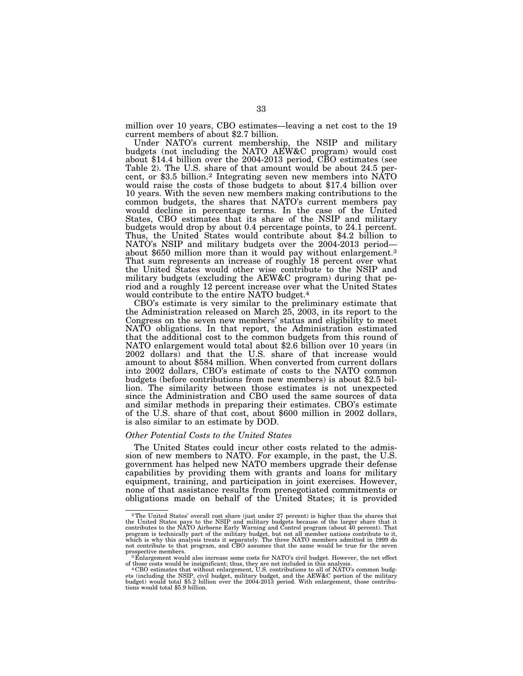million over 10 years, CBO estimates—leaving a net cost to the 19 current members of about \$2.7 billion.

Under NATO's current membership, the NSIP and military budgets (not including the NATO AEW&C program) would cost about \$14.4 billion over the 2004-2013 period, CBO estimates (see Table 2). The U.S. share of that amount would be about 24.5 per-<br>cent, or \$3.5 billion.<sup>2</sup> Integrating seven new members into NATO would raise the costs of those budgets to about \$17.4 billion over 10 years. With the seven new members making contributions to the common budgets, the shares that NATO's current members pay would decline in percentage terms. In the case of the United States, CBO estimates that its share of the NSIP and military budgets would drop by about 0.4 percentage points, to 24.1 percent. Thus, the United States would contribute about \$4.2 billion to NATO's NSIP and military budgets over the 2004-2013 period about \$650 million more than it would pay without enlargement.<sup>3</sup> That sum represents an increase of roughly 18 percent over what the United States would other wise contribute to the NSIP and military budgets (excluding the AEW&C program) during that period and a roughly 12 percent increase over what the United States would contribute to the entire NATO budget.4

CBO's estimate is very similar to the preliminary estimate that the Administration released on March 25, 2003, in its report to the Congress on the seven new members' status and eligibility to meet NATO obligations. In that report, the Administration estimated that the additional cost to the common budgets from this round of NATO enlargement would total about \$2.6 billion over 10 years (in 2002 dollars) and that the U.S. share of that increase would amount to about \$584 million. When converted from current dollars into 2002 dollars, CBO's estimate of costs to the NATO common budgets (before contributions from new members) is about \$2.5 billion. The similarity between those estimates is not unexpected since the Administration and CBO used the same sources of data and similar methods in preparing their estimates. CBO's estimate of the U.S. share of that cost, about \$600 million in 2002 dollars, is also similar to an estimate by DOD.

# *Other Potential Costs to the United States*

The United States could incur other costs related to the admission of new members to NATO. For example, in the past, the U.S. government has helped new NATO members upgrade their defense capabilities by providing them with grants and loans for military equipment, training, and participation in joint exercises. However, none of that assistance results from prenegotiated commitments or obligations made on behalf of the United States; it is provided

<sup>2</sup>The United States' overall cost share (just under 27 percent) is higher than the shares that the United States pays to the NSIP and military budgets because of the larger share that it contributes to the NATO Airborne Early Warning and Control program (about 40 percent). That program is technically part of the mil prospective members.<br><sup>3</sup> Enlargement would also increase some costs for NATO's civil budget. However, the net effect

of those costs would be insignificant; thus, they are not included in this analysis. 4 CBO estimates that without enlargement, U.S. contributions to all of NATO's common budg-

ets (including the NSIP, civil budget, military budget, and the AEW&C portion of the military budget) would total \$5.2 billion over the 2004-2013 period. With enlargement, those contributions would total \$5.9 billion.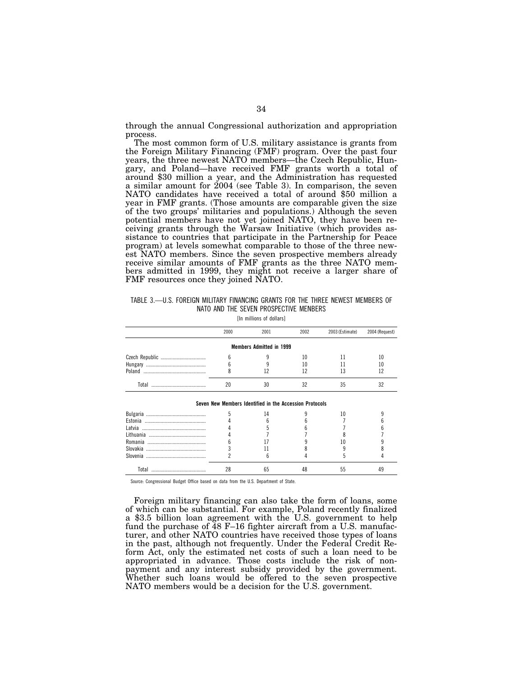through the annual Congressional authorization and appropriation process.

The most common form of U.S. military assistance is grants from the Foreign Military Financing (FMF) program. Over the past four years, the three newest NATO members—the Czech Republic, Hungary, and Poland—have received FMF grants worth a total of around \$30 million a year, and the Administration has requested a similar amount for 2004 (see Table 3). In comparison, the seven NATO candidates have received a total of around \$50 million a year in FMF grants. (Those amounts are comparable given the size of the two groups' militaries and populations.) Although the seven potential members have not yet joined NATO, they have been receiving grants through the Warsaw Initiative (which provides assistance to countries that participate in the Partnership for Peace program) at levels somewhat comparable to those of the three newest NATO members. Since the seven prospective members already receive similar amounts of FMF grants as the three NATO members admitted in 1999, they might not receive a larger share of FMF resources once they joined NATO.

| TABLE 3.—U.S. FOREIGN MILITARY FINANCING GRANTS FOR THE THREE NEWEST MEMBERS OF |  |                                        |  |  |  |
|---------------------------------------------------------------------------------|--|----------------------------------------|--|--|--|
|                                                                                 |  | NATO AND THE SEVEN PROSPECTIVE MENBERS |  |  |  |

[In millions of dollars]

| 2000 | 2001                                                    | 2002 | 2003 (Estimate) | 2004 (Request) |
|------|---------------------------------------------------------|------|-----------------|----------------|
|      | <b>Members Admitted in 1999</b>                         |      |                 |                |
| b    |                                                         | 10   |                 | 10             |
| h    |                                                         | 10   |                 | 10             |
|      |                                                         | 12   |                 | 12             |
| 20   | 30                                                      | 32   | 35              | 32             |
|      | Seven New Members Identified in the Accession Protocols |      |                 |                |
| 5    | 14                                                      |      | 10              |                |
|      |                                                         |      |                 |                |
|      |                                                         |      |                 |                |
|      |                                                         |      |                 |                |
| h    |                                                         |      | 10              |                |
|      |                                                         |      |                 |                |
|      | հ                                                       |      | 5               |                |
| 28   | 65                                                      |      | 55              | 49             |

Source: Congressional Budget Office based on data from the U.S. Department of State.

Foreign military financing can also take the form of loans, some of which can be substantial. For example, Poland recently finalized a \$3.5 billion loan agreement with the U.S. government to help fund the purchase of 48 F–16 fighter aircraft from a U.S. manufacturer, and other NATO countries have received those types of loans in the past, although not frequently. Under the Federal Credit Reform Act, only the estimated net costs of such a loan need to be appropriated in advance. Those costs include the risk of nonpayment and any interest subsidy provided by the government. Whether such loans would be offered to the seven prospective NATO members would be a decision for the U.S. government.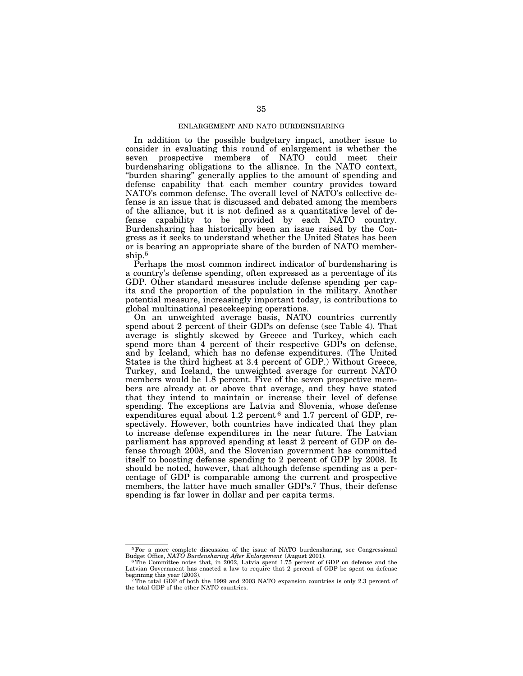# ENLARGEMENT AND NATO BURDENSHARING

In addition to the possible budgetary impact, another issue to consider in evaluating this round of enlargement is whether the seven prospective members of NATO could meet their burdensharing obligations to the alliance. In the NATO context, ''burden sharing'' generally applies to the amount of spending and defense capability that each member country provides toward NATO's common defense. The overall level of NATO's collective defense is an issue that is discussed and debated among the members of the alliance, but it is not defined as a quantitative level of defense capability to be provided by each NATO country. Burdensharing has historically been an issue raised by the Congress as it seeks to understand whether the United States has been or is bearing an appropriate share of the burden of NATO membership.5

Perhaps the most common indirect indicator of burdensharing is a country's defense spending, often expressed as a percentage of its GDP. Other standard measures include defense spending per capita and the proportion of the population in the military. Another potential measure, increasingly important today, is contributions to global multinational peacekeeping operations.

On an unweighted average basis, NATO countries currently spend about 2 percent of their GDPs on defense (see Table 4). That average is slightly skewed by Greece and Turkey, which each spend more than 4 percent of their respective GDPs on defense, and by Iceland, which has no defense expenditures. (The United States is the third highest at 3.4 percent of GDP.) Without Greece, Turkey, and Iceland, the unweighted average for current NATO members would be 1.8 percent. Five of the seven prospective members are already at or above that average, and they have stated that they intend to maintain or increase their level of defense spending. The exceptions are Latvia and Slovenia, whose defense expenditures equal about 1.2 percent<sup>6</sup> and 1.7 percent of GDP, respectively. However, both countries have indicated that they plan to increase defense expenditures in the near future. The Latvian parliament has approved spending at least 2 percent of GDP on defense through 2008, and the Slovenian government has committed itself to boosting defense spending to 2 percent of GDP by 2008. It should be noted, however, that although defense spending as a percentage of GDP is comparable among the current and prospective members, the latter have much smaller GDPs.7 Thus, their defense spending is far lower in dollar and per capita terms.

 $5$  For a more complete discussion of the issue of NATO burdensharing, see Congressional Budget Office, NATO Burdensharing After Enlargement (August 2001).

<sup>&</sup>lt;sup>6</sup>The Committee notes that, in 2002, Latvia spent 1.75 percent of GDP on defense and the Latvian Government has enacted a law to require that 2 percent of GDP be spent on defense

<sup>&</sup>lt;sup>7</sup>The total GDP of both the 1999 and 2003 NATO expansion countries is only 2.3 percent of the total GDP of the other NATO countries.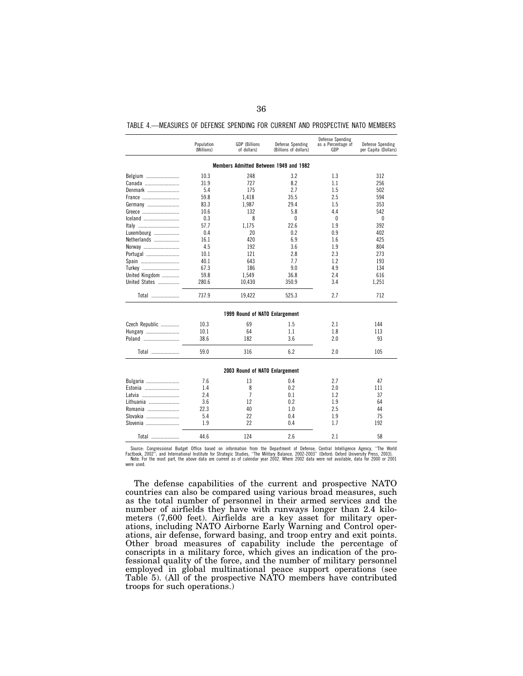|  |  |  | TABLE 4.—MEASURES OF DEFENSE SPENDING FOR CURRENT AND PROSPECTIVE NATO MEMBERS |  |
|--|--|--|--------------------------------------------------------------------------------|--|
|  |  |  |                                                                                |  |

|                |                          |                                     |                                           | Defense Spending          |                                          |
|----------------|--------------------------|-------------------------------------|-------------------------------------------|---------------------------|------------------------------------------|
|                | Population<br>(Millions) | <b>GDP</b> (Billions<br>of dollars) | Defense Spending<br>(Billions of dollars) | as a Percentage of<br>GDP | Defense Spending<br>per Capita (Dollars) |
|                |                          |                                     | Members Admitted Between 1949 and 1982    |                           |                                          |
| Belgium        | 10.3                     | 248                                 | 3.2                                       | 1.3                       | 312                                      |
| Canada         | 31.9                     | 727                                 | 8.2                                       | 1.1                       | 256                                      |
| Denmark        | 5.4                      | 175                                 | 2.7                                       | 1.5                       | 502                                      |
| France         | 59.8                     | 1,418                               | 35.5                                      | 2.5                       | 594                                      |
| Germany        | 83.3                     | 1.987                               | 29.4                                      | 1.5                       | 353                                      |
| Greece         | 10.6                     | 132                                 | 5.8                                       | 4.4                       | 542                                      |
| lceland        | 0.3                      | 8                                   | $\theta$                                  | 0                         | $\theta$                                 |
| Italy          | 57.7                     | 1,175                               | 22.6                                      | 1.9                       | 392                                      |
| Luxembourg     | 0.4                      | 20                                  | 0.2                                       | 0.9                       | 402                                      |
| Netherlands    | 16.1                     | 420                                 | 6.9                                       | 1.6                       | 425                                      |
| Norway         | 4.5                      | 192                                 | 3.6                                       | 1.9                       | 804                                      |
| Portugal       | 10.1                     | 121                                 | 2.8                                       | 2.3                       | 273                                      |
| Spain          | 40.1                     | 643                                 | 7.7                                       | 1.2                       | 193                                      |
| Turkey         | 67.3                     | 186                                 | 9.0                                       | 4.9                       | 134                                      |
| United Kingdom | 59.8                     | 1,549                               | 36.8                                      | 2.4                       | 616                                      |
| United States  | 280.6                    | 10,430                              | 350.9                                     | 3.4                       | 1,251                                    |
| Total          | 737.9                    | 19,422                              | 525.3                                     | 2.7                       | 712                                      |
|                |                          | 1999 Round of NATO Enlargement      |                                           |                           |                                          |
| Czech Republic | 10.3                     | 69                                  | 1.5                                       | 2.1                       | 144                                      |
| Hungary        | 10.1                     | 64                                  | 1.1                                       | 1.8                       | 113                                      |
| Poland         | 38.6                     | 182                                 | 3.6                                       | 2.0                       | 93                                       |
| Total          | 59.0                     | 316                                 | 6.2                                       | 2.0                       | 105                                      |
|                |                          | 2003 Round of NATO Enlargement      |                                           |                           |                                          |
| Bulgaria       | 7.6                      | 13                                  | 0.4                                       | 2.7                       | 47                                       |
| Estonia        | 1.4                      | 8                                   | 0.2                                       | 2.0                       | 111                                      |
| Latvia         | 2.4                      | $\overline{7}$                      | 0.1                                       | 1.2                       | 37                                       |
| Lithuania      | 3.6                      | 12                                  | 0.2                                       | 1.9                       | 64                                       |
| Romania        | 22.3                     | 40                                  | 1.0                                       | 2.5                       | 44                                       |
| Slovakia       | 5.4                      | 22                                  | 0.4                                       | 1.9                       | 75                                       |
| Slovenia       | 1.9                      | 22                                  | 0.4                                       | 17                        | 192                                      |
| Total          | 44.6                     | 124                                 | 2.6                                       | 2.1                       | 58                                       |

Source: Congressional Budget Office based on information from the Department of Defense; Central Intelligence Agency, "The World<br>Factbook, 2002"; and International Institute for Strategic Studies, "The Military Balance, 20 were used.

The defense capabilities of the current and prospective NATO countries can also be compared using various broad measures, such as the total number of personnel in their armed services and the number of airfields they have with runways longer than 2.4 kilometers (7,600 feet). Airfields are a key asset for military operations, including NATO Airborne Early Warning and Control operations, air defense, forward basing, and troop entry and exit points. Other broad measures of capability include the percentage of conscripts in a military force, which gives an indication of the professional quality of the force, and the number of military personnel employed in global multinational peace support operations (see Table 5). (All of the prospective NATO members have contributed troops for such operations.)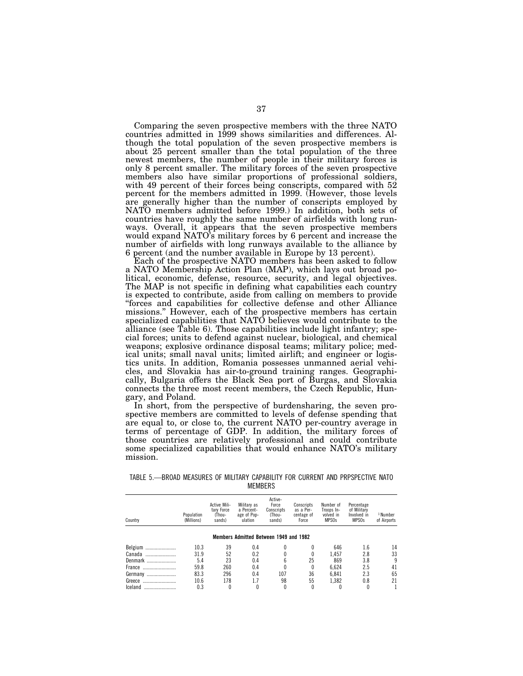Comparing the seven prospective members with the three NATO countries admitted in 1999 shows similarities and differences. Although the total population of the seven prospective members is about 25 percent smaller than the total population of the three newest members, the number of people in their military forces is only 8 percent smaller. The military forces of the seven prospective members also have similar proportions of professional soldiers, with 49 percent of their forces being conscripts, compared with 52 percent for the members admitted in 1999. (However, those levels are generally higher than the number of conscripts employed by NATO members admitted before 1999.) In addition, both sets of countries have roughly the same number of airfields with long runways. Overall, it appears that the seven prospective members would expand NATO's military forces by 6 percent and increase the number of airfields with long runways available to the alliance by 6 percent (and the number available in Europe by 13 percent).

Each of the prospective NATO members has been asked to follow a NATO Membership Action Plan (MAP), which lays out broad political, economic, defense, resource, security, and legal objectives. The MAP is not specific in defining what capabilities each country is expected to contribute, aside from calling on members to provide ''forces and capabilities for collective defense and other Alliance missions.'' However, each of the prospective members has certain specialized capabilities that NATO believes would contribute to the alliance (see Table 6). Those capabilities include light infantry; special forces; units to defend against nuclear, biological, and chemical weapons; explosive ordinance disposal teams; military police; medical units; small naval units; limited airlift; and engineer or logistics units. In addition, Romania possesses unmanned aerial vehicles, and Slovakia has air-to-ground training ranges. Geographically, Bulgaria offers the Black Sea port of Burgas, and Slovakia connects the three most recent members, the Czech Republic, Hungary, and Poland.

In short, from the perspective of burdensharing, the seven prospective members are committed to levels of defense spending that are equal to, or close to, the current NATO per-country average in terms of percentage of GDP. In addition, the military forces of those countries are relatively professional and could contribute some specialized capabilities that would enhance NATO's military mission.

TABLE 5.—BROAD MEASURES OF MILITARY CAPABILITY FOR CURRENT AND PRPSPECTIVE NATO **MEMBERS** 

| Country     | Population<br>(Millions) | Active Mili-<br>tary Force<br>(Thou-<br>sands) | Military as<br>a Percent-<br>age of Pop-<br>ulation | Active-<br>Force<br>Conscripts<br>(Thou-<br>sands) | Conscripts<br>as a Per-<br>centage of<br>Force | Number of<br>Troops In-<br>volved in<br>MPS <sub>0s</sub> | Percentage<br>of Military<br>Involved in<br>MPS <sub>0s</sub> | <sup>1</sup> Number<br>of Airports |
|-------------|--------------------------|------------------------------------------------|-----------------------------------------------------|----------------------------------------------------|------------------------------------------------|-----------------------------------------------------------|---------------------------------------------------------------|------------------------------------|
|             |                          |                                                | Members Admitted Between 1949 and 1982              |                                                    |                                                |                                                           |                                                               |                                    |
| Belgium     | 10.3                     | 39                                             | 0.4                                                 | 0                                                  |                                                | 646                                                       | 1.6                                                           | 14                                 |
| Canada<br>  | 31.9                     | 52                                             | 0.2                                                 |                                                    |                                                | 1.457                                                     | 2.8                                                           | 33                                 |
| Denmark<br> | 5.4                      | 23                                             | 0.4                                                 | 6                                                  | 25                                             | 869                                                       | 3.8                                                           | 9                                  |
| France<br>  | 59.8                     | 260                                            | 0.4                                                 |                                                    | 0                                              | 6.624                                                     | 2.5                                                           | 41                                 |
| Germany<br> | 83.3                     | 296                                            | 0.4                                                 | 107                                                | 36                                             | 6.841                                                     | 2.3                                                           | 65                                 |
| Greece<br>  | 10.6                     | 178                                            | 1.7                                                 | 98                                                 | 55                                             | 1.382                                                     | 0.8                                                           | 21                                 |
| Iceland<br> | 0.3                      | 0                                              | 0                                                   | 0                                                  | 0                                              |                                                           | 0                                                             |                                    |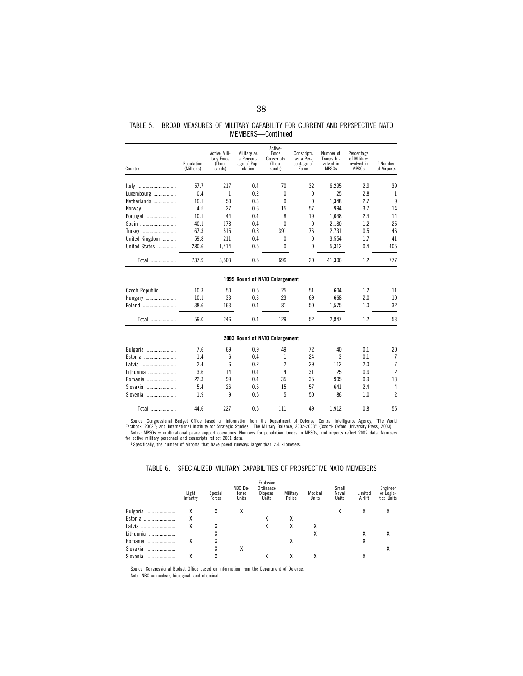| TABLE 5.—BROAD MEASURES OF MILITARY CAPABILITY FOR CURRENT AND PRPSPECTIVE NATO |  |                   |  |  |  |
|---------------------------------------------------------------------------------|--|-------------------|--|--|--|
|                                                                                 |  | MEMBERS-Continued |  |  |  |

| Country        | Population<br>(Millions) | Active Mili-<br>tary Force<br>(Thou-<br>sands) | Military as<br>a Percent-<br>age of Pop-<br>ulation | Active-<br>Force<br>Conscripts<br>(Thou-<br>sands) | Conscripts<br>as a Per-<br>centage of<br>Force | Number of<br>Troops In-<br>volved in<br>MPS <sub>0s</sub> | Percentage<br>of Military<br>Involved in<br>MPS <sub>0s</sub> | <sup>1</sup> Number<br>of Airports |
|----------------|--------------------------|------------------------------------------------|-----------------------------------------------------|----------------------------------------------------|------------------------------------------------|-----------------------------------------------------------|---------------------------------------------------------------|------------------------------------|
| Italy          | 57.7                     | 217                                            | 0.4                                                 | 70                                                 | 32                                             | 6,295                                                     | 2.9                                                           | 39                                 |
| Luxembourg     | 0.4                      | 1                                              | 0.2                                                 | 0                                                  | $\theta$                                       | 25                                                        | 2.8                                                           | 1                                  |
| Netherlands    | 16.1                     | 50                                             | 0.3                                                 | 0                                                  | 0                                              | 1,348                                                     | 2.7                                                           | 9                                  |
| Norway         | 4.5                      | 27                                             | 0.6                                                 | 15                                                 | 57                                             | 994                                                       | 3.7                                                           | 14                                 |
| Portugal       | 10.1                     | 44                                             | 0.4                                                 | 8                                                  | 19                                             | 1,048                                                     | 2.4                                                           | 14                                 |
| Spain          | 40.1                     | 178                                            | 0.4                                                 | 0                                                  | $\theta$                                       | 2.180                                                     | 1.2                                                           | 25                                 |
| Turkey         | 67.3                     | 515                                            | 0.8                                                 | 391                                                | 76                                             | 2,731                                                     | 0.5                                                           | 46                                 |
| United Kingdom | 59.8                     | 211                                            | 0.4                                                 | 0                                                  | $\theta$                                       | 3,554                                                     | 1.7                                                           | 41                                 |
| United States  | 280.6                    | 1,414                                          | 0.5                                                 | 0                                                  | 0                                              | 5,312                                                     | 0.4                                                           | 405                                |
| Total          | 737.9                    | 3,503                                          | 0.5                                                 | 696                                                | 20                                             | 41,306                                                    | 1.2                                                           | 777                                |
|                |                          |                                                | 1999 Round of NATO Enlargement                      |                                                    |                                                |                                                           |                                                               |                                    |
| Czech Republic | 10.3                     | 50                                             | 0.5                                                 | 25                                                 | 51                                             | 604                                                       | 1.2                                                           | 11                                 |
| Hungary        | 10.1                     | 33                                             | 0.3                                                 | 23                                                 | 69                                             | 668                                                       | 2.0                                                           | 10                                 |
| Poland         | 38.6                     | 163                                            | 0.4                                                 | 81                                                 | 50                                             | 1,575                                                     | 1.0                                                           | 32                                 |
| Total          | 59.0                     | 246                                            | 0.4                                                 | 129                                                | 52                                             | 2,847                                                     | 1.2                                                           | 53                                 |
|                |                          |                                                | 2003 Round of NATO Enlargement                      |                                                    |                                                |                                                           |                                                               |                                    |
| Bulgaria       | 7.6                      | 69                                             | 0.9                                                 | 49                                                 | 72                                             | 40                                                        | 0.1                                                           | 20                                 |
| Estonia        | 1.4                      | 6                                              | 0.4                                                 | 1                                                  | 24                                             | 3                                                         | 0.1                                                           | 7                                  |
| Latvia         | 2.4                      | 6                                              | 0.2                                                 | $\overline{c}$                                     | 29                                             | 112                                                       | 2.0                                                           | 7                                  |
| Lithuania      | 3.6                      | 14                                             | 0.4                                                 | 4                                                  | 31                                             | 125                                                       | 0.9                                                           | $\overline{c}$                     |
| Romania        | 22.3                     | 99                                             | 0.4                                                 | 35                                                 | 35                                             | 905                                                       | 0.9                                                           | 13                                 |
| Slovakia       | 5.4                      | 26                                             | 0.5                                                 | 15                                                 | 57                                             | 641                                                       | 2.4                                                           | 4                                  |
| Slovenia       | 1.9                      | 9                                              | 0.5                                                 | 5                                                  | 50                                             | 86                                                        | 1.0                                                           | $\overline{c}$                     |
| Total          | 44.6                     | 227                                            | 0.5                                                 | 111                                                | 49                                             | 1,912                                                     | 0.8                                                           | 55                                 |

Source: Congressional Budget Office based on information from the Department of Defense; Central Intelligence Agency, "The World<br>Nactbook, 2002"; and International Institute for Strategic Studies, "The Military Balance, 20

1 Specifically, the number of airports that have paved runways larger than 2.4 kilometers.

# TABLE 6.—SPECIALIZED MILITARY CAPABILITIES OF PROSPECTIVE NATO MEMEBERS

|               | Light<br>Infantry | Special<br>Forces | NBC De-<br>fense<br>Units | Explosive<br>Ordinance<br>Disposal<br>Units | Military<br>Police | Medical<br>Units | Small<br>Naval<br>Units | Limited<br>Airlift | Engineer<br>or Logis-<br>tics Units |
|---------------|-------------------|-------------------|---------------------------|---------------------------------------------|--------------------|------------------|-------------------------|--------------------|-------------------------------------|
| Bulgaria<br>  |                   | λ                 | v                         |                                             |                    |                  |                         | Х                  |                                     |
| Estonia       | χ                 |                   |                           |                                             | χ                  |                  |                         |                    |                                     |
| Latvia        |                   |                   |                           |                                             | χ                  | χ                |                         |                    |                                     |
| Lithuania<br> |                   |                   |                           |                                             |                    | χ                |                         | χ                  |                                     |
| Romania       |                   |                   |                           |                                             | χ                  |                  |                         | χ                  |                                     |
| Slovakia<br>  |                   |                   |                           |                                             |                    |                  |                         |                    |                                     |
| Slovenia<br>  |                   |                   |                           |                                             | λ                  | λ                |                         | λ                  |                                     |

Source: Congressional Budget Office based on information from the Department of Defense. Note: NBC = nuclear, biological, and chemical.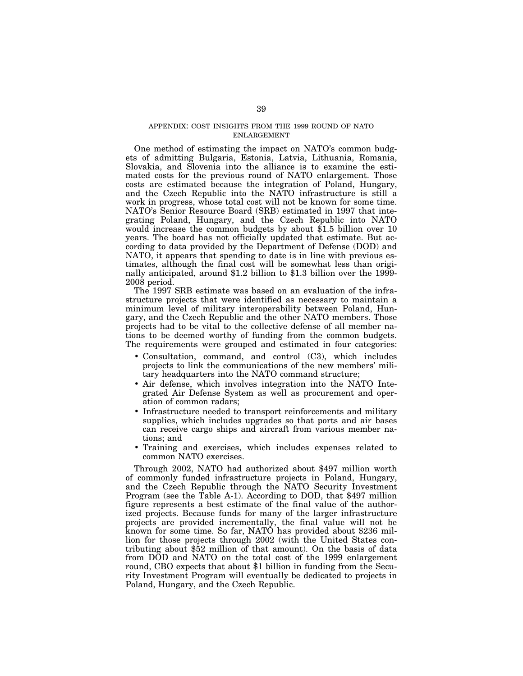# APPENDIX: COST INSIGHTS FROM THE 1999 ROUND OF NATO ENLARGEMENT

One method of estimating the impact on NATO's common budgets of admitting Bulgaria, Estonia, Latvia, Lithuania, Romania, Slovakia, and Slovenia into the alliance is to examine the estimated costs for the previous round of NATO enlargement. Those costs are estimated because the integration of Poland, Hungary, and the Czech Republic into the NATO infrastructure is still a work in progress, whose total cost will not be known for some time. NATO's Senior Resource Board (SRB) estimated in 1997 that integrating Poland, Hungary, and the Czech Republic into NATO would increase the common budgets by about \$1.5 billion over 10 years. The board has not officially updated that estimate. But according to data provided by the Department of Defense (DOD) and NATO, it appears that spending to date is in line with previous estimates, although the final cost will be somewhat less than originally anticipated, around \$1.2 billion to \$1.3 billion over the 1999- 2008 period.

The 1997 SRB estimate was based on an evaluation of the infrastructure projects that were identified as necessary to maintain a minimum level of military interoperability between Poland, Hungary, and the Czech Republic and the other NATO members. Those projects had to be vital to the collective defense of all member nations to be deemed worthy of funding from the common budgets. The requirements were grouped and estimated in four categories:

- Consultation, command, and control (C3), which includes projects to link the communications of the new members' military headquarters into the NATO command structure;
- Air defense, which involves integration into the NATO Integrated Air Defense System as well as procurement and operation of common radars;
- Infrastructure needed to transport reinforcements and military supplies, which includes upgrades so that ports and air bases can receive cargo ships and aircraft from various member nations; and
- Training and exercises, which includes expenses related to common NATO exercises.

Through 2002, NATO had authorized about \$497 million worth of commonly funded infrastructure projects in Poland, Hungary, and the Czech Republic through the NATO Security Investment Program (see the Table A-1). According to DOD, that \$497 million figure represents a best estimate of the final value of the authorized projects. Because funds for many of the larger infrastructure projects are provided incrementally, the final value will not be known for some time. So far, NATO has provided about \$236 million for those projects through 2002 (with the United States contributing about \$52 million of that amount). On the basis of data from DOD and NATO on the total cost of the 1999 enlargement round, CBO expects that about \$1 billion in funding from the Security Investment Program will eventually be dedicated to projects in Poland, Hungary, and the Czech Republic.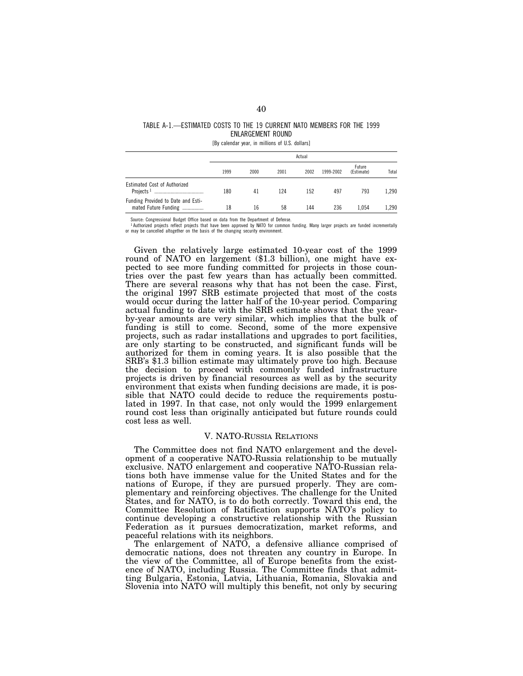# TABLE A-1.—ESTIMATED COSTS TO THE 19 CURRENT NATO MEMBERS FOR THE 1999 ENLARGEMENT ROUND

[By calendar year, in millions of U.S. dollars]

|                                                            | Actual |      |      |      |           |                      |       |  |  |  |
|------------------------------------------------------------|--------|------|------|------|-----------|----------------------|-------|--|--|--|
|                                                            | 1999   | 2000 | 2001 | 2002 | 1999-2002 | Future<br>(Estimate) | Total |  |  |  |
| Estimated Cost of Authorized<br>Projects <sup>1</sup><br>  | 180    | 41   | 124  | 152  | 497       | 793                  | 1.290 |  |  |  |
| Funding Provided to Date and Esti-<br>mated Future Funding | 18     | 16   | 58   | 144  | 236       | 1.054                | 1.290 |  |  |  |

Source: Congressional Budget Office based on data from the Department of Defense.

1 Authorized projects reflect projects that have been approved by NATO for common funding. Many larger projects are funded incrementally or may be cancelled altogether on the basis of the changing security environment.

Given the relatively large estimated 10-year cost of the 1999 round of NATO en largement (\$1.3 billion), one might have expected to see more funding committed for projects in those countries over the past few years than has actually been committed. There are several reasons why that has not been the case. First, the original 1997 SRB estimate projected that most of the costs would occur during the latter half of the 10-year period. Comparing actual funding to date with the SRB estimate shows that the yearby-year amounts are very similar, which implies that the bulk of funding is still to come. Second, some of the more expensive projects, such as radar installations and upgrades to port facilities, are only starting to be constructed, and significant funds will be authorized for them in coming years. It is also possible that the SRB's \$1.3 billion estimate may ultimately prove too high. Because the decision to proceed with commonly funded infrastructure projects is driven by financial resources as well as by the security environment that exists when funding decisions are made, it is possible that NATO could decide to reduce the requirements postulated in 1997. In that case, not only would the 1999 enlargement round cost less than originally anticipated but future rounds could cost less as well.

# V. NATO-RUSSIA RELATIONS

The Committee does not find NATO enlargement and the development of a cooperative NATO-Russia relationship to be mutually exclusive. NATO enlargement and cooperative NATO-Russian relations both have immense value for the United States and for the nations of Europe, if they are pursued properly. They are complementary and reinforcing objectives. The challenge for the United States, and for NATO, is to do both correctly. Toward this end, the Committee Resolution of Ratification supports NATO's policy to continue developing a constructive relationship with the Russian Federation as it pursues democratization, market reforms, and peaceful relations with its neighbors.

The enlargement of NATO, a defensive alliance comprised of democratic nations, does not threaten any country in Europe. In the view of the Committee, all of Europe benefits from the existence of NATO, including Russia. The Committee finds that admitting Bulgaria, Estonia, Latvia, Lithuania, Romania, Slovakia and Slovenia into NATO will multiply this benefit, not only by securing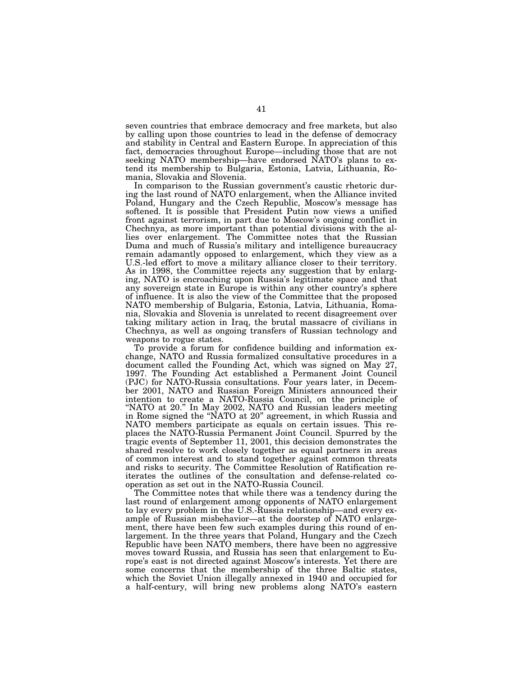seven countries that embrace democracy and free markets, but also by calling upon those countries to lead in the defense of democracy and stability in Central and Eastern Europe. In appreciation of this fact, democracies throughout Europe—including those that are not seeking NATO membership—have endorsed NATO's plans to extend its membership to Bulgaria, Estonia, Latvia, Lithuania, Romania, Slovakia and Slovenia.

In comparison to the Russian government's caustic rhetoric during the last round of NATO enlargement, when the Alliance invited Poland, Hungary and the Czech Republic, Moscow's message has softened. It is possible that President Putin now views a unified front against terrorism, in part due to Moscow's ongoing conflict in Chechnya, as more important than potential divisions with the allies over enlargement. The Committee notes that the Russian Duma and much of Russia's military and intelligence bureaucracy remain adamantly opposed to enlargement, which they view as a U.S.-led effort to move a military alliance closer to their territory. As in 1998, the Committee rejects any suggestion that by enlarging, NATO is encroaching upon Russia's legitimate space and that any sovereign state in Europe is within any other country's sphere of influence. It is also the view of the Committee that the proposed NATO membership of Bulgaria, Estonia, Latvia, Lithuania, Romania, Slovakia and Slovenia is unrelated to recent disagreement over taking military action in Iraq, the brutal massacre of civilians in Chechnya, as well as ongoing transfers of Russian technology and weapons to rogue states.

To provide a forum for confidence building and information exchange, NATO and Russia formalized consultative procedures in a document called the Founding Act, which was signed on May 27, 1997. The Founding Act established a Permanent Joint Council (PJC) for NATO-Russia consultations. Four years later, in December 2001, NATO and Russian Foreign Ministers announced their intention to create a NATO-Russia Council, on the principle of "NATO at 20." In May 2002, NATO and Russian leaders meeting in Rome signed the ''NATO at 20'' agreement, in which Russia and NATO members participate as equals on certain issues. This replaces the NATO-Russia Permanent Joint Council. Spurred by the tragic events of September 11, 2001, this decision demonstrates the shared resolve to work closely together as equal partners in areas of common interest and to stand together against common threats and risks to security. The Committee Resolution of Ratification reiterates the outlines of the consultation and defense-related cooperation as set out in the NATO-Russia Council.

The Committee notes that while there was a tendency during the last round of enlargement among opponents of NATO enlargement to lay every problem in the U.S.-Russia relationship—and every example of Russian misbehavior—at the doorstep of NATO enlargement, there have been few such examples during this round of enlargement. In the three years that Poland, Hungary and the Czech Republic have been NATO members, there have been no aggressive moves toward Russia, and Russia has seen that enlargement to Europe's east is not directed against Moscow's interests. Yet there are some concerns that the membership of the three Baltic states, which the Soviet Union illegally annexed in 1940 and occupied for a half-century, will bring new problems along NATO's eastern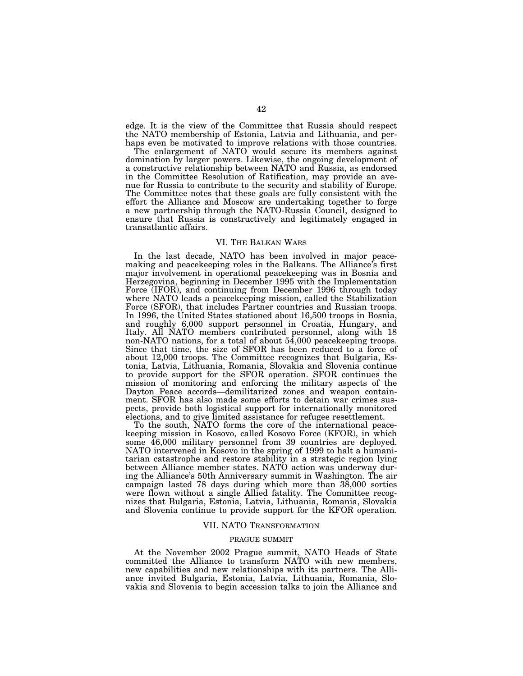edge. It is the view of the Committee that Russia should respect the NATO membership of Estonia, Latvia and Lithuania, and perhaps even be motivated to improve relations with those countries.

The enlargement of NATO would secure its members against domination by larger powers. Likewise, the ongoing development of a constructive relationship between NATO and Russia, as endorsed in the Committee Resolution of Ratification, may provide an avenue for Russia to contribute to the security and stability of Europe. The Committee notes that these goals are fully consistent with the effort the Alliance and Moscow are undertaking together to forge a new partnership through the NATO-Russia Council, designed to ensure that Russia is constructively and legitimately engaged in transatlantic affairs.

## VI. THE BALKAN WARS

In the last decade, NATO has been involved in major peacemaking and peacekeeping roles in the Balkans. The Alliance's first major involvement in operational peacekeeping was in Bosnia and Herzegovina, beginning in December 1995 with the Implementation Force (IFOR), and continuing from December 1996 through today where NATO leads a peacekeeping mission, called the Stabilization Force (SFOR), that includes Partner countries and Russian troops. In 1996, the United States stationed about 16,500 troops in Bosnia, and roughly 6,000 support personnel in Croatia, Hungary, and Italy. All NATO members contributed personnel, along with 18 non-NATO nations, for a total of about 54,000 peacekeeping troops. Since that time, the size of SFOR has been reduced to a force of about 12,000 troops. The Committee recognizes that Bulgaria, Estonia, Latvia, Lithuania, Romania, Slovakia and Slovenia continue to provide support for the SFOR operation. SFOR continues the mission of monitoring and enforcing the military aspects of the Dayton Peace accords—demilitarized zones and weapon containment. SFOR has also made some efforts to detain war crimes suspects, provide both logistical support for internationally monitored elections, and to give limited assistance for refugee resettlement.

To the south, NATO forms the core of the international peacekeeping mission in Kosovo, called Kosovo Force (KFOR), in which some 46,000 military personnel from 39 countries are deployed. NATO intervened in Kosovo in the spring of 1999 to halt a humanitarian catastrophe and restore stability in a strategic region lying between Alliance member states. NATO action was underway during the Alliance's 50th Anniversary summit in Washington. The air campaign lasted 78 days during which more than 38,000 sorties were flown without a single Allied fatality. The Committee recognizes that Bulgaria, Estonia, Latvia, Lithuania, Romania, Slovakia and Slovenia continue to provide support for the KFOR operation.

# VII. NATO TRANSFORMATION

# PRAGUE SUMMIT

At the November 2002 Prague summit, NATO Heads of State committed the Alliance to transform NATO with new members, new capabilities and new relationships with its partners. The Alliance invited Bulgaria, Estonia, Latvia, Lithuania, Romania, Slovakia and Slovenia to begin accession talks to join the Alliance and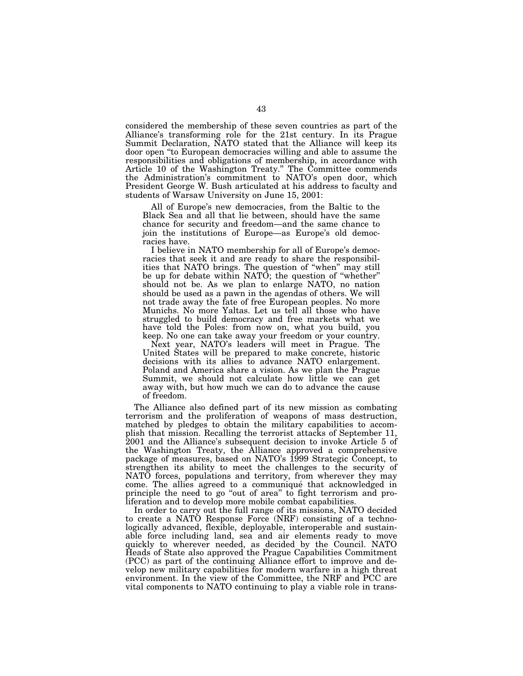considered the membership of these seven countries as part of the Alliance's transforming role for the 21st century. In its Prague Summit Declaration, NATO stated that the Alliance will keep its door open ''to European democracies willing and able to assume the responsibilities and obligations of membership, in accordance with Article 10 of the Washington Treaty.'' The Committee commends the Administration's commitment to NATO's open door, which President George W. Bush articulated at his address to faculty and students of Warsaw University on June 15, 2001:

All of Europe's new democracies, from the Baltic to the Black Sea and all that lie between, should have the same chance for security and freedom—and the same chance to join the institutions of Europe—as Europe's old democracies have.

I believe in NATO membership for all of Europe's democracies that seek it and are ready to share the responsibilities that NATO brings. The question of ''when'' may still be up for debate within NATO; the question of ''whether'' should not be. As we plan to enlarge NATO, no nation should be used as a pawn in the agendas of others. We will not trade away the fate of free European peoples. No more Munichs. No more Yaltas. Let us tell all those who have struggled to build democracy and free markets what we have told the Poles: from now on, what you build, you keep. No one can take away your freedom or your country.

Next year, NATO's leaders will meet in Prague. The United States will be prepared to make concrete, historic decisions with its allies to advance NATO enlargement. Poland and America share a vision. As we plan the Prague Summit, we should not calculate how little we can get away with, but how much we can do to advance the cause of freedom.

The Alliance also defined part of its new mission as combating terrorism and the proliferation of weapons of mass destruction, matched by pledges to obtain the military capabilities to accomplish that mission. Recalling the terrorist attacks of September 11, 2001 and the Alliance's subsequent decision to invoke Article 5 of the Washington Treaty, the Alliance approved a comprehensive package of measures, based on NATO's 1999 Strategic Concept, to strengthen its ability to meet the challenges to the security of NATO forces, populations and territory, from wherever they may come. The allies agreed to a communiqué that acknowledged in principle the need to go "out of area" to fight terrorism and proliferation and to develop more mobile combat capabilities.

In order to carry out the full range of its missions, NATO decided to create a NATO Response Force (NRF) consisting of a technologically advanced, flexible, deployable, interoperable and sustainable force including land, sea and air elements ready to move quickly to wherever needed, as decided by the Council. NATO Heads of State also approved the Prague Capabilities Commitment (PCC) as part of the continuing Alliance effort to improve and develop new military capabilities for modern warfare in a high threat environment. In the view of the Committee, the NRF and PCC are vital components to NATO continuing to play a viable role in trans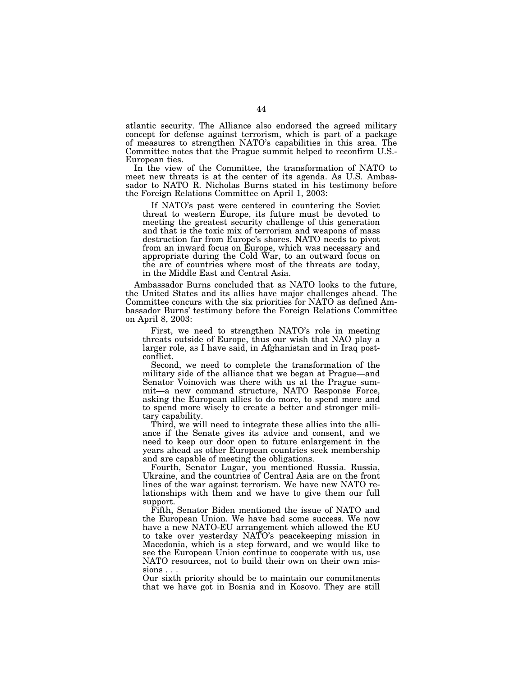atlantic security. The Alliance also endorsed the agreed military concept for defense against terrorism, which is part of a package of measures to strengthen NATO's capabilities in this area. The Committee notes that the Prague summit helped to reconfirm U.S.- European ties.

In the view of the Committee, the transformation of NATO to meet new threats is at the center of its agenda. As U.S. Ambassador to NATO R. Nicholas Burns stated in his testimony before the Foreign Relations Committee on April 1, 2003:

If NATO's past were centered in countering the Soviet threat to western Europe, its future must be devoted to meeting the greatest security challenge of this generation and that is the toxic mix of terrorism and weapons of mass destruction far from Europe's shores. NATO needs to pivot from an inward focus on Europe, which was necessary and appropriate during the Cold War, to an outward focus on the arc of countries where most of the threats are today, in the Middle East and Central Asia.

Ambassador Burns concluded that as NATO looks to the future, the United States and its allies have major challenges ahead. The Committee concurs with the six priorities for NATO as defined Ambassador Burns' testimony before the Foreign Relations Committee on April 8, 2003:

First, we need to strengthen NATO's role in meeting threats outside of Europe, thus our wish that NAO play a larger role, as I have said, in Afghanistan and in Iraq postconflict.

Second, we need to complete the transformation of the military side of the alliance that we began at Prague—and Senator Voinovich was there with us at the Prague summit—a new command structure, NATO Response Force, asking the European allies to do more, to spend more and to spend more wisely to create a better and stronger military capability.

Third, we will need to integrate these allies into the alliance if the Senate gives its advice and consent, and we need to keep our door open to future enlargement in the years ahead as other European countries seek membership and are capable of meeting the obligations.

Fourth, Senator Lugar, you mentioned Russia. Russia, Ukraine, and the countries of Central Asia are on the front lines of the war against terrorism. We have new NATO relationships with them and we have to give them our full support.

Fifth, Senator Biden mentioned the issue of NATO and the European Union. We have had some success. We now have a new NATO-EU arrangement which allowed the EU to take over yesterday NATO's peacekeeping mission in Macedonia, which is a step forward, and we would like to see the European Union continue to cooperate with us, use NATO resources, not to build their own on their own missions . . .

Our sixth priority should be to maintain our commitments that we have got in Bosnia and in Kosovo. They are still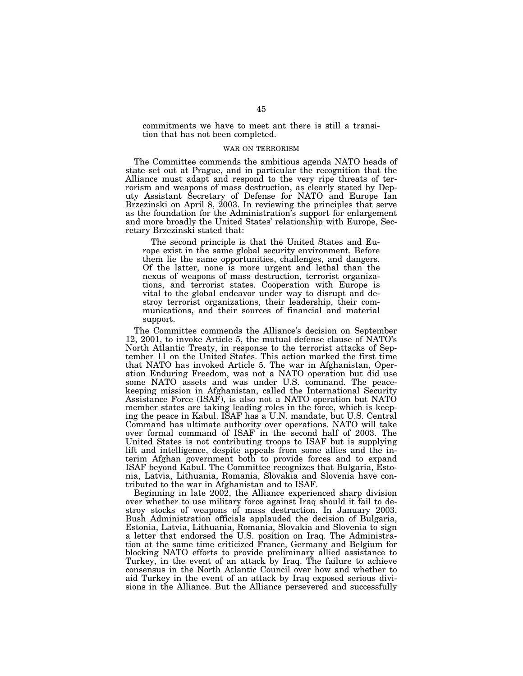commitments we have to meet ant there is still a transition that has not been completed.

## WAR ON TERRORISM

The Committee commends the ambitious agenda NATO heads of state set out at Prague, and in particular the recognition that the Alliance must adapt and respond to the very ripe threats of terrorism and weapons of mass destruction, as clearly stated by Deputy Assistant Secretary of Defense for NATO and Europe Ian Brzezinski on April 8, 2003. In reviewing the principles that serve as the foundation for the Administration's support for enlargement and more broadly the United States' relationship with Europe, Secretary Brzezinski stated that:

The second principle is that the United States and Europe exist in the same global security environment. Before them lie the same opportunities, challenges, and dangers. Of the latter, none is more urgent and lethal than the nexus of weapons of mass destruction, terrorist organizations, and terrorist states. Cooperation with Europe is vital to the global endeavor under way to disrupt and destroy terrorist organizations, their leadership, their communications, and their sources of financial and material support.

The Committee commends the Alliance's decision on September 12, 2001, to invoke Article 5, the mutual defense clause of NATO's North Atlantic Treaty, in response to the terrorist attacks of September 11 on the United States. This action marked the first time that NATO has invoked Article 5. The war in Afghanistan, Operation Enduring Freedom, was not a NATO operation but did use some NATO assets and was under U.S. command. The peacekeeping mission in Afghanistan, called the International Security Assistance Force (ISAF), is also not a NATO operation but NATO member states are taking leading roles in the force, which is keeping the peace in Kabul. ISAF has a U.N. mandate, but U.S. Central Command has ultimate authority over operations. NATO will take over formal command of ISAF in the second half of 2003. The United States is not contributing troops to ISAF but is supplying lift and intelligence, despite appeals from some allies and the interim Afghan government both to provide forces and to expand ISAF beyond Kabul. The Committee recognizes that Bulgaria, Estonia, Latvia, Lithuania, Romania, Slovakia and Slovenia have contributed to the war in Afghanistan and to ISAF.

Beginning in late 2002, the Alliance experienced sharp division over whether to use military force against Iraq should it fail to destroy stocks of weapons of mass destruction. In January 2003, Bush Administration officials applauded the decision of Bulgaria, Estonia, Latvia, Lithuania, Romania, Slovakia and Slovenia to sign a letter that endorsed the U.S. position on Iraq. The Administration at the same time criticized France, Germany and Belgium for blocking NATO efforts to provide preliminary allied assistance to Turkey, in the event of an attack by Iraq. The failure to achieve consensus in the North Atlantic Council over how and whether to aid Turkey in the event of an attack by Iraq exposed serious divisions in the Alliance. But the Alliance persevered and successfully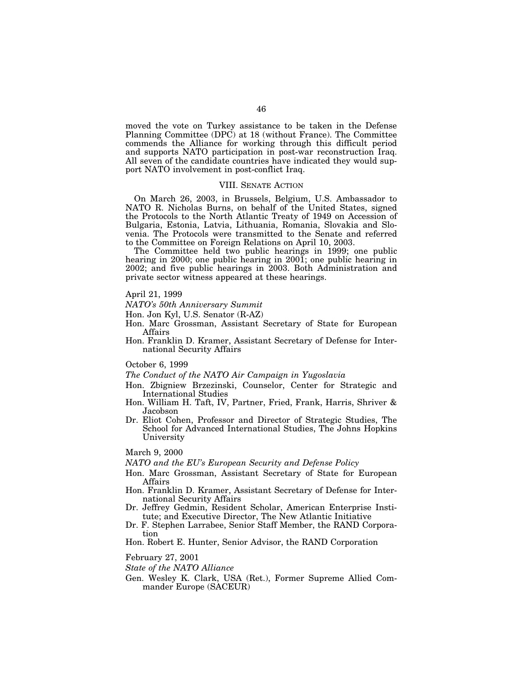moved the vote on Turkey assistance to be taken in the Defense Planning Committee (DPC) at 18 (without France). The Committee commends the Alliance for working through this difficult period and supports NATO participation in post-war reconstruction Iraq. All seven of the candidate countries have indicated they would support NATO involvement in post-conflict Iraq.

# VIII. SENATE ACTION

On March 26, 2003, in Brussels, Belgium, U.S. Ambassador to NATO R. Nicholas Burns, on behalf of the United States, signed the Protocols to the North Atlantic Treaty of 1949 on Accession of Bulgaria, Estonia, Latvia, Lithuania, Romania, Slovakia and Slovenia. The Protocols were transmitted to the Senate and referred to the Committee on Foreign Relations on April 10, 2003.

The Committee held two public hearings in 1999; one public hearing in 2000; one public hearing in 2001; one public hearing in 2002; and five public hearings in 2003. Both Administration and private sector witness appeared at these hearings.

April 21, 1999

*NATO's 50th Anniversary Summit*

Hon. Jon Kyl, U.S. Senator (R-AZ)

Hon. Marc Grossman, Assistant Secretary of State for European Affairs

Hon. Franklin D. Kramer, Assistant Secretary of Defense for International Security Affairs

October 6, 1999

*The Conduct of the NATO Air Campaign in Yugoslavia*

- Hon. Zbigniew Brzezinski, Counselor, Center for Strategic and International Studies
- Hon. William H. Taft, IV, Partner, Fried, Frank, Harris, Shriver & Jacobson
- Dr. Eliot Cohen, Professor and Director of Strategic Studies, The School for Advanced International Studies, The Johns Hopkins University

March 9, 2000

*NATO and the EU's European Security and Defense Policy*

- Hon. Marc Grossman, Assistant Secretary of State for European Affairs
- Hon. Franklin D. Kramer, Assistant Secretary of Defense for International Security Affairs
- Dr. Jeffrey Gedmin, Resident Scholar, American Enterprise Institute; and Executive Director, The New Atlantic Initiative
- Dr. F. Stephen Larrabee, Senior Staff Member, the RAND Corporation

Hon. Robert E. Hunter, Senior Advisor, the RAND Corporation

February 27, 2001

*State of the NATO Alliance*

Gen. Wesley K. Clark, USA (Ret.), Former Supreme Allied Commander Europe (SACEUR)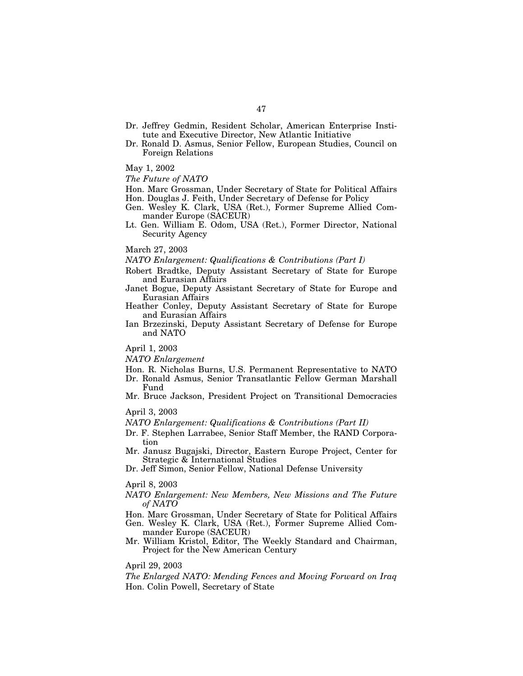- Dr. Jeffrey Gedmin, Resident Scholar, American Enterprise Institute and Executive Director, New Atlantic Initiative
- Dr. Ronald D. Asmus, Senior Fellow, European Studies, Council on Foreign Relations
- May 1, 2002

*The Future of NATO*

Hon. Marc Grossman, Under Secretary of State for Political Affairs Hon. Douglas J. Feith, Under Secretary of Defense for Policy

- Gen. Wesley K. Clark, USA (Ret.), Former Supreme Allied Commander Europe (SACEUR)
- Lt. Gen. William E. Odom, USA (Ret.), Former Director, National Security Agency

March 27, 2003

*NATO Enlargement: Qualifications & Contributions (Part I)*

- Robert Bradtke, Deputy Assistant Secretary of State for Europe and Eurasian Affairs
- Janet Bogue, Deputy Assistant Secretary of State for Europe and Eurasian Affairs
- Heather Conley, Deputy Assistant Secretary of State for Europe and Eurasian Affairs
- Ian Brzezinski, Deputy Assistant Secretary of Defense for Europe and NATO

April 1, 2003

*NATO Enlargement*

- Hon. R. Nicholas Burns, U.S. Permanent Representative to NATO Dr. Ronald Asmus, Senior Transatlantic Fellow German Marshall Fund
- Mr. Bruce Jackson, President Project on Transitional Democracies

April 3, 2003

*NATO Enlargement: Qualifications & Contributions (Part II)*

- Dr. F. Stephen Larrabee, Senior Staff Member, the RAND Corporation
- Mr. Janusz Bugajski, Director, Eastern Europe Project, Center for Strategic & International Studies
- Dr. Jeff Simon, Senior Fellow, National Defense University

April 8, 2003

- *NATO Enlargement: New Members, New Missions and The Future of NATO*
- Hon. Marc Grossman, Under Secretary of State for Political Affairs Gen. Wesley K. Clark, USA (Ret.), Former Supreme Allied Commander Europe (SACEUR)
- Mr. William Kristol, Editor, The Weekly Standard and Chairman, Project for the New American Century

April 29, 2003

*The Enlarged NATO: Mending Fences and Moving Forward on Iraq* Hon. Colin Powell, Secretary of State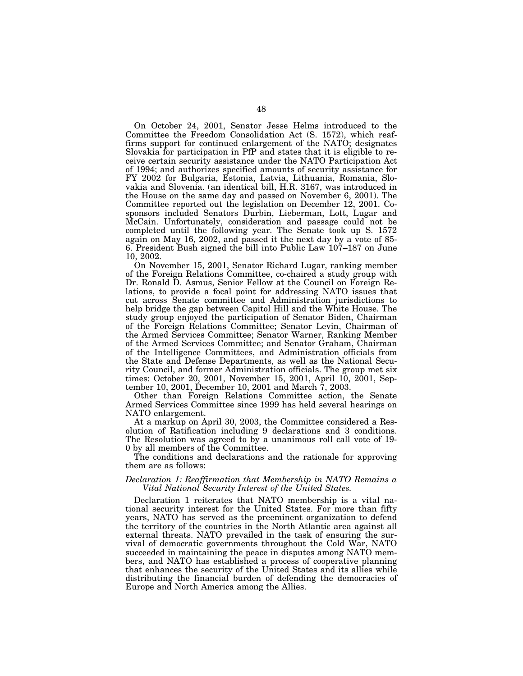On October 24, 2001, Senator Jesse Helms introduced to the Committee the Freedom Consolidation Act (S. 1572), which reaffirms support for continued enlargement of the NATO; designates Slovakia for participation in PfP and states that it is eligible to receive certain security assistance under the NATO Participation Act of 1994; and authorizes specified amounts of security assistance for FY 2002 for Bulgaria, Estonia, Latvia, Lithuania, Romania, Slovakia and Slovenia. (an identical bill, H.R. 3167, was introduced in the House on the same day and passed on November 6, 2001). The Committee reported out the legislation on December 12, 2001. Cosponsors included Senators Durbin, Lieberman, Lott, Lugar and McCain. Unfortunately, consideration and passage could not be completed until the following year. The Senate took up S. 1572 again on May 16, 2002, and passed it the next day by a vote of 85- 6. President Bush signed the bill into Public Law 107–187 on June 10, 2002.

On November 15, 2001, Senator Richard Lugar, ranking member of the Foreign Relations Committee, co-chaired a study group with Dr. Ronald D. Asmus, Senior Fellow at the Council on Foreign Relations, to provide a focal point for addressing NATO issues that cut across Senate committee and Administration jurisdictions to help bridge the gap between Capitol Hill and the White House. The study group enjoyed the participation of Senator Biden, Chairman of the Foreign Relations Committee; Senator Levin, Chairman of the Armed Services Committee; Senator Warner, Ranking Member of the Armed Services Committee; and Senator Graham, Chairman of the Intelligence Committees, and Administration officials from the State and Defense Departments, as well as the National Security Council, and former Administration officials. The group met six times: October 20, 2001, November 15, 2001, April 10, 2001, September 10, 2001, December 10, 2001 and March 7, 2003.

Other than Foreign Relations Committee action, the Senate Armed Services Committee since 1999 has held several hearings on NATO enlargement.

At a markup on April 30, 2003, the Committee considered a Resolution of Ratification including 9 declarations and 3 conditions. The Resolution was agreed to by a unanimous roll call vote of 19- 0 by all members of the Committee.

The conditions and declarations and the rationale for approving them are as follows:

# *Declaration 1: Reaffirmation that Membership in NATO Remains a Vital National Security Interest of the United States.*

Declaration 1 reiterates that NATO membership is a vital national security interest for the United States. For more than fifty years, NATO has served as the preeminent organization to defend the territory of the countries in the North Atlantic area against all external threats. NATO prevailed in the task of ensuring the survival of democratic governments throughout the Cold War, NATO succeeded in maintaining the peace in disputes among NATO members, and NATO has established a process of cooperative planning that enhances the security of the United States and its allies while distributing the financial burden of defending the democracies of Europe and North America among the Allies.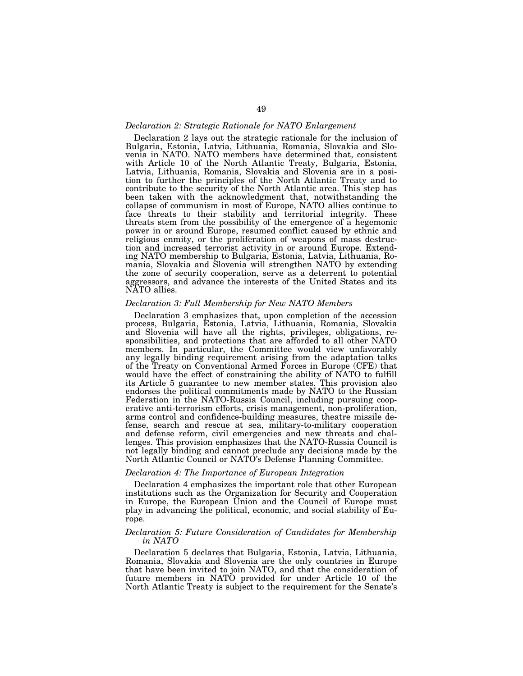# *Declaration 2: Strategic Rationale for NATO Enlargement*

Declaration 2 lays out the strategic rationale for the inclusion of Bulgaria, Estonia, Latvia, Lithuania, Romania, Slovakia and Slovenia in NATO. NATO members have determined that, consistent with Article 10 of the North Atlantic Treaty, Bulgaria, Estonia, Latvia, Lithuania, Romania, Slovakia and Slovenia are in a position to further the principles of the North Atlantic Treaty and to contribute to the security of the North Atlantic area. This step has been taken with the acknowledgment that, notwithstanding the collapse of communism in most of Europe, NATO allies continue to face threats to their stability and territorial integrity. These threats stem from the possibility of the emergence of a hegemonic power in or around Europe, resumed conflict caused by ethnic and religious enmity, or the proliferation of weapons of mass destruction and increased terrorist activity in or around Europe. Extending NATO membership to Bulgaria, Estonia, Latvia, Lithuania, Romania, Slovakia and Slovenia will strengthen NATO by extending the zone of security cooperation, serve as a deterrent to potential aggressors, and advance the interests of the United States and its NATO allies.

# *Declaration 3: Full Membership for New NATO Members*

Declaration 3 emphasizes that, upon completion of the accession process, Bulgaria, Estonia, Latvia, Lithuania, Romania, Slovakia and Slovenia will have all the rights, privileges, obligations, responsibilities, and protections that are afforded to all other NATO members. In particular, the Committee would view unfavorably any legally binding requirement arising from the adaptation talks of the Treaty on Conventional Armed Forces in Europe (CFE) that would have the effect of constraining the ability of NATO to fulfill its Article 5 guarantee to new member states. This provision also endorses the political commitments made by NATO to the Russian Federation in the NATO-Russia Council, including pursuing cooperative anti-terrorism efforts, crisis management, non-proliferation, arms control and confidence-building measures, theatre missile defense, search and rescue at sea, military-to-military cooperation and defense reform, civil emergencies and new threats and challenges. This provision emphasizes that the NATO-Russia Council is not legally binding and cannot preclude any decisions made by the North Atlantic Council or NATO's Defense Planning Committee.

# *Declaration 4: The Importance of European Integration*

Declaration 4 emphasizes the important role that other European institutions such as the Organization for Security and Cooperation in Europe, the European Union and the Council of Europe must play in advancing the political, economic, and social stability of Europe.

# *Declaration 5: Future Consideration of Candidates for Membership in NATO*

Declaration 5 declares that Bulgaria, Estonia, Latvia, Lithuania, Romania, Slovakia and Slovenia are the only countries in Europe that have been invited to join NATO, and that the consideration of future members in NATO provided for under Article 10 of the North Atlantic Treaty is subject to the requirement for the Senate's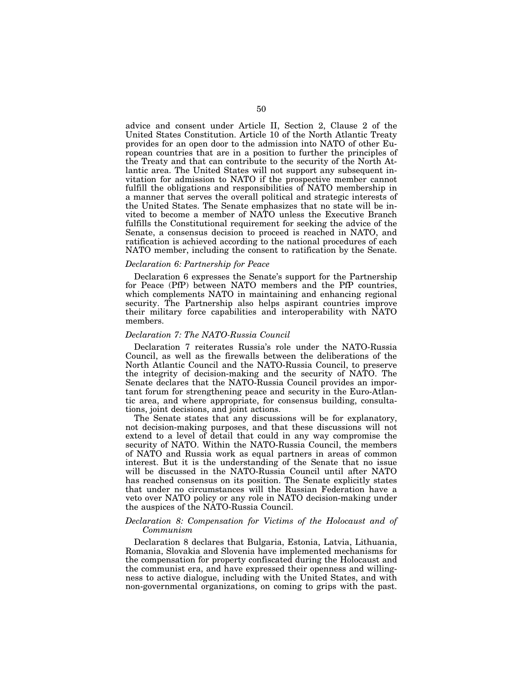advice and consent under Article II, Section 2, Clause 2 of the United States Constitution. Article 10 of the North Atlantic Treaty provides for an open door to the admission into NATO of other European countries that are in a position to further the principles of the Treaty and that can contribute to the security of the North Atlantic area. The United States will not support any subsequent invitation for admission to NATO if the prospective member cannot fulfill the obligations and responsibilities of NATO membership in a manner that serves the overall political and strategic interests of the United States. The Senate emphasizes that no state will be invited to become a member of NATO unless the Executive Branch fulfills the Constitutional requirement for seeking the advice of the Senate, a consensus decision to proceed is reached in NATO, and ratification is achieved according to the national procedures of each NATO member, including the consent to ratification by the Senate.

# *Declaration 6: Partnership for Peace*

Declaration 6 expresses the Senate's support for the Partnership for Peace (PfP) between NATO members and the PfP countries, which complements NATO in maintaining and enhancing regional security. The Partnership also helps aspirant countries improve their military force capabilities and interoperability with NATO members.

# *Declaration 7: The NATO-Russia Council*

Declaration 7 reiterates Russia's role under the NATO-Russia Council, as well as the firewalls between the deliberations of the North Atlantic Council and the NATO-Russia Council, to preserve the integrity of decision-making and the security of NATO. The Senate declares that the NATO-Russia Council provides an important forum for strengthening peace and security in the Euro-Atlantic area, and where appropriate, for consensus building, consultations, joint decisions, and joint actions.

The Senate states that any discussions will be for explanatory, not decision-making purposes, and that these discussions will not extend to a level of detail that could in any way compromise the security of NATO. Within the NATO-Russia Council, the members of NATO and Russia work as equal partners in areas of common interest. But it is the understanding of the Senate that no issue will be discussed in the NATO-Russia Council until after NATO has reached consensus on its position. The Senate explicitly states that under no circumstances will the Russian Federation have a veto over NATO policy or any role in NATO decision-making under the auspices of the NATO-Russia Council.

# *Declaration 8: Compensation for Victims of the Holocaust and of Communism*

Declaration 8 declares that Bulgaria, Estonia, Latvia, Lithuania, Romania, Slovakia and Slovenia have implemented mechanisms for the compensation for property confiscated during the Holocaust and the communist era, and have expressed their openness and willingness to active dialogue, including with the United States, and with non-governmental organizations, on coming to grips with the past.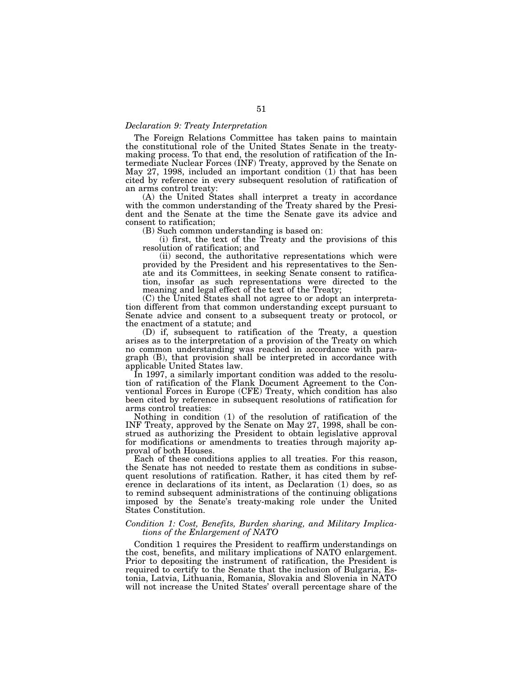# *Declaration 9: Treaty Interpretation*

The Foreign Relations Committee has taken pains to maintain the constitutional role of the United States Senate in the treatymaking process. To that end, the resolution of ratification of the Intermediate Nuclear Forces (INF) Treaty, approved by the Senate on May 27, 1998, included an important condition (1) that has been cited by reference in every subsequent resolution of ratification of an arms control treaty:

(A) the United States shall interpret a treaty in accordance with the common understanding of the Treaty shared by the President and the Senate at the time the Senate gave its advice and consent to ratification;

(B) Such common understanding is based on:

(i) first, the text of the Treaty and the provisions of this resolution of ratification; and

(ii) second, the authoritative representations which were provided by the President and his representatives to the Senate and its Committees, in seeking Senate consent to ratification, insofar as such representations were directed to the meaning and legal effect of the text of the Treaty;

(C) the United States shall not agree to or adopt an interpretation different from that common understanding except pursuant to Senate advice and consent to a subsequent treaty or protocol, or the enactment of a statute; and

(D) if, subsequent to ratification of the Treaty, a question arises as to the interpretation of a provision of the Treaty on which no common understanding was reached in accordance with paragraph (B), that provision shall be interpreted in accordance with applicable United States law.

In 1997, a similarly important condition was added to the resolution of ratification of the Flank Document Agreement to the Conventional Forces in Europe (CFE) Treaty, which condition has also been cited by reference in subsequent resolutions of ratification for arms control treaties:

Nothing in condition (1) of the resolution of ratification of the INF Treaty, approved by the Senate on May 27, 1998, shall be construed as authorizing the President to obtain legislative approval for modifications or amendments to treaties through majority approval of both Houses.

Each of these conditions applies to all treaties. For this reason, the Senate has not needed to restate them as conditions in subsequent resolutions of ratification. Rather, it has cited them by reference in declarations of its intent, as Declaration (1) does, so as to remind subsequent administrations of the continuing obligations imposed by the Senate's treaty-making role under the United States Constitution.

## *Condition 1: Cost, Benefits, Burden sharing, and Military Implications of the Enlargement of NATO*

Condition 1 requires the President to reaffirm understandings on the cost, benefits, and military implications of NATO enlargement. Prior to depositing the instrument of ratification, the President is required to certify to the Senate that the inclusion of Bulgaria, Estonia, Latvia, Lithuania, Romania, Slovakia and Slovenia in NATO will not increase the United States' overall percentage share of the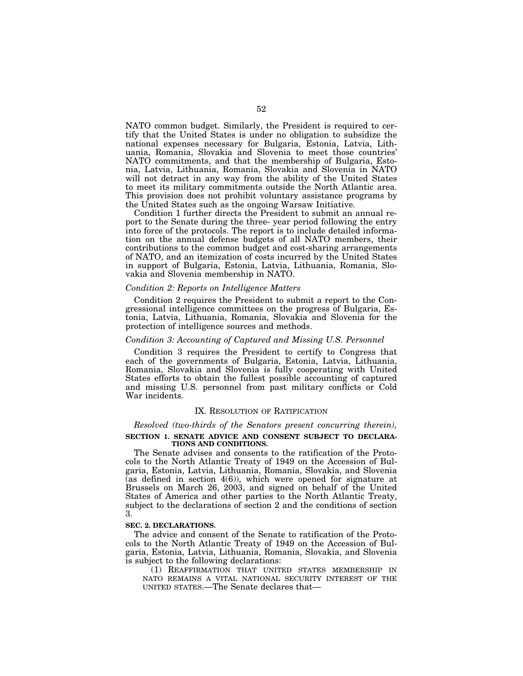NATO common budget. Similarly, the President is required to certify that the United States is under no obligation to subsidize the national expenses necessary for Bulgaria, Estonia, Latvia, Lithuania, Romania, Slovakia and Slovenia to meet those countries' NATO commitments, and that the membership of Bulgaria, Estonia, Latvia, Lithuania, Romania, Slovakia and Slovenia in NATO will not detract in any way from the ability of the United States to meet its military commitments outside the North Atlantic area. This provision does not prohibit voluntary assistance programs by the United States such as the ongoing Warsaw Initiative.

Condition 1 further directs the President to submit an annual report to the Senate during the three- year period following the entry into force of the protocols. The report is to include detailed information on the annual defense budgets of all NATO members, their contributions to the common budget and cost-sharing arrangements of NATO, and an itemization of costs incurred by the United States in support of Bulgaria, Estonia, Latvia, Lithuania, Romania, Slovakia and Slovenia membership in NATO.

## *Condition 2: Reports on Intelligence Matters*

Condition 2 requires the President to submit a report to the Congressional intelligence committees on the progress of Bulgaria, Estonia, Latvia, Lithuania, Romania, Slovakia and Slovenia for the protection of intelligence sources and methods.

# *Condition 3: Accounting of Captured and Missing U.S. Personnel*

Condition 3 requires the President to certify to Congress that each of the governments of Bulgaria, Estonia, Latvia, Lithuania, Romania, Slovakia and Slovenia is fully cooperating with United States efforts to obtain the fullest possible accounting of captured and missing U.S. personnel from past military conflicts or Cold War incidents.

# IX. RESOLUTION OF RATIFICATION

# *Resolved (two-thirds of the Senators present concurring therein),* **SECTION 1. SENATE ADVICE AND CONSENT SUBJECT TO DECLARA-TIONS AND CONDITIONS.**

The Senate advises and consents to the ratification of the Protocols to the North Atlantic Treaty of 1949 on the Accession of Bulgaria, Estonia, Latvia, Lithuania, Romania, Slovakia, and Slovenia (as defined in section 4(6)), which were opened for signature at Brussels on March 26, 2003, and signed on behalf of the United States of America and other parties to the North Atlantic Treaty, subject to the declarations of section 2 and the conditions of section 3.

# **SEC. 2. DECLARATIONS.**

The advice and consent of the Senate to ratification of the Protocols to the North Atlantic Treaty of 1949 on the Accession of Bulgaria, Estonia, Latvia, Lithuania, Romania, Slovakia, and Slovenia is subject to the following declarations:

(1) REAFFIRMATION THAT UNITED STATES MEMBERSHIP IN NATO REMAINS A VITAL NATIONAL SECURITY INTEREST OF THE UNITED STATES.—The Senate declares that—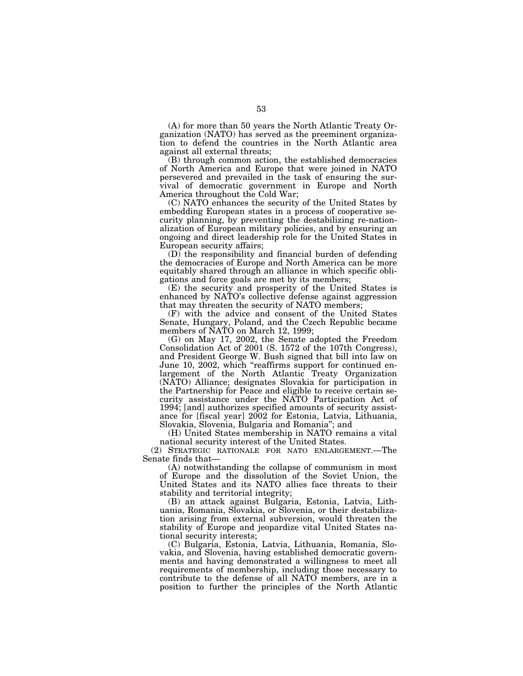(A) for more than 50 years the North Atlantic Treaty Organization (NATO) has served as the preeminent organization to defend the countries in the North Atlantic area against all external threats;

(B) through common action, the established democracies of North America and Europe that were joined in NATO persevered and prevailed in the task of ensuring the survival of democratic government in Europe and North America throughout the Cold War;

(C) NATO enhances the security of the United States by embedding European states in a process of cooperative security planning, by preventing the destabilizing re-nationalization of European military policies, and by ensuring an ongoing and direct leadership role for the United States in European security affairs;

(D) the responsibility and financial burden of defending the democracies of Europe and North America can be more equitably shared through an alliance in which specific obligations and force goals are met by its members;

(E) the security and prosperity of the United States is enhanced by NATO's collective defense against aggression that may threaten the security of NATO members;

(F) with the advice and consent of the United States Senate, Hungary, Poland, and the Czech Republic became members of NATO on March 12, 1999;

(G) on May 17, 2002, the Senate adopted the Freedom Consolidation Act of 2001 (S. 1572 of the 107th Congress), and President George W. Bush signed that bill into law on June 10, 2002, which ''reaffirms support for continued enlargement of the North Atlantic Treaty Organization (NATO) Alliance; designates Slovakia for participation in the Partnership for Peace and eligible to receive certain security assistance under the NATO Participation Act of 1994; [and] authorizes specified amounts of security assistance for [fiscal year] 2002 for Estonia, Latvia, Lithuania, Slovakia, Slovenia, Bulgaria and Romania''; and

(H) United States membership in NATO remains a vital national security interest of the United States.

(2) STRATEGIC RATIONALE FOR NATO ENLARGEMENT.—The Senate finds that—

(A) notwithstanding the collapse of communism in most of Europe and the dissolution of the Soviet Union, the United States and its NATO allies face threats to their stability and territorial integrity;

(B) an attack against Bulgaria, Estonia, Latvia, Lithuania, Romania, Slovakia, or Slovenia, or their destabilization arising from external subversion, would threaten the stability of Europe and jeopardize vital United States national security interests;

(C) Bulgaria, Estonia, Latvia, Lithuania, Romania, Slovakia, and Slovenia, having established democratic governments and having demonstrated a willingness to meet all requirements of membership, including those necessary to contribute to the defense of all NATO members, are in a position to further the principles of the North Atlantic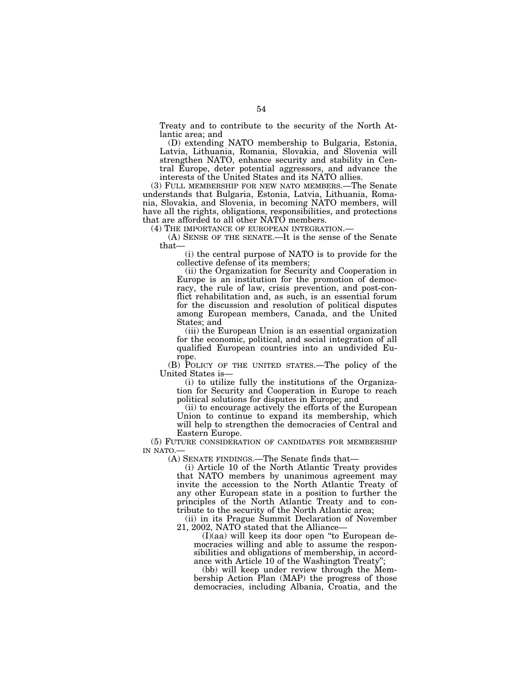Treaty and to contribute to the security of the North Atlantic area; and

(D) extending NATO membership to Bulgaria, Estonia, Latvia, Lithuania, Romania, Slovakia, and Slovenia will strengthen NATO, enhance security and stability in Central Europe, deter potential aggressors, and advance the interests of the United States and its NATO allies.

(3) FULL MEMBERSHIP FOR NEW NATO MEMBERS.—The Senate understands that Bulgaria, Estonia, Latvia, Lithuania, Romania, Slovakia, and Slovenia, in becoming NATO members, will have all the rights, obligations, responsibilities, and protections that are afforded to all other NATO members.

(4) THE IMPORTANCE OF EUROPEAN INTEGRATION.— (A) SENSE OF THE SENATE.—It is the sense of the Senate that—

(i) the central purpose of NATO is to provide for the collective defense of its members;

(ii) the Organization for Security and Cooperation in Europe is an institution for the promotion of democracy, the rule of law, crisis prevention, and post-conflict rehabilitation and, as such, is an essential forum for the discussion and resolution of political disputes among European members, Canada, and the United States; and

(iii) the European Union is an essential organization for the economic, political, and social integration of all qualified European countries into an undivided Europe.

(B) POLICY OF THE UNITED STATES.—The policy of the United States is—

(i) to utilize fully the institutions of the Organization for Security and Cooperation in Europe to reach political solutions for disputes in Europe; and

(ii) to encourage actively the efforts of the European Union to continue to expand its membership, which will help to strengthen the democracies of Central and Eastern Europe.

(5) FUTURE CONSIDERATION OF CANDIDATES FOR MEMBERSHIP IN NATO.

(A) SENATE FINDINGS.—The Senate finds that—

(i) Article 10 of the North Atlantic Treaty provides that NATO members by unanimous agreement may invite the accession to the North Atlantic Treaty of any other European state in a position to further the principles of the North Atlantic Treaty and to contribute to the security of the North Atlantic area;

(ii) in its Prague Summit Declaration of November 21, 2002, NATO stated that the Alliance—

(I)(aa) will keep its door open ''to European democracies willing and able to assume the responsibilities and obligations of membership, in accordance with Article 10 of the Washington Treaty'';

(bb) will keep under review through the Membership Action Plan (MAP) the progress of those democracies, including Albania, Croatia, and the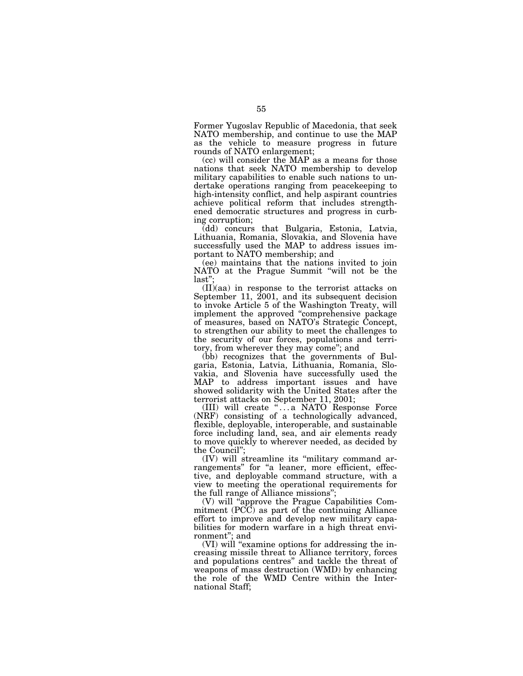Former Yugoslav Republic of Macedonia, that seek NATO membership, and continue to use the MAP as the vehicle to measure progress in future rounds of NATO enlargement;

(cc) will consider the MAP as a means for those nations that seek NATO membership to develop military capabilities to enable such nations to undertake operations ranging from peacekeeping to high-intensity conflict, and help aspirant countries achieve political reform that includes strengthened democratic structures and progress in curbing corruption;

(dd) concurs that Bulgaria, Estonia, Latvia, Lithuania, Romania, Slovakia, and Slovenia have successfully used the MAP to address issues important to NATO membership; and

(ee) maintains that the nations invited to join NATO at the Prague Summit "will not be the last'';

(II)(aa) in response to the terrorist attacks on September 11, 2001, and its subsequent decision to invoke Article 5 of the Washington Treaty, will implement the approved ''comprehensive package of measures, based on NATO's Strategic Concept, to strengthen our ability to meet the challenges to the security of our forces, populations and territory, from wherever they may come''; and

(bb) recognizes that the governments of Bulgaria, Estonia, Latvia, Lithuania, Romania, Slovakia, and Slovenia have successfully used the MAP to address important issues and have showed solidarity with the United States after the terrorist attacks on September 11, 2001;

(III) will create "...a NATO Response Force (NRF) consisting of a technologically advanced, flexible, deployable, interoperable, and sustainable force including land, sea, and air elements ready to move quickly to wherever needed, as decided by the Council'';

(IV) will streamline its ''military command arrangements" for "a leaner, more efficient, effective, and deployable command structure, with a view to meeting the operational requirements for the full range of Alliance missions'';

(V) will ''approve the Prague Capabilities Commitment (PCC) as part of the continuing Alliance effort to improve and develop new military capabilities for modern warfare in a high threat environment''; and

(VI) will "examine options for addressing the increasing missile threat to Alliance territory, forces and populations centres'' and tackle the threat of weapons of mass destruction (WMD) by enhancing the role of the WMD Centre within the International Staff;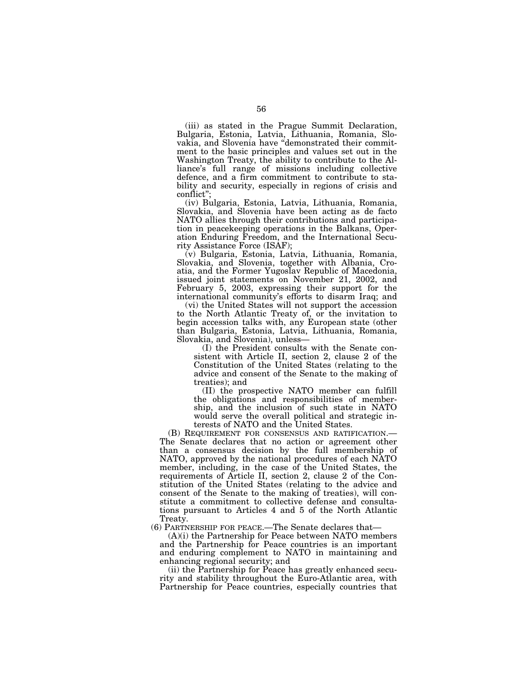(iii) as stated in the Prague Summit Declaration, Bulgaria, Estonia, Latvia, Lithuania, Romania, Slovakia, and Slovenia have ''demonstrated their commitment to the basic principles and values set out in the Washington Treaty, the ability to contribute to the Alliance's full range of missions including collective defence, and a firm commitment to contribute to stability and security, especially in regions of crisis and conflict"

(iv) Bulgaria, Estonia, Latvia, Lithuania, Romania, Slovakia, and Slovenia have been acting as de facto NATO allies through their contributions and participation in peacekeeping operations in the Balkans, Operation Enduring Freedom, and the International Security Assistance Force (ISAF);

(v) Bulgaria, Estonia, Latvia, Lithuania, Romania, Slovakia, and Slovenia, together with Albania, Croatia, and the Former Yugoslav Republic of Macedonia, issued joint statements on November 21, 2002, and February 5, 2003, expressing their support for the international community's efforts to disarm Iraq; and

(vi) the United States will not support the accession to the North Atlantic Treaty of, or the invitation to begin accession talks with, any European state (other than Bulgaria, Estonia, Latvia, Lithuania, Romania, Slovakia, and Slovenia), unless—

(I) the President consults with the Senate consistent with Article II, section 2, clause 2 of the Constitution of the United States (relating to the advice and consent of the Senate to the making of treaties); and

(II) the prospective NATO member can fulfill the obligations and responsibilities of membership, and the inclusion of such state in NATO would serve the overall political and strategic in-

terests of NATO and the United States.<br>(B) REQUIREMENT FOR CONSENSUS AND RATIFICATION.— The Senate declares that no action or agreement other than a consensus decision by the full membership of NATO, approved by the national procedures of each NATO member, including, in the case of the United States, the requirements of Article II, section 2, clause 2 of the Constitution of the United States (relating to the advice and consent of the Senate to the making of treaties), will constitute a commitment to collective defense and consultations pursuant to Articles 4 and 5 of the North Atlantic Treaty.

(6) PARTNERSHIP FOR PEACE.—The Senate declares that—

(A)(i) the Partnership for Peace between NATO members and the Partnership for Peace countries is an important and enduring complement to NATO in maintaining and enhancing regional security; and

(ii) the Partnership for Peace has greatly enhanced security and stability throughout the Euro-Atlantic area, with Partnership for Peace countries, especially countries that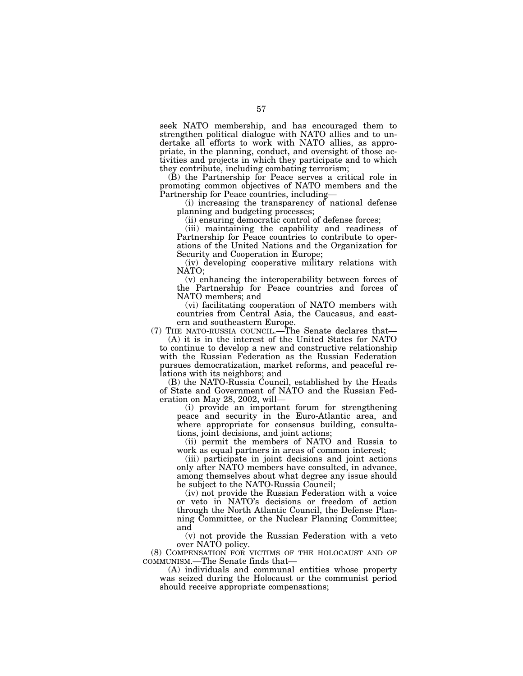seek NATO membership, and has encouraged them to strengthen political dialogue with NATO allies and to undertake all efforts to work with NATO allies, as appropriate, in the planning, conduct, and oversight of those activities and projects in which they participate and to which they contribute, including combating terrorism;

(B) the Partnership for Peace serves a critical role in promoting common objectives of NATO members and the Partnership for Peace countries, including—

(i) increasing the transparency of national defense planning and budgeting processes;

(ii) ensuring democratic control of defense forces;

(iii) maintaining the capability and readiness of Partnership for Peace countries to contribute to operations of the United Nations and the Organization for Security and Cooperation in Europe;

(iv) developing cooperative military relations with NATO;

(v) enhancing the interoperability between forces of the Partnership for Peace countries and forces of NATO members; and

(vi) facilitating cooperation of NATO members with countries from Central Asia, the Caucasus, and eastern and southeastern Europe.

(7) THE NATO-RUSSIA COUNCIL.—The Senate declares that— (A) it is in the interest of the United States for NATO

to continue to develop a new and constructive relationship with the Russian Federation as the Russian Federation pursues democratization, market reforms, and peaceful relations with its neighbors; and

(B) the NATO-Russia Council, established by the Heads of State and Government of NATO and the Russian Federation on May 28, 2002, will—

(i) provide an important forum for strengthening peace and security in the Euro-Atlantic area, and where appropriate for consensus building, consultations, joint decisions, and joint actions;

(ii) permit the members of NATO and Russia to work as equal partners in areas of common interest;

(iii) participate in joint decisions and joint actions only after NATO members have consulted, in advance, among themselves about what degree any issue should be subject to the NATO-Russia Council;

(iv) not provide the Russian Federation with a voice or veto in NATO's decisions or freedom of action through the North Atlantic Council, the Defense Planning Committee, or the Nuclear Planning Committee; and

(v) not provide the Russian Federation with a veto over NATO policy.

(8) COMPENSATION FOR VICTIMS OF THE HOLOCAUST AND OF COMMUNISM.—The Senate finds that—

(A) individuals and communal entities whose property was seized during the Holocaust or the communist period should receive appropriate compensations;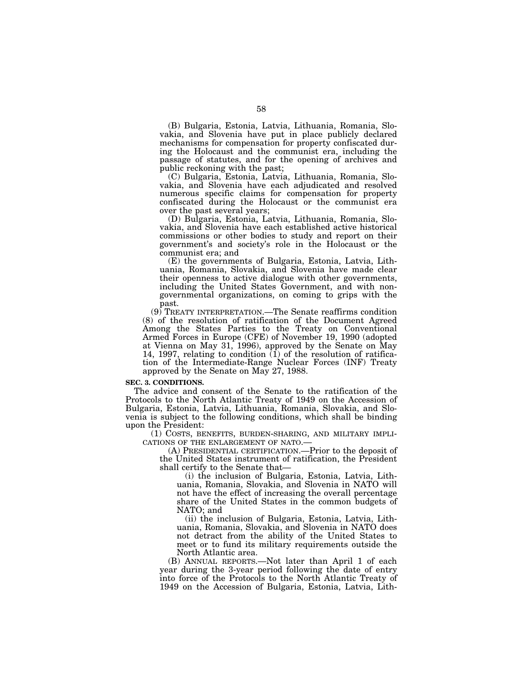(B) Bulgaria, Estonia, Latvia, Lithuania, Romania, Slovakia, and Slovenia have put in place publicly declared mechanisms for compensation for property confiscated during the Holocaust and the communist era, including the passage of statutes, and for the opening of archives and public reckoning with the past;

(C) Bulgaria, Estonia, Latvia, Lithuania, Romania, Slovakia, and Slovenia have each adjudicated and resolved numerous specific claims for compensation for property confiscated during the Holocaust or the communist era over the past several years;

(D) Bulgaria, Estonia, Latvia, Lithuania, Romania, Slovakia, and Slovenia have each established active historical commissions or other bodies to study and report on their government's and society's role in the Holocaust or the communist era; and

(E) the governments of Bulgaria, Estonia, Latvia, Lithuania, Romania, Slovakia, and Slovenia have made clear their openness to active dialogue with other governments, including the United States Government, and with nongovernmental organizations, on coming to grips with the past.

(9) TREATY INTERPRETATION.—The Senate reaffirms condition (8) of the resolution of ratification of the Document Agreed Among the States Parties to the Treaty on Conventional Armed Forces in Europe (CFE) of November 19, 1990 (adopted at Vienna on May 31, 1996), approved by the Senate on May 14, 1997, relating to condition  $(1)$  of the resolution of ratification of the Intermediate-Range Nuclear Forces (INF) Treaty approved by the Senate on May 27, 1988.

# **SEC. 3. CONDITIONS.**

The advice and consent of the Senate to the ratification of the Protocols to the North Atlantic Treaty of 1949 on the Accession of Bulgaria, Estonia, Latvia, Lithuania, Romania, Slovakia, and Slovenia is subject to the following conditions, which shall be binding upon the President:

(1) COSTS, BENEFITS, BURDEN-SHARING, AND MILITARY IMPLI- CATIONS OF THE ENLARGEMENT OF NATO.— (A) PRESIDENTIAL CERTIFICATION.—Prior to the deposit of

the United States instrument of ratification, the President shall certify to the Senate that—

(i) the inclusion of Bulgaria, Estonia, Latvia, Lithuania, Romania, Slovakia, and Slovenia in NATO will not have the effect of increasing the overall percentage share of the United States in the common budgets of NATO; and

(ii) the inclusion of Bulgaria, Estonia, Latvia, Lithuania, Romania, Slovakia, and Slovenia in NATO does not detract from the ability of the United States to meet or to fund its military requirements outside the North Atlantic area.

(B) ANNUAL REPORTS.—Not later than April 1 of each year during the 3-year period following the date of entry into force of the Protocols to the North Atlantic Treaty of 1949 on the Accession of Bulgaria, Estonia, Latvia, Lith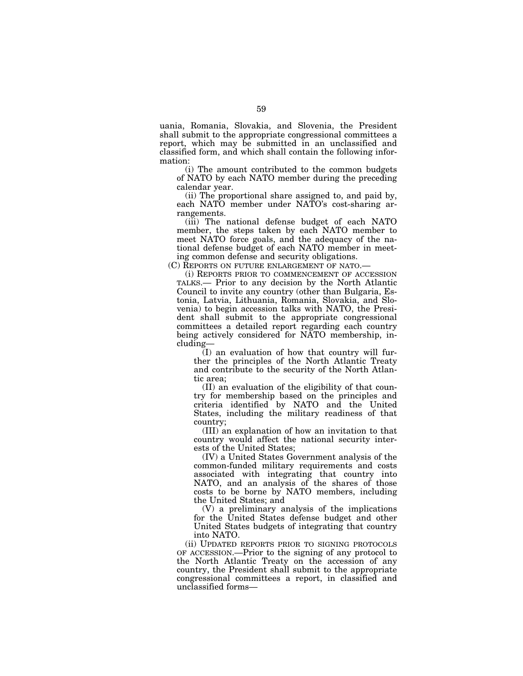uania, Romania, Slovakia, and Slovenia, the President shall submit to the appropriate congressional committees a report, which may be submitted in an unclassified and classified form, and which shall contain the following information:

(i) The amount contributed to the common budgets of NATO by each NATO member during the preceding calendar year.

(ii) The proportional share assigned to, and paid by, each NATO member under NATO's cost-sharing arrangements.

(iii) The national defense budget of each NATO member, the steps taken by each NATO member to meet NATO force goals, and the adequacy of the national defense budget of each NATO member in meeting common defense and security obligations.

(C) REPORTS ON FUTURE ENLARGEMENT OF NATO.—

(i) REPORTS PRIOR TO COMMENCEMENT OF ACCESSION TALKS.— Prior to any decision by the North Atlantic Council to invite any country (other than Bulgaria, Estonia, Latvia, Lithuania, Romania, Slovakia, and Slovenia) to begin accession talks with NATO, the President shall submit to the appropriate congressional committees a detailed report regarding each country being actively considered for NATO membership, including—

(I) an evaluation of how that country will further the principles of the North Atlantic Treaty and contribute to the security of the North Atlantic area;

(II) an evaluation of the eligibility of that country for membership based on the principles and criteria identified by NATO and the United States, including the military readiness of that country;

(III) an explanation of how an invitation to that country would affect the national security interests of the United States;

(IV) a United States Government analysis of the common-funded military requirements and costs associated with integrating that country into NATO, and an analysis of the shares of those costs to be borne by NATO members, including the United States; and

(V) a preliminary analysis of the implications for the United States defense budget and other United States budgets of integrating that country into NATO.

(ii) UPDATED REPORTS PRIOR TO SIGNING PROTOCOLS OF ACCESSION.—Prior to the signing of any protocol to the North Atlantic Treaty on the accession of any country, the President shall submit to the appropriate congressional committees a report, in classified and unclassified forms—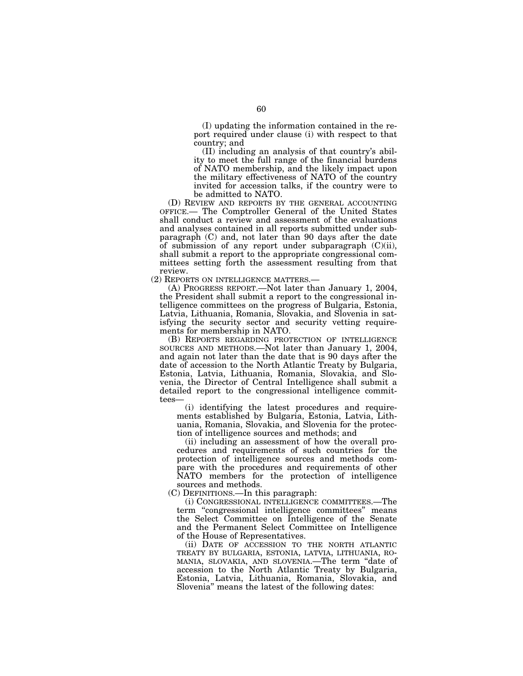(I) updating the information contained in the report required under clause (i) with respect to that country; and

(II) including an analysis of that country's ability to meet the full range of the financial burdens of NATO membership, and the likely impact upon the military effectiveness of NATO of the country invited for accession talks, if the country were to be admitted to NATO.

(D) REVIEW AND REPORTS BY THE GENERAL ACCOUNTING OFFICE.— The Comptroller General of the United States shall conduct a review and assessment of the evaluations and analyses contained in all reports submitted under subparagraph (C) and, not later than 90 days after the date of submission of any report under subparagraph  $(C)(ii)$ , shall submit a report to the appropriate congressional committees setting forth the assessment resulting from that review.

(2) REPORTS ON INTELLIGENCE MATTERS.— (A) PROGRESS REPORT.—Not later than January 1, 2004, the President shall submit a report to the congressional intelligence committees on the progress of Bulgaria, Estonia, Latvia, Lithuania, Romania, Slovakia, and Slovenia in satisfying the security sector and security vetting requirements for membership in NATO.

(B) REPORTS REGARDING PROTECTION OF INTELLIGENCE SOURCES AND METHODS.—Not later than January 1, 2004, and again not later than the date that is 90 days after the date of accession to the North Atlantic Treaty by Bulgaria, Estonia, Latvia, Lithuania, Romania, Slovakia, and Slovenia, the Director of Central Intelligence shall submit a detailed report to the congressional intelligence committees—

(i) identifying the latest procedures and requirements established by Bulgaria, Estonia, Latvia, Lithuania, Romania, Slovakia, and Slovenia for the protection of intelligence sources and methods; and

(ii) including an assessment of how the overall procedures and requirements of such countries for the protection of intelligence sources and methods compare with the procedures and requirements of other NATO members for the protection of intelligence sources and methods.

(C) DEFINITIONS.—In this paragraph:

(i) CONGRESSIONAL INTELLIGENCE COMMITTEES.—The term ''congressional intelligence committees'' means the Select Committee on Intelligence of the Senate and the Permanent Select Committee on Intelligence of the House of Representatives.

(ii) DATE OF ACCESSION TO THE NORTH ATLANTIC TREATY BY BULGARIA, ESTONIA, LATVIA, LITHUANIA, RO-MANIA, SLOVAKIA, AND SLOVENIA.—The term ''date of accession to the North Atlantic Treaty by Bulgaria, Estonia, Latvia, Lithuania, Romania, Slovakia, and Slovenia'' means the latest of the following dates: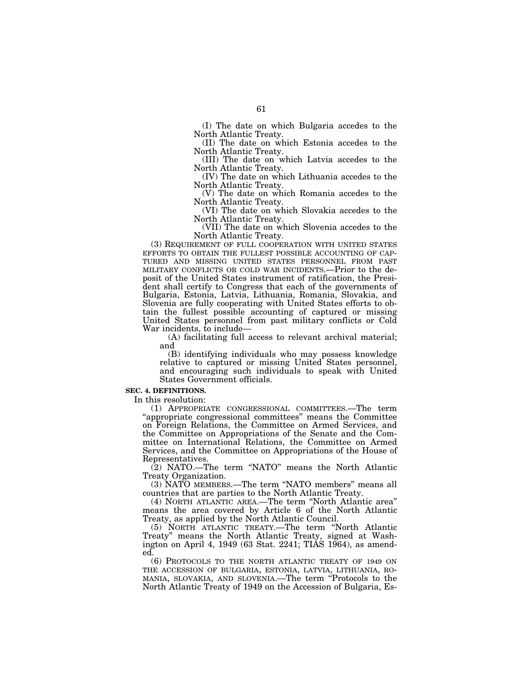(I) The date on which Bulgaria accedes to the North Atlantic Treaty.

(II) The date on which Estonia accedes to the North Atlantic Treaty.

(III) The date on which Latvia accedes to the North Atlantic Treaty.

(IV) The date on which Lithuania accedes to the North Atlantic Treaty.

(V) The date on which Romania accedes to the North Atlantic Treaty.

(VI) The date on which Slovakia accedes to the North Atlantic Treaty.

(VII) The date on which Slovenia accedes to the North Atlantic Treaty.

(3) REQUIREMENT OF FULL COOPERATION WITH UNITED STATES EFFORTS TO OBTAIN THE FULLEST POSSIBLE ACCOUNTING OF CAP- TURED AND MISSING UNITED STATES PERSONNEL FROM PAST MILITARY CONFLICTS OR COLD WAR INCIDENTS.—Prior to the deposit of the United States instrument of ratification, the President shall certify to Congress that each of the governments of Bulgaria, Estonia, Latvia, Lithuania, Romania, Slovakia, and Slovenia are fully cooperating with United States efforts to obtain the fullest possible accounting of captured or missing United States personnel from past military conflicts or Cold War incidents, to include—

(A) facilitating full access to relevant archival material; and

(B) identifying individuals who may possess knowledge relative to captured or missing United States personnel, and encouraging such individuals to speak with United States Government officials.

## **SEC. 4. DEFINITIONS.**

In this resolution:

(1) APPROPRIATE CONGRESSIONAL COMMITTEES.—The term "appropriate congressional committees" means the Committee on Foreign Relations, the Committee on Armed Services, and the Committee on Appropriations of the Senate and the Committee on International Relations, the Committee on Armed Services, and the Committee on Appropriations of the House of Representatives.

(2) NATO.—The term ''NATO'' means the North Atlantic Treaty Organization.

(3) NATO MEMBERS.—The term ''NATO members'' means all countries that are parties to the North Atlantic Treaty.

(4) NORTH ATLANTIC AREA.—The term ''North Atlantic area'' means the area covered by Article 6 of the North Atlantic Treaty, as applied by the North Atlantic Council.

(5) NORTH ATLANTIC TREATY.—The term ''North Atlantic Treaty'' means the North Atlantic Treaty, signed at Washington on April 4, 1949 (63 Stat. 2241; TIAS 1964), as amended.

(6) PROTOCOLS TO THE NORTH ATLANTIC TREATY OF 1949 ON THE ACCESSION OF BULGARIA, ESTONIA, LATVIA, LITHUANIA, RO-MANIA, SLOVAKIA, AND SLOVENIA.—The term ''Protocols to the North Atlantic Treaty of 1949 on the Accession of Bulgaria, Es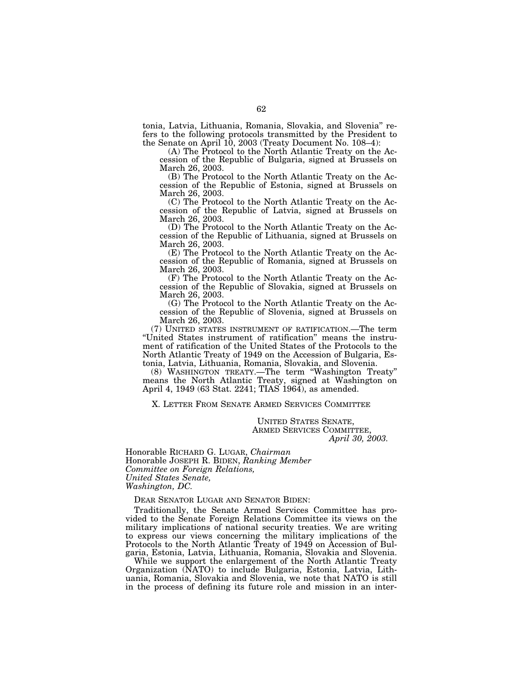tonia, Latvia, Lithuania, Romania, Slovakia, and Slovenia'' refers to the following protocols transmitted by the President to the Senate on April 10, 2003 (Treaty Document No. 108–4):

(A) The Protocol to the North Atlantic Treaty on the Accession of the Republic of Bulgaria, signed at Brussels on March 26, 2003.

(B) The Protocol to the North Atlantic Treaty on the Accession of the Republic of Estonia, signed at Brussels on March 26, 2003.

(C) The Protocol to the North Atlantic Treaty on the Accession of the Republic of Latvia, signed at Brussels on March 26, 2003.

(D) The Protocol to the North Atlantic Treaty on the Accession of the Republic of Lithuania, signed at Brussels on March 26, 2003.

(E) The Protocol to the North Atlantic Treaty on the Accession of the Republic of Romania, signed at Brussels on March 26, 2003.

(F) The Protocol to the North Atlantic Treaty on the Accession of the Republic of Slovakia, signed at Brussels on March 26, 2003.

(G) The Protocol to the North Atlantic Treaty on the Accession of the Republic of Slovenia, signed at Brussels on March 26, 2003.

(7) UNITED STATES INSTRUMENT OF RATIFICATION.—The term ''United States instrument of ratification'' means the instrument of ratification of the United States of the Protocols to the North Atlantic Treaty of 1949 on the Accession of Bulgaria, Estonia, Latvia, Lithuania, Romania, Slovakia, and Slovenia.

(8) WASHINGTON TREATY.—The term ''Washington Treaty'' means the North Atlantic Treaty, signed at Washington on April 4, 1949 (63 Stat. 2241; TIAS 1964), as amended.

X. LETTER FROM SENATE ARMED SERVICES COMMITTEE

UNITED STATES SENATE, ARMED SERVICES COMMITTEE, *April 30, 2003.*

Honorable RICHARD G. LUGAR, *Chairman*  Honorable JOSEPH R. BIDEN, *Ranking Member Committee on Foreign Relations, United States Senate, Washington, DC.*

DEAR SENATOR LUGAR AND SENATOR BIDEN:

Traditionally, the Senate Armed Services Committee has provided to the Senate Foreign Relations Committee its views on the military implications of national security treaties. We are writing to express our views concerning the military implications of the Protocols to the North Atlantic Treaty of 1949 on Accession of Bulgaria, Estonia, Latvia, Lithuania, Romania, Slovakia and Slovenia.

While we support the enlargement of the North Atlantic Treaty Organization (NATO) to include Bulgaria, Estonia, Latvia, Lithuania, Romania, Slovakia and Slovenia, we note that NATO is still in the process of defining its future role and mission in an inter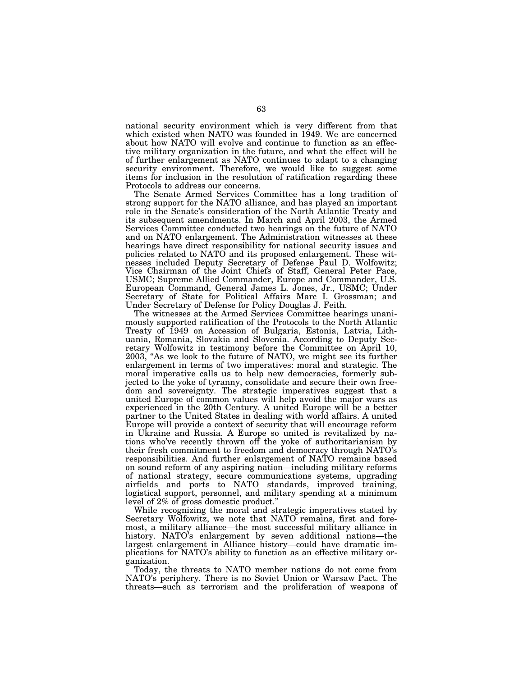national security environment which is very different from that which existed when NATO was founded in 1949. We are concerned about how NATO will evolve and continue to function as an effective military organization in the future, and what the effect will be of further enlargement as NATO continues to adapt to a changing security environment. Therefore, we would like to suggest some items for inclusion in the resolution of ratification regarding these Protocols to address our concerns.

The Senate Armed Services Committee has a long tradition of strong support for the NATO alliance, and has played an important role in the Senate's consideration of the North Atlantic Treaty and its subsequent amendments. In March and April 2003, the Armed Services Committee conducted two hearings on the future of NATO and on NATO enlargement. The Administration witnesses at these hearings have direct responsibility for national security issues and policies related to NATO and its proposed enlargement. These witnesses included Deputy Secretary of Defense Paul D. Wolfowitz; Vice Chairman of the Joint Chiefs of Staff, General Peter Pace, USMC; Supreme Allied Commander, Europe and Commander, U.S. European Command, General James L. Jones, Jr., USMC; Under Secretary of State for Political Affairs Marc I. Grossman; and Under Secretary of Defense for Policy Douglas J. Feith.

The witnesses at the Armed Services Committee hearings unanimously supported ratification of the Protocols to the North Atlantic Treaty of 1949 on Accession of Bulgaria, Estonia, Latvia, Lithuania, Romania, Slovakia and Slovenia. According to Deputy Secretary Wolfowitz in testimony before the Committee on April 10, 2003, ''As we look to the future of NATO, we might see its further enlargement in terms of two imperatives: moral and strategic. The moral imperative calls us to help new democracies, formerly subjected to the yoke of tyranny, consolidate and secure their own freedom and sovereignty. The strategic imperatives suggest that a united Europe of common values will help avoid the major wars as experienced in the 20th Century. A united Europe will be a better partner to the United States in dealing with world affairs. A united Europe will provide a context of security that will encourage reform in Ukraine and Russia. A Europe so united is revitalized by nations who've recently thrown off the yoke of authoritarianism by their fresh commitment to freedom and democracy through NATO's responsibilities. And further enlargement of NATO remains based on sound reform of any aspiring nation—including military reforms of national strategy, secure communications systems, upgrading airfields and ports to NATO standards, improved training, logistical support, personnel, and military spending at a minimum level of 2% of gross domestic product.''

While recognizing the moral and strategic imperatives stated by Secretary Wolfowitz, we note that NATO remains, first and foremost, a military alliance—the most successful military alliance in history. NATO's enlargement by seven additional nations—the largest enlargement in Alliance history—could have dramatic implications for NATO's ability to function as an effective military organization.

Today, the threats to NATO member nations do not come from NATO's periphery. There is no Soviet Union or Warsaw Pact. The threats—such as terrorism and the proliferation of weapons of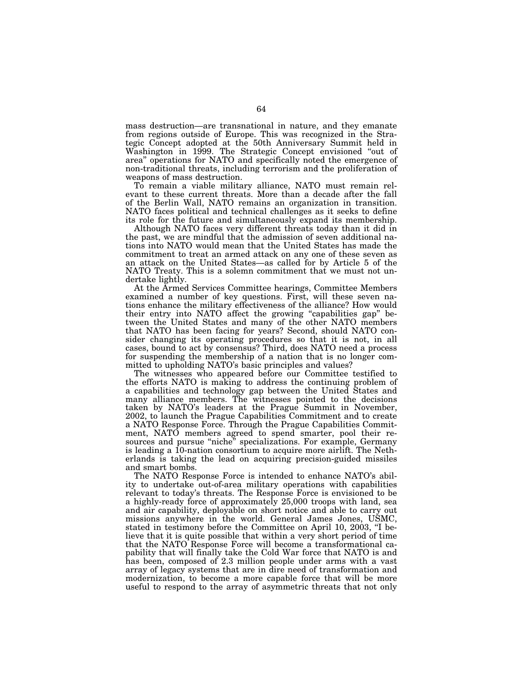mass destruction—are transnational in nature, and they emanate from regions outside of Europe. This was recognized in the Strategic Concept adopted at the 50th Anniversary Summit held in Washington in 1999. The Strategic Concept envisioned "out of area'' operations for NATO and specifically noted the emergence of non-traditional threats, including terrorism and the proliferation of weapons of mass destruction.

To remain a viable military alliance, NATO must remain relevant to these current threats. More than a decade after the fall of the Berlin Wall, NATO remains an organization in transition. NATO faces political and technical challenges as it seeks to define its role for the future and simultaneously expand its membership.

Although NATO faces very different threats today than it did in the past, we are mindful that the admission of seven additional nations into NATO would mean that the United States has made the commitment to treat an armed attack on any one of these seven as an attack on the United States—as called for by Article 5 of the NATO Treaty. This is a solemn commitment that we must not undertake lightly.

At the Armed Services Committee hearings, Committee Members examined a number of key questions. First, will these seven nations enhance the military effectiveness of the alliance? How would their entry into NATO affect the growing "capabilities gap" between the United States and many of the other NATO members that NATO has been facing for years? Second, should NATO consider changing its operating procedures so that it is not, in all cases, bound to act by consensus? Third, does NATO need a process for suspending the membership of a nation that is no longer committed to upholding NATO's basic principles and values?

The witnesses who appeared before our Committee testified to the efforts NATO is making to address the continuing problem of a capabilities and technology gap between the United States and many alliance members. The witnesses pointed to the decisions taken by NATO's leaders at the Prague Summit in November, 2002, to launch the Prague Capabilities Commitment and to create a NATO Response Force. Through the Prague Capabilities Commitment, NATO members agreed to spend smarter, pool their resources and pursue "niche" specializations. For example, Germany is leading a 10-nation consortium to acquire more airlift. The Netherlands is taking the lead on acquiring precision-guided missiles and smart bombs.

The NATO Response Force is intended to enhance NATO's ability to undertake out-of-area military operations with capabilities relevant to today's threats. The Response Force is envisioned to be a highly-ready force of approximately 25,000 troops with land, sea and air capability, deployable on short notice and able to carry out missions anywhere in the world. General James Jones, USMC, stated in testimony before the Committee on April 10, 2003, "I believe that it is quite possible that within a very short period of time that the NATO Response Force will become a transformational capability that will finally take the Cold War force that NATO is and has been, composed of 2.3 million people under arms with a vast array of legacy systems that are in dire need of transformation and modernization, to become a more capable force that will be more useful to respond to the array of asymmetric threats that not only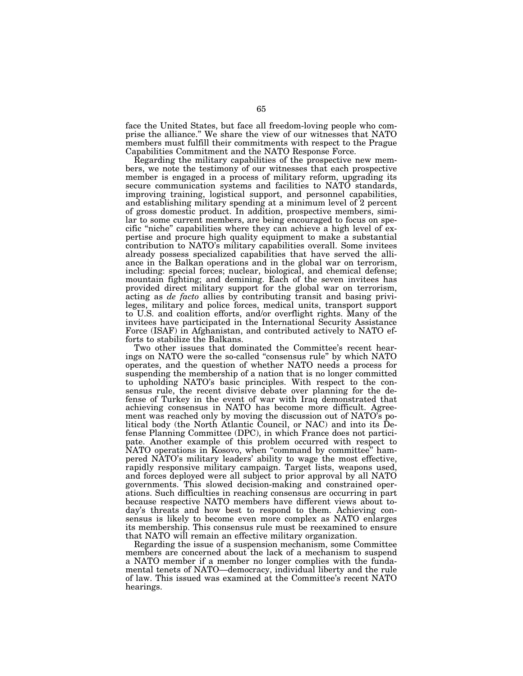face the United States, but face all freedom-loving people who comprise the alliance.'' We share the view of our witnesses that NATO members must fulfill their commitments with respect to the Prague Capabilities Commitment and the NATO Response Force.

Regarding the military capabilities of the prospective new members, we note the testimony of our witnesses that each prospective member is engaged in a process of military reform, upgrading its secure communication systems and facilities to NATO standards, improving training, logistical support, and personnel capabilities, and establishing military spending at a minimum level of 2 percent of gross domestic product. In addition, prospective members, similar to some current members, are being encouraged to focus on specific "niche" capabilities where they can achieve a high level of expertise and procure high quality equipment to make a substantial contribution to NATO's military capabilities overall. Some invitees already possess specialized capabilities that have served the alliance in the Balkan operations and in the global war on terrorism, including: special forces; nuclear, biological, and chemical defense; mountain fighting; and demining. Each of the seven invitees has provided direct military support for the global war on terrorism, acting as *de facto* allies by contributing transit and basing privileges, military and police forces, medical units, transport support to U.S. and coalition efforts, and/or overflight rights. Many of the invitees have participated in the International Security Assistance Force (ISAF) in Afghanistan, and contributed actively to NATO efforts to stabilize the Balkans.

Two other issues that dominated the Committee's recent hearings on NATO were the so-called ''consensus rule'' by which NATO operates, and the question of whether NATO needs a process for suspending the membership of a nation that is no longer committed to upholding NATO's basic principles. With respect to the consensus rule, the recent divisive debate over planning for the defense of Turkey in the event of war with Iraq demonstrated that achieving consensus in NATO has become more difficult. Agreement was reached only by moving the discussion out of NATO's political body (the North Atlantic Council, or NAC) and into its Defense Planning Committee (DPC), in which France does not participate. Another example of this problem occurred with respect to NATO operations in Kosovo, when ''command by committee'' hampered NATO's military leaders' ability to wage the most effective, rapidly responsive military campaign. Target lists, weapons used, and forces deployed were all subject to prior approval by all NATO governments. This slowed decision-making and constrained operations. Such difficulties in reaching consensus are occurring in part because respective NATO members have different views about today's threats and how best to respond to them. Achieving consensus is likely to become even more complex as NATO enlarges its membership. This consensus rule must be reexamined to ensure that NATO will remain an effective military organization.

Regarding the issue of a suspension mechanism, some Committee members are concerned about the lack of a mechanism to suspend a NATO member if a member no longer complies with the fundamental tenets of NATO—democracy, individual liberty and the rule of law. This issued was examined at the Committee's recent NATO hearings.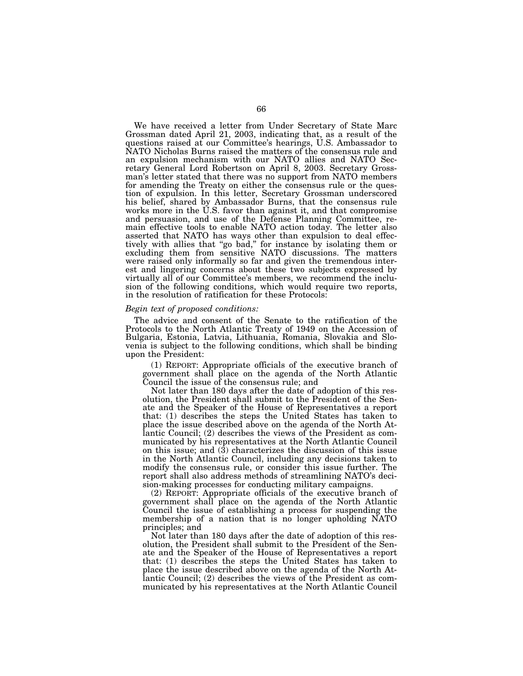We have received a letter from Under Secretary of State Marc Grossman dated April 21, 2003, indicating that, as a result of the questions raised at our Committee's hearings, U.S. Ambassador to NATO Nicholas Burns raised the matters of the consensus rule and an expulsion mechanism with our NATO allies and NATO Secretary General Lord Robertson on April 8, 2003. Secretary Grossman's letter stated that there was no support from NATO members for amending the Treaty on either the consensus rule or the question of expulsion. In this letter, Secretary Grossman underscored his belief, shared by Ambassador Burns, that the consensus rule works more in the U.S. favor than against it, and that compromise and persuasion, and use of the Defense Planning Committee, remain effective tools to enable NATO action today. The letter also asserted that NATO has ways other than expulsion to deal effectively with allies that ''go bad,'' for instance by isolating them or excluding them from sensitive NATO discussions. The matters were raised only informally so far and given the tremendous interest and lingering concerns about these two subjects expressed by virtually all of our Committee's members, we recommend the inclusion of the following conditions, which would require two reports, in the resolution of ratification for these Protocols:

# *Begin text of proposed conditions:*

The advice and consent of the Senate to the ratification of the Protocols to the North Atlantic Treaty of 1949 on the Accession of Bulgaria, Estonia, Latvia, Lithuania, Romania, Slovakia and Slovenia is subject to the following conditions, which shall be binding upon the President:

(1) REPORT: Appropriate officials of the executive branch of government shall place on the agenda of the North Atlantic Council the issue of the consensus rule; and

Not later than 180 days after the date of adoption of this resolution, the President shall submit to the President of the Senate and the Speaker of the House of Representatives a report that: (1) describes the steps the United States has taken to place the issue described above on the agenda of the North Atlantic Council; (2) describes the views of the President as communicated by his representatives at the North Atlantic Council on this issue; and  $(\hat{3})$  characterizes the discussion of this issue in the North Atlantic Council, including any decisions taken to modify the consensus rule, or consider this issue further. The report shall also address methods of streamlining NATO's decision-making processes for conducting military campaigns.

(2) REPORT: Appropriate officials of the executive branch of government shall place on the agenda of the North Atlantic Council the issue of establishing a process for suspending the membership of a nation that is no longer upholding NATO principles; and

Not later than 180 days after the date of adoption of this resolution, the President shall submit to the President of the Senate and the Speaker of the House of Representatives a report that: (1) describes the steps the United States has taken to place the issue described above on the agenda of the North Atlantic Council; (2) describes the views of the President as communicated by his representatives at the North Atlantic Council